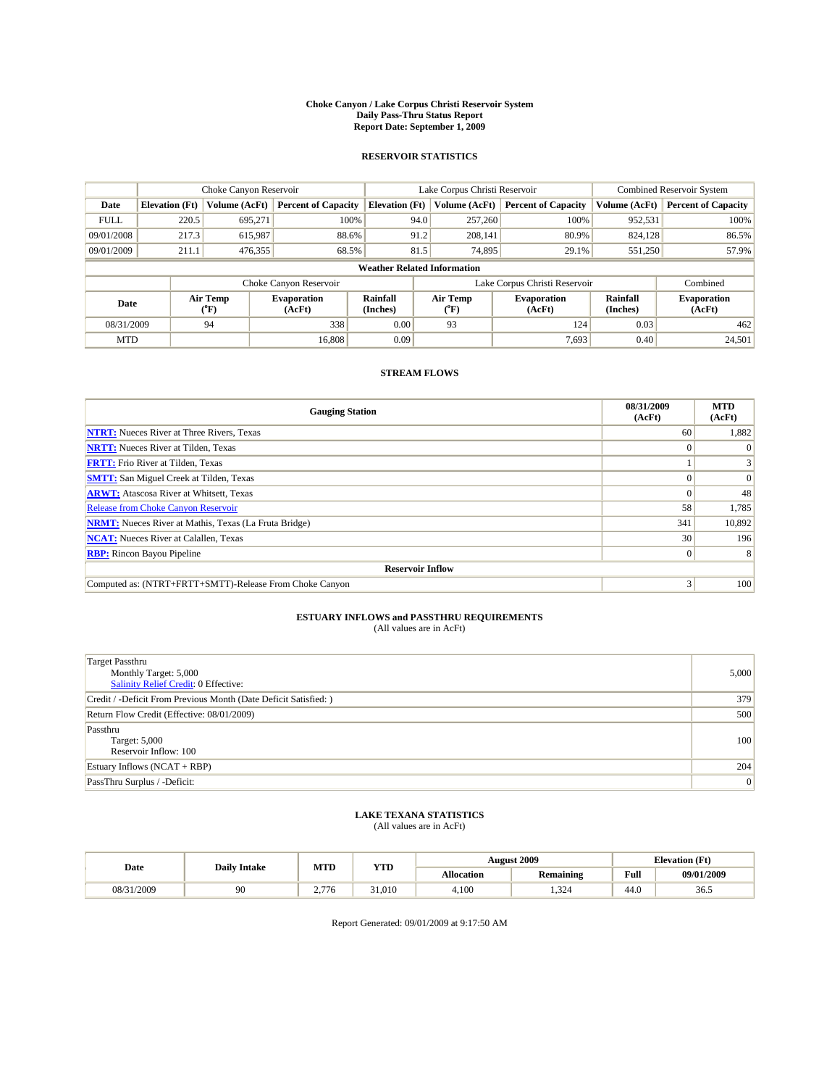#### **Choke Canyon / Lake Corpus Christi Reservoir System Daily Pass-Thru Status Report Report Date: September 1, 2009**

### **RESERVOIR STATISTICS**

|                                                                        |                       | Choke Canyon Reservoir |                            |                                    | Lake Corpus Christi Reservoir |                               | <b>Combined Reservoir System</b> |                            |  |
|------------------------------------------------------------------------|-----------------------|------------------------|----------------------------|------------------------------------|-------------------------------|-------------------------------|----------------------------------|----------------------------|--|
| Date                                                                   | <b>Elevation</b> (Ft) | Volume (AcFt)          | <b>Percent of Capacity</b> | <b>Elevation</b> (Ft)              | Volume (AcFt)                 | <b>Percent of Capacity</b>    | Volume (AcFt)                    | <b>Percent of Capacity</b> |  |
| <b>FULL</b>                                                            | 220.5                 | 695.271                | 100%                       | 94.0                               | 257,260                       | 100%                          | 952,531                          | 100%                       |  |
| 09/01/2008                                                             | 217.3                 | 615,987                | 88.6%                      | 91.2                               | 208.141                       | 80.9%                         | 824,128                          | 86.5%                      |  |
| 09/01/2009                                                             | 211.1                 | 476,355                | 68.5%                      | 81.5                               | 74,895                        | 29.1%                         | 551,250                          | 57.9%                      |  |
|                                                                        |                       |                        |                            | <b>Weather Related Information</b> |                               |                               |                                  |                            |  |
|                                                                        |                       |                        | Choke Canyon Reservoir     |                                    |                               | Lake Corpus Christi Reservoir |                                  | Combined                   |  |
| Air Temp<br><b>Evaporation</b><br>Date<br>(AcFt)<br>$({}^o\mathrm{F})$ |                       | Rainfall<br>(Inches)   | Air Temp<br>(°F)           | <b>Evaporation</b><br>(AcFt)       | Rainfall<br>(Inches)          | <b>Evaporation</b><br>(AcFt)  |                                  |                            |  |
| 08/31/2009                                                             |                       | 94                     | 338                        | 0.00                               | 93                            | 124                           | 0.03                             | 462                        |  |
| <b>MTD</b>                                                             |                       |                        | 16.808                     | 0.09                               |                               | 7,693                         | 0.40                             | 24,501                     |  |

### **STREAM FLOWS**

| <b>Gauging Station</b>                                       | 08/31/2009<br>(AcFt) | <b>MTD</b><br>(AcFt) |  |  |  |  |  |
|--------------------------------------------------------------|----------------------|----------------------|--|--|--|--|--|
| <b>NTRT:</b> Nueces River at Three Rivers, Texas             | 60                   | 1,882                |  |  |  |  |  |
| <b>NRTT:</b> Nueces River at Tilden, Texas                   |                      | $\Omega$             |  |  |  |  |  |
| <b>FRTT:</b> Frio River at Tilden, Texas                     |                      |                      |  |  |  |  |  |
| <b>SMTT:</b> San Miguel Creek at Tilden, Texas               |                      | $\vert 0 \vert$      |  |  |  |  |  |
| <b>ARWT:</b> Atascosa River at Whitsett, Texas               |                      | 48                   |  |  |  |  |  |
| <b>Release from Choke Canyon Reservoir</b>                   | 58                   | 1,785                |  |  |  |  |  |
| <b>NRMT:</b> Nueces River at Mathis, Texas (La Fruta Bridge) | 341                  | 10,892               |  |  |  |  |  |
| <b>NCAT:</b> Nueces River at Calallen, Texas                 | 30                   | 196                  |  |  |  |  |  |
| <b>RBP:</b> Rincon Bayou Pipeline                            | $\Omega$             | 8                    |  |  |  |  |  |
| <b>Reservoir Inflow</b>                                      |                      |                      |  |  |  |  |  |
| Computed as: (NTRT+FRTT+SMTT)-Release From Choke Canyon      | 3                    | 100                  |  |  |  |  |  |

# **ESTUARY INFLOWS and PASSTHRU REQUIREMENTS**<br>(All values are in AcFt)

| <b>Target Passthru</b><br>Monthly Target: 5,000<br>Salinity Relief Credit: 0 Effective: | 5,000 |
|-----------------------------------------------------------------------------------------|-------|
| Credit / -Deficit From Previous Month (Date Deficit Satisfied: )                        | 379   |
| Return Flow Credit (Effective: 08/01/2009)                                              | 500   |
| Passthru<br>Target: 5,000<br>Reservoir Inflow: 100                                      | 100   |
| Estuary Inflows $(NCAT + RBP)$                                                          | 204   |
| PassThru Surplus / -Deficit:                                                            | 0     |

# **LAKE TEXANA STATISTICS** (All values are in AcFt)

|            | <b>Daily Intake</b> | MTD                        | <b>YTD</b> |                   | <b>August 2009</b> | <b>Elevation</b> (Ft)                       |            |
|------------|---------------------|----------------------------|------------|-------------------|--------------------|---------------------------------------------|------------|
| Date       |                     |                            |            | <b>Allocation</b> | <b>Remaining</b>   | Full<br>the contract of the contract of the | 09/01/2009 |
| 08/31/2009 | 90                  | $-$<br>″/6<br>$\sim \cdot$ | 31,010     | 4.100             | .324               | 44.0                                        | 36.5       |

Report Generated: 09/01/2009 at 9:17:50 AM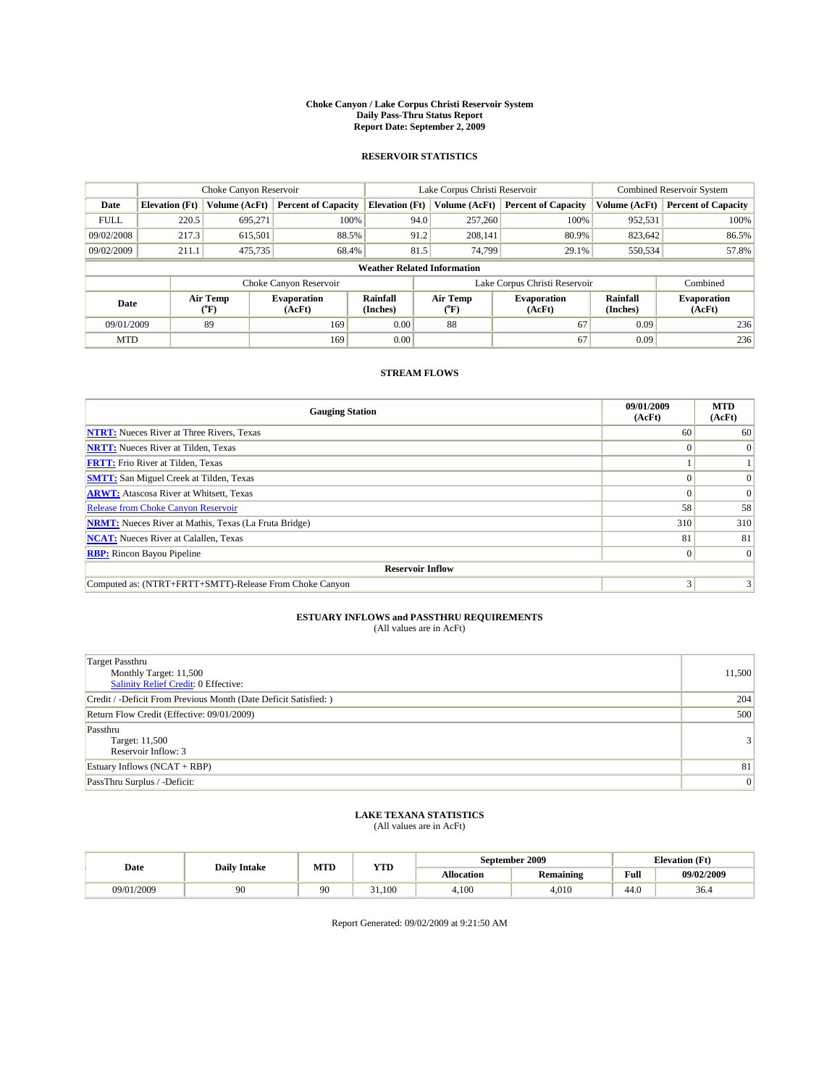#### **Choke Canyon / Lake Corpus Christi Reservoir System Daily Pass-Thru Status Report Report Date: September 2, 2009**

### **RESERVOIR STATISTICS**

|             |                                                                                                                                             | Choke Canyon Reservoir |                            |                              | Lake Corpus Christi Reservoir |                               |               | <b>Combined Reservoir System</b> |  |  |
|-------------|---------------------------------------------------------------------------------------------------------------------------------------------|------------------------|----------------------------|------------------------------|-------------------------------|-------------------------------|---------------|----------------------------------|--|--|
| Date        | <b>Elevation</b> (Ft)                                                                                                                       | <b>Volume (AcFt)</b>   | <b>Percent of Capacity</b> | <b>Elevation</b> (Ft)        | Volume (AcFt)                 | <b>Percent of Capacity</b>    | Volume (AcFt) | <b>Percent of Capacity</b>       |  |  |
| <b>FULL</b> | 220.5                                                                                                                                       | 695,271                | 100%                       | 94.0                         | 257,260                       | 100%                          | 952,531       | 100%                             |  |  |
| 09/02/2008  | 217.3                                                                                                                                       | 615,501                | 88.5%                      | 91.2                         | 208,141                       | 80.9%                         | 823,642       | 86.5%                            |  |  |
| 09/02/2009  | 211.1                                                                                                                                       | 475,735                | 68.4%                      | 81.5                         | 74.799                        | 29.1%                         | 550,534       | 57.8%                            |  |  |
|             | <b>Weather Related Information</b>                                                                                                          |                        |                            |                              |                               |                               |               |                                  |  |  |
|             |                                                                                                                                             |                        | Choke Canyon Reservoir     |                              |                               | Lake Corpus Christi Reservoir |               | Combined                         |  |  |
|             | Air Temp<br><b>Rainfall</b><br>Air Temp<br><b>Evaporation</b><br><b>Evaporation</b><br>Date<br>(Inches)<br>(AcFt)<br>(°F)<br>(AcFt)<br>(°F) |                        | Rainfall<br>(Inches)       | <b>Evaporation</b><br>(AcFt) |                               |                               |               |                                  |  |  |
| 09/01/2009  |                                                                                                                                             | 89                     | 169                        | 0.00                         | 88                            | 67                            | 0.09          | 236                              |  |  |
| <b>MTD</b>  |                                                                                                                                             |                        | 169                        | 0.00                         |                               | 67                            | 0.09          | 236                              |  |  |

## **STREAM FLOWS**

| <b>Gauging Station</b>                                       | 09/01/2009<br>(AcFt) | <b>MTD</b><br>(AcFt) |  |  |  |  |  |
|--------------------------------------------------------------|----------------------|----------------------|--|--|--|--|--|
| <b>NTRT:</b> Nueces River at Three Rivers, Texas             | 60                   | 60                   |  |  |  |  |  |
| <b>NRTT:</b> Nueces River at Tilden, Texas                   |                      | $\Omega$             |  |  |  |  |  |
| <b>FRTT:</b> Frio River at Tilden, Texas                     |                      |                      |  |  |  |  |  |
| <b>SMTT:</b> San Miguel Creek at Tilden, Texas               |                      |                      |  |  |  |  |  |
| <b>ARWT:</b> Atascosa River at Whitsett, Texas               |                      | $\Omega$             |  |  |  |  |  |
| Release from Choke Canyon Reservoir                          | 58                   | 58                   |  |  |  |  |  |
| <b>NRMT:</b> Nueces River at Mathis, Texas (La Fruta Bridge) | 310                  | 310                  |  |  |  |  |  |
| <b>NCAT:</b> Nueces River at Calallen, Texas                 | 81                   | 81                   |  |  |  |  |  |
| <b>RBP:</b> Rincon Bayou Pipeline                            | $\Omega$             | $\Omega$             |  |  |  |  |  |
| <b>Reservoir Inflow</b>                                      |                      |                      |  |  |  |  |  |
| Computed as: (NTRT+FRTT+SMTT)-Release From Choke Canyon      | 3                    |                      |  |  |  |  |  |

# **ESTUARY INFLOWS and PASSTHRU REQUIREMENTS**

| (All values are in AcFt) |  |  |
|--------------------------|--|--|
|--------------------------|--|--|

| Target Passthru<br>Monthly Target: 11,500<br>Salinity Relief Credit: 0 Effective: | 11,500         |
|-----------------------------------------------------------------------------------|----------------|
| Credit / -Deficit From Previous Month (Date Deficit Satisfied: )                  | 204            |
| Return Flow Credit (Effective: 09/01/2009)                                        | 500            |
| Passthru<br>Target: 11,500<br>Reservoir Inflow: 3                                 | 3 <sup>1</sup> |
| Estuary Inflows (NCAT + RBP)                                                      | 81             |
| PassThru Surplus / -Deficit:                                                      | 0              |

## **LAKE TEXANA STATISTICS** (All values are in AcFt)

|            | <b>Daily Intake</b> | MTD | <b>YTD</b> |                   | September 2009   | <b>Elevation</b> (Ft)                       |            |
|------------|---------------------|-----|------------|-------------------|------------------|---------------------------------------------|------------|
| Date       |                     |     |            | <b>Allocation</b> | <b>Remaining</b> | Full<br>the contract of the contract of the | 09/02/2009 |
| 09/01/2009 | 90                  | 90  | 31.100     | 4.100             | 4.010            | 44.0                                        | 36.4       |

Report Generated: 09/02/2009 at 9:21:50 AM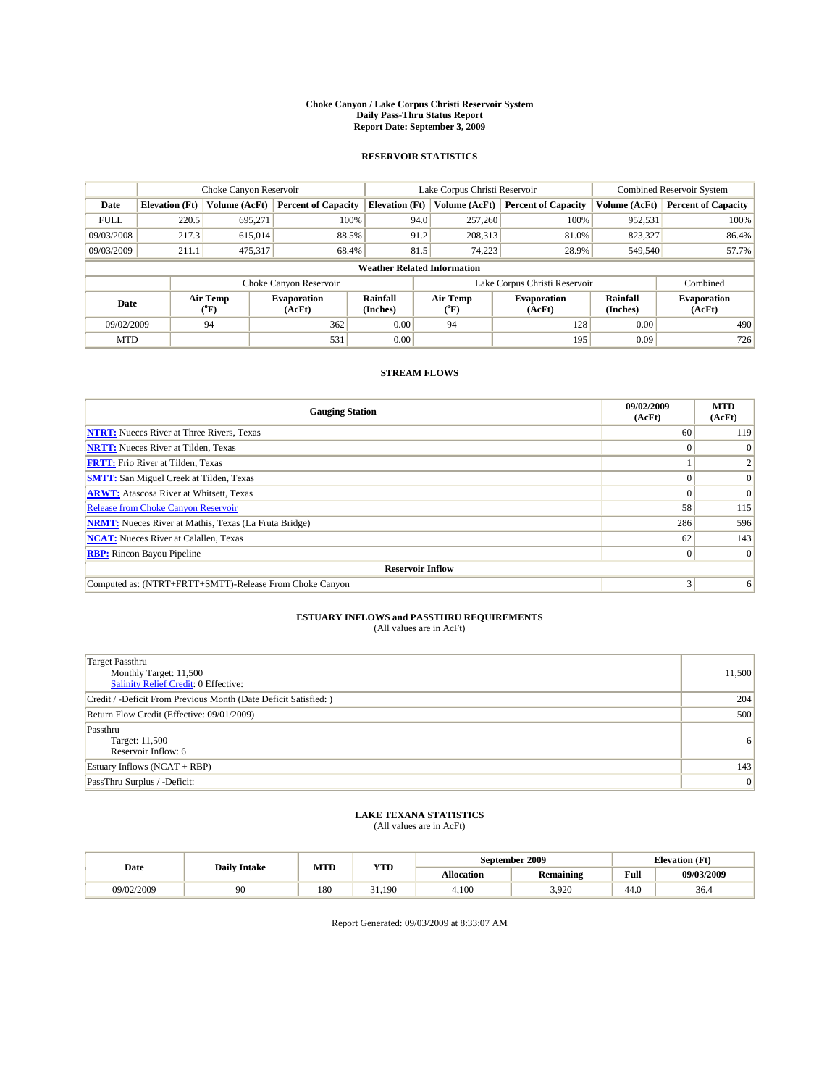#### **Choke Canyon / Lake Corpus Christi Reservoir System Daily Pass-Thru Status Report Report Date: September 3, 2009**

### **RESERVOIR STATISTICS**

|             |                                    | Choke Canyon Reservoir |                              |                       | Lake Corpus Christi Reservoir |                               |                      | Combined Reservoir System    |  |  |
|-------------|------------------------------------|------------------------|------------------------------|-----------------------|-------------------------------|-------------------------------|----------------------|------------------------------|--|--|
| Date        | <b>Elevation</b> (Ft)              | <b>Volume (AcFt)</b>   | <b>Percent of Capacity</b>   | <b>Elevation (Ft)</b> | Volume (AcFt)                 | <b>Percent of Capacity</b>    | Volume (AcFt)        | <b>Percent of Capacity</b>   |  |  |
| <b>FULL</b> | 220.5                              | 695,271                | 100%                         | 94.0                  | 257,260                       | 100%                          | 952,531              | 100%                         |  |  |
| 09/03/2008  | 217.3                              | 615,014                | 88.5%                        | 91.2                  | 208,313                       | 81.0%                         | 823,327              | 86.4%                        |  |  |
| 09/03/2009  | 211.1                              | 475,317                | 68.4%                        | 81.5                  | 74.223                        | 28.9%                         | 549,540              | 57.7%                        |  |  |
|             | <b>Weather Related Information</b> |                        |                              |                       |                               |                               |                      |                              |  |  |
|             |                                    |                        | Choke Canyon Reservoir       |                       |                               | Lake Corpus Christi Reservoir |                      | Combined                     |  |  |
| Date        |                                    | Air Temp<br>(°F)       | <b>Evaporation</b><br>(AcFt) | Rainfall<br>(Inches)  | Air Temp<br>("F)              | <b>Evaporation</b><br>(AcFt)  | Rainfall<br>(Inches) | <b>Evaporation</b><br>(AcFt) |  |  |
| 09/02/2009  |                                    | 94                     | 362                          | 0.00                  | 94                            | 128                           | 0.00                 | 490                          |  |  |
| <b>MTD</b>  |                                    |                        | 531                          | 0.00                  |                               | 195                           | 0.09                 | 726                          |  |  |

## **STREAM FLOWS**

| <b>Gauging Station</b>                                       | 09/02/2009<br>(AcFt) | <b>MTD</b><br>(AcFt) |  |  |  |  |
|--------------------------------------------------------------|----------------------|----------------------|--|--|--|--|
| <b>NTRT:</b> Nueces River at Three Rivers, Texas             | 60                   | 119                  |  |  |  |  |
| <b>NRTT:</b> Nueces River at Tilden, Texas                   | $\Omega$             |                      |  |  |  |  |
| <b>FRTT:</b> Frio River at Tilden, Texas                     |                      |                      |  |  |  |  |
| <b>SMTT:</b> San Miguel Creek at Tilden, Texas               |                      | $\Omega$             |  |  |  |  |
| <b>ARWT:</b> Atascosa River at Whitsett, Texas               |                      | $\Omega$             |  |  |  |  |
| Release from Choke Canyon Reservoir                          | 58                   | 115                  |  |  |  |  |
| <b>NRMT:</b> Nueces River at Mathis, Texas (La Fruta Bridge) | 286                  | 596                  |  |  |  |  |
| <b>NCAT:</b> Nueces River at Calallen, Texas                 | 62                   | 143                  |  |  |  |  |
| <b>RBP:</b> Rincon Bayou Pipeline                            | $\Omega$             | $\Omega$             |  |  |  |  |
| <b>Reservoir Inflow</b>                                      |                      |                      |  |  |  |  |
| Computed as: (NTRT+FRTT+SMTT)-Release From Choke Canyon      | 3                    | 6                    |  |  |  |  |

# **ESTUARY INFLOWS and PASSTHRU REQUIREMENTS**<br>(All values are in AcFt)

| <b>Target Passthru</b><br>Monthly Target: 11,500<br><b>Salinity Relief Credit: 0 Effective:</b> | 11,500 |
|-------------------------------------------------------------------------------------------------|--------|
| Credit / -Deficit From Previous Month (Date Deficit Satisfied: )                                | 204    |
| Return Flow Credit (Effective: 09/01/2009)                                                      | 500    |
| Passthru<br>Target: 11,500<br>Reservoir Inflow: 6                                               | 6      |
| Estuary Inflows $(NCAT + RBP)$                                                                  | 143    |
| PassThru Surplus / -Deficit:                                                                    | 0      |

## **LAKE TEXANA STATISTICS** (All values are in AcFt)

|            | <b>Daily Intake</b> | MTD |        | September 2009<br>YTD |                  |                                             | <b>Elevation</b> (Ft) |  |
|------------|---------------------|-----|--------|-----------------------|------------------|---------------------------------------------|-----------------------|--|
| Date       |                     |     |        | Allocation            | <b>Remaining</b> | Full<br>the contract of the contract of the | 09/03/2009            |  |
| 09/02/2009 | 90                  | 180 | 31.190 | 4.100                 | 3,920            | 44.0                                        | 36.4                  |  |

Report Generated: 09/03/2009 at 8:33:07 AM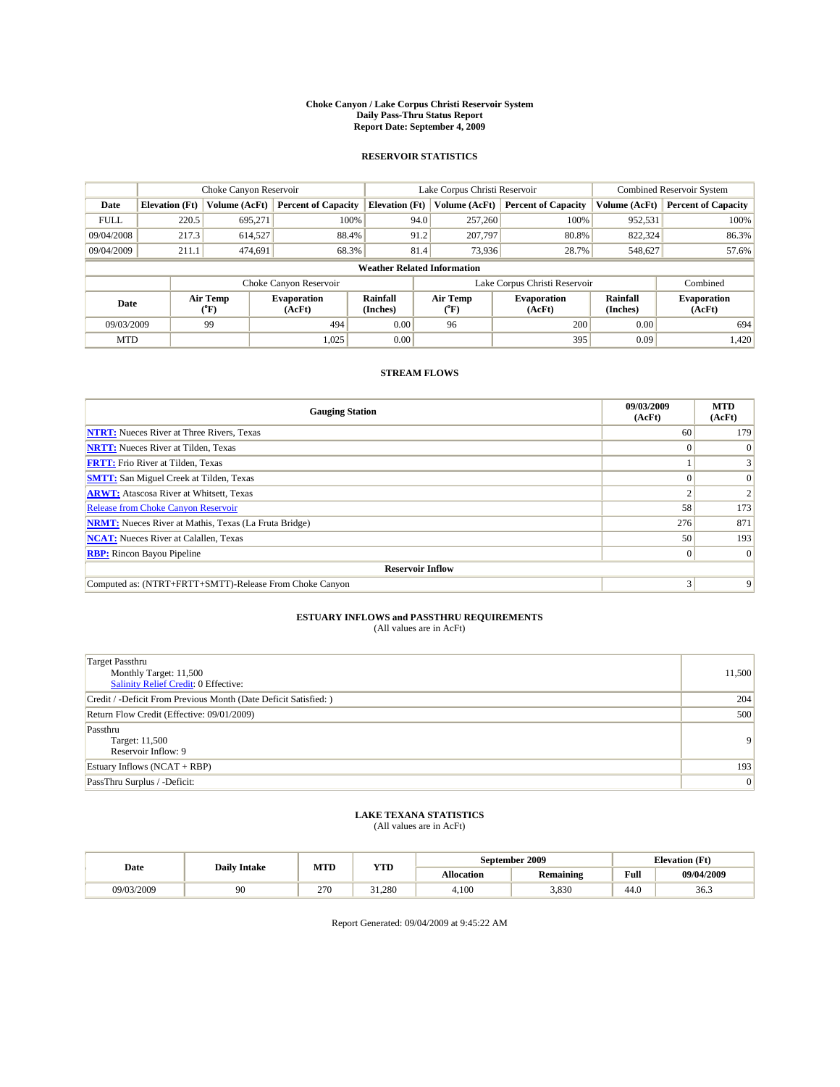#### **Choke Canyon / Lake Corpus Christi Reservoir System Daily Pass-Thru Status Report Report Date: September 4, 2009**

### **RESERVOIR STATISTICS**

|             | Choke Canyon Reservoir |                                           |                              |                                    | Lake Corpus Christi Reservoir | <b>Combined Reservoir System</b> |                      |                              |
|-------------|------------------------|-------------------------------------------|------------------------------|------------------------------------|-------------------------------|----------------------------------|----------------------|------------------------------|
| Date        | <b>Elevation</b> (Ft)  | <b>Volume (AcFt)</b>                      | <b>Percent of Capacity</b>   | <b>Elevation</b> (Ft)              | Volume (AcFt)                 | <b>Percent of Capacity</b>       | Volume (AcFt)        | <b>Percent of Capacity</b>   |
| <b>FULL</b> | 220.5                  | 695,271                                   | 100%                         | 94.0                               | 257,260                       | 100%                             | 952,531              | 100%                         |
| 09/04/2008  | 217.3                  | 614,527                                   | 88.4%                        | 91.2                               | 207.797                       | 80.8%                            | 822,324              | 86.3%                        |
| 09/04/2009  | 211.1                  | 474,691                                   | 68.3%                        | 81.4                               | 73,936                        | 28.7%                            | 548,627              | 57.6%                        |
|             |                        |                                           |                              | <b>Weather Related Information</b> |                               |                                  |                      |                              |
|             |                        |                                           | Choke Canyon Reservoir       |                                    | Lake Corpus Christi Reservoir |                                  | Combined             |                              |
| Date        |                        | Air Temp<br>$({}^{\mathrm{o}}\mathrm{F})$ | <b>Evaporation</b><br>(AcFt) | <b>Rainfall</b><br>(Inches)        | Air Temp<br>(°F)              | <b>Evaporation</b><br>(AcFt)     | Rainfall<br>(Inches) | <b>Evaporation</b><br>(AcFt) |
| 09/03/2009  |                        | 99                                        | 494                          | 0.00                               | 96                            | 200                              | 0.00                 | 694                          |
| <b>MTD</b>  |                        |                                           | 1,025                        | 0.00                               |                               | 395                              | 0.09                 | 1,420                        |

## **STREAM FLOWS**

| <b>Gauging Station</b>                                       | 09/03/2009<br>(AcFt) | <b>MTD</b><br>(AcFt) |  |  |  |  |
|--------------------------------------------------------------|----------------------|----------------------|--|--|--|--|
| <b>NTRT:</b> Nueces River at Three Rivers, Texas             | 60                   | 179                  |  |  |  |  |
| <b>NRTT:</b> Nueces River at Tilden, Texas                   | $\Omega$             |                      |  |  |  |  |
| <b>FRTT:</b> Frio River at Tilden, Texas                     |                      |                      |  |  |  |  |
| <b>SMTT:</b> San Miguel Creek at Tilden, Texas               |                      |                      |  |  |  |  |
| <b>ARWT:</b> Atascosa River at Whitsett, Texas               |                      |                      |  |  |  |  |
| Release from Choke Canyon Reservoir                          | 58                   | 173                  |  |  |  |  |
| <b>NRMT:</b> Nueces River at Mathis, Texas (La Fruta Bridge) | 276                  | 871                  |  |  |  |  |
| <b>NCAT:</b> Nueces River at Calallen, Texas                 | 50                   | 193                  |  |  |  |  |
| <b>RBP:</b> Rincon Bayou Pipeline                            | $\Omega$             | $\Omega$             |  |  |  |  |
| <b>Reservoir Inflow</b>                                      |                      |                      |  |  |  |  |
| Computed as: (NTRT+FRTT+SMTT)-Release From Choke Canyon      | 3                    | 9                    |  |  |  |  |

# **ESTUARY INFLOWS and PASSTHRU REQUIREMENTS**

| (All values are in AcFt) |  |  |
|--------------------------|--|--|
|--------------------------|--|--|

| Target Passthru<br>Monthly Target: 11,500<br>Salinity Relief Credit: 0 Effective: | 11,500         |
|-----------------------------------------------------------------------------------|----------------|
| Credit / -Deficit From Previous Month (Date Deficit Satisfied: )                  | 204            |
| Return Flow Credit (Effective: 09/01/2009)                                        | 500            |
| Passthru<br>Target: 11,500<br>Reservoir Inflow: 9                                 | 9 <sup>1</sup> |
| Estuary Inflows (NCAT + RBP)                                                      | 193            |
| PassThru Surplus / -Deficit:                                                      | 0              |

## **LAKE TEXANA STATISTICS** (All values are in AcFt)

| Date       | <b>Daily Intake</b> | MTD<br>YTD |              |                   | September 2009   | <b>Elevation</b> (Ft) |            |
|------------|---------------------|------------|--------------|-------------------|------------------|-----------------------|------------|
|            |                     |            |              | <b>Allocation</b> | <b>Remaining</b> | Full                  | 09/04/2009 |
| 09/03/2009 | 90                  | 270        | 31.280<br>21 | 4.100             | 3,830            | 44.0                  | 36.3       |

Report Generated: 09/04/2009 at 9:45:22 AM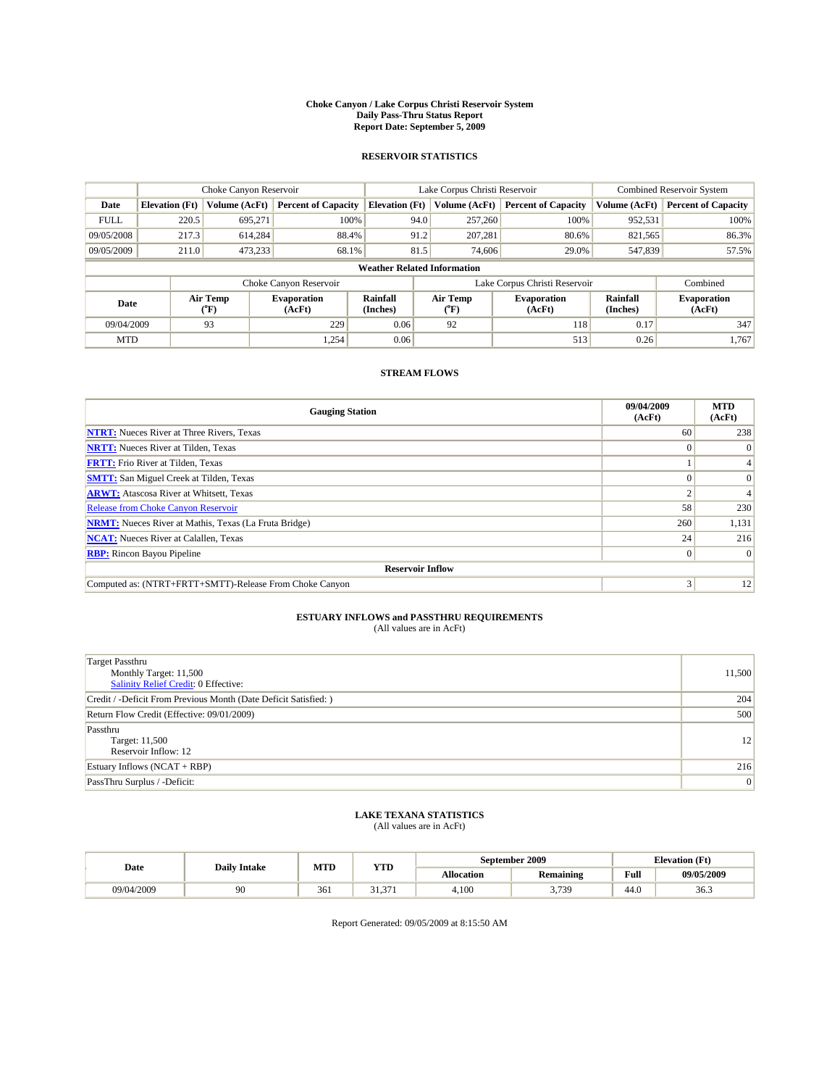#### **Choke Canyon / Lake Corpus Christi Reservoir System Daily Pass-Thru Status Report Report Date: September 5, 2009**

### **RESERVOIR STATISTICS**

|             | Choke Canyon Reservoir                                                                                                              |                      |                            |                                    | Lake Corpus Christi Reservoir | <b>Combined Reservoir System</b> |               |                            |
|-------------|-------------------------------------------------------------------------------------------------------------------------------------|----------------------|----------------------------|------------------------------------|-------------------------------|----------------------------------|---------------|----------------------------|
| Date        | <b>Elevation</b> (Ft)                                                                                                               | <b>Volume (AcFt)</b> | <b>Percent of Capacity</b> | <b>Elevation</b> (Ft)              | Volume (AcFt)                 | <b>Percent of Capacity</b>       | Volume (AcFt) | <b>Percent of Capacity</b> |
| <b>FULL</b> | 220.5                                                                                                                               | 695,271              | 100%                       | 94.0                               | 257,260                       | 100%                             | 952,531       | 100%                       |
| 09/05/2008  | 217.3                                                                                                                               | 614,284              | 88.4%                      | 91.2                               | 207,281                       | 80.6%                            | 821,565       | 86.3%                      |
| 09/05/2009  | 211.0                                                                                                                               | 473,233              | 68.1%                      | 81.5                               | 74,606                        | 29.0%                            | 547,839       | 57.5%                      |
|             |                                                                                                                                     |                      |                            | <b>Weather Related Information</b> |                               |                                  |               |                            |
|             |                                                                                                                                     |                      | Choke Canyon Reservoir     |                                    | Lake Corpus Christi Reservoir |                                  | Combined      |                            |
| Date        | Air Temp<br>Air Temp<br><b>Rainfall</b><br><b>Evaporation</b><br><b>Evaporation</b><br>(Inches)<br>(AcFt)<br>(°F)<br>(AcFt)<br>(°F) |                      | Rainfall<br>(Inches)       | <b>Evaporation</b><br>(AcFt)       |                               |                                  |               |                            |
| 09/04/2009  |                                                                                                                                     | 93                   | 229                        | 0.06                               | 92                            | 118                              | 0.17          | 347                        |
| <b>MTD</b>  |                                                                                                                                     |                      | 1,254                      | 0.06                               |                               | 513                              | 0.26          | 1.767                      |

### **STREAM FLOWS**

| <b>Gauging Station</b>                                       | 09/04/2009<br>(AcFt) | <b>MTD</b><br>(AcFt) |  |  |  |  |
|--------------------------------------------------------------|----------------------|----------------------|--|--|--|--|
| <b>NTRT:</b> Nueces River at Three Rivers, Texas             | 60                   | 238                  |  |  |  |  |
| <b>NRTT:</b> Nueces River at Tilden, Texas                   |                      | $\Omega$             |  |  |  |  |
| <b>FRTT:</b> Frio River at Tilden, Texas                     |                      |                      |  |  |  |  |
| <b>SMTT:</b> San Miguel Creek at Tilden, Texas               |                      | $\Omega$             |  |  |  |  |
| <b>ARWT:</b> Atascosa River at Whitsett, Texas               |                      | 4                    |  |  |  |  |
| <b>Release from Choke Canyon Reservoir</b>                   | 58                   | 230                  |  |  |  |  |
| <b>NRMT:</b> Nueces River at Mathis, Texas (La Fruta Bridge) | 260                  | 1,131                |  |  |  |  |
| <b>NCAT:</b> Nueces River at Calallen, Texas                 | 24                   | 216                  |  |  |  |  |
| <b>RBP:</b> Rincon Bayou Pipeline                            | $\Omega$             | $\Omega$             |  |  |  |  |
| <b>Reservoir Inflow</b>                                      |                      |                      |  |  |  |  |
| Computed as: (NTRT+FRTT+SMTT)-Release From Choke Canyon      | 3                    | 12                   |  |  |  |  |

# **ESTUARY INFLOWS and PASSTHRU REQUIREMENTS**

|  | (All values are in AcFt) |
|--|--------------------------|
|--|--------------------------|

| Target Passthru<br>Monthly Target: 11,500<br>Salinity Relief Credit: 0 Effective: | 11,500 |
|-----------------------------------------------------------------------------------|--------|
| Credit / -Deficit From Previous Month (Date Deficit Satisfied: )                  | 204    |
| Return Flow Credit (Effective: 09/01/2009)                                        | 500    |
| Passthru<br>Target: 11,500<br>Reservoir Inflow: 12                                | 12     |
| Estuary Inflows (NCAT + RBP)                                                      | 216    |
| PassThru Surplus / -Deficit:                                                      | 0      |

# **LAKE TEXANA STATISTICS** (All values are in AcFt)

|            | <b>Daily Intake</b> | MTD<br>YTD |                        |            | September 2009     | <b>Elevation</b> (Ft)                       |            |
|------------|---------------------|------------|------------------------|------------|--------------------|---------------------------------------------|------------|
| Date       |                     |            |                        | Allocation | <b>Remaining</b>   | Full<br>the contract of the contract of the | 09/05/2009 |
| 09/04/2009 | 90                  | 361        | $^{\circ}$<br>271<br>. | 4.100      | 2720<br>J.<br>, ., | 44.0                                        | 36.3       |

Report Generated: 09/05/2009 at 8:15:50 AM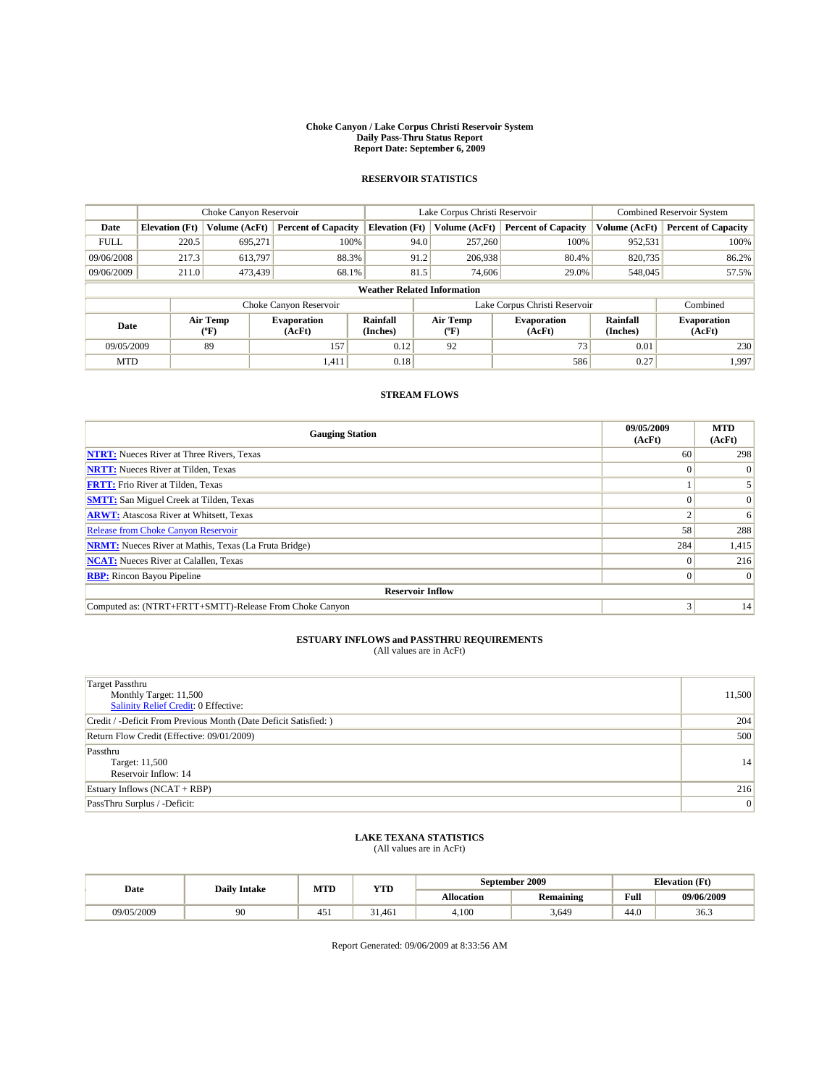#### **Choke Canyon / Lake Corpus Christi Reservoir System Daily Pass-Thru Status Report Report Date: September 6, 2009**

### **RESERVOIR STATISTICS**

|             | Choke Canyon Reservoir             |                              |                              |                       | Lake Corpus Christi Reservoir           |  |                              |                             | <b>Combined Reservoir System</b> |  |
|-------------|------------------------------------|------------------------------|------------------------------|-----------------------|-----------------------------------------|--|------------------------------|-----------------------------|----------------------------------|--|
| Date        | <b>Elevation</b> (Ft)              | Volume (AcFt)                | <b>Percent of Capacity</b>   | <b>Elevation</b> (Ft) | Volume (AcFt)                           |  | <b>Percent of Capacity</b>   | Volume (AcFt)               | <b>Percent of Capacity</b>       |  |
| <b>FULL</b> | 220.5                              | 695.271                      | 100%                         | 94.0                  | 257,260                                 |  | 100%                         | 952,531                     | 100%                             |  |
| 09/06/2008  | 217.3                              | 613.797                      | 88.3%                        | 91.2                  | 206,938                                 |  | 80.4%                        | 820,735                     | 86.2%                            |  |
| 09/06/2009  | 211.0                              | 473,439                      | 68.1%                        | 81.5                  | 74,606                                  |  | 29.0%                        | 548,045                     | 57.5%                            |  |
|             | <b>Weather Related Information</b> |                              |                              |                       |                                         |  |                              |                             |                                  |  |
|             |                                    |                              | Choke Canyon Reservoir       |                       | Lake Corpus Christi Reservoir           |  |                              |                             | Combined                         |  |
| Date        |                                    | Air Temp<br>$(^o\mathrm{F})$ | <b>Evaporation</b><br>(AcFt) | Rainfall<br>(Inches)  | Air Temp<br>$(^{\mathrm{o}}\mathrm{F})$ |  | <b>Evaporation</b><br>(AcFt) | <b>Rainfall</b><br>(Inches) | <b>Evaporation</b><br>(AcFt)     |  |
| 09/05/2009  |                                    | 89                           | 157                          | 0.12                  | 92                                      |  | 73                           | 0.01                        | 230                              |  |
| <b>MTD</b>  |                                    |                              | 1,411                        | 0.18                  |                                         |  | 586                          | 0.27                        | 1,997                            |  |

## **STREAM FLOWS**

| <b>Gauging Station</b>                                       | 09/05/2009<br>(AcFt) | <b>MTD</b><br>(AcFt) |  |  |  |  |  |  |
|--------------------------------------------------------------|----------------------|----------------------|--|--|--|--|--|--|
| <b>NTRT:</b> Nueces River at Three Rivers, Texas             | 60                   | 298                  |  |  |  |  |  |  |
| <b>NRTT:</b> Nueces River at Tilden, Texas                   |                      | $\Omega$             |  |  |  |  |  |  |
| <b>FRTT:</b> Frio River at Tilden, Texas                     |                      |                      |  |  |  |  |  |  |
| <b>SMTT:</b> San Miguel Creek at Tilden, Texas               |                      | $\Omega$             |  |  |  |  |  |  |
| <b>ARWT:</b> Atascosa River at Whitsett, Texas               |                      | 6                    |  |  |  |  |  |  |
| <b>Release from Choke Canyon Reservoir</b>                   | 58                   | 288                  |  |  |  |  |  |  |
| <b>NRMT:</b> Nueces River at Mathis, Texas (La Fruta Bridge) | 284                  | 1,415                |  |  |  |  |  |  |
| <b>NCAT:</b> Nueces River at Calallen, Texas                 |                      | 216                  |  |  |  |  |  |  |
| <b>RBP:</b> Rincon Bayou Pipeline                            |                      | $\vert 0 \vert$      |  |  |  |  |  |  |
| <b>Reservoir Inflow</b>                                      |                      |                      |  |  |  |  |  |  |
| Computed as: (NTRT+FRTT+SMTT)-Release From Choke Canyon      |                      | 14                   |  |  |  |  |  |  |

# **ESTUARY INFLOWS and PASSTHRU REQUIREMENTS**<br>(All values are in AcFt)

| Target Passthru<br>Monthly Target: 11,500<br><b>Salinity Relief Credit: 0 Effective:</b> | 11,500         |
|------------------------------------------------------------------------------------------|----------------|
| Credit / -Deficit From Previous Month (Date Deficit Satisfied: )                         | 204            |
| Return Flow Credit (Effective: 09/01/2009)                                               | 500            |
| Passthru<br>Target: 11,500<br>Reservoir Inflow: 14                                       | 14             |
| Estuary Inflows $(NCAT + RBP)$                                                           | 216            |
| PassThru Surplus / -Deficit:                                                             | $\overline{0}$ |

## **LAKE TEXANA STATISTICS** (All values are in AcFt)

| Date       | <b>Daily Intake</b> | MTD  | YTD    |                   | September 2009   | <b>Elevation</b> (Ft) |            |
|------------|---------------------|------|--------|-------------------|------------------|-----------------------|------------|
|            |                     |      |        | <b>Allocation</b> | <b>Remaining</b> | Full                  | 09/06/2009 |
| 09/05/2009 | $\alpha$            | -45. | 31.461 | 4.100             | 3,649            | 44.0                  | 36.3       |

Report Generated: 09/06/2009 at 8:33:56 AM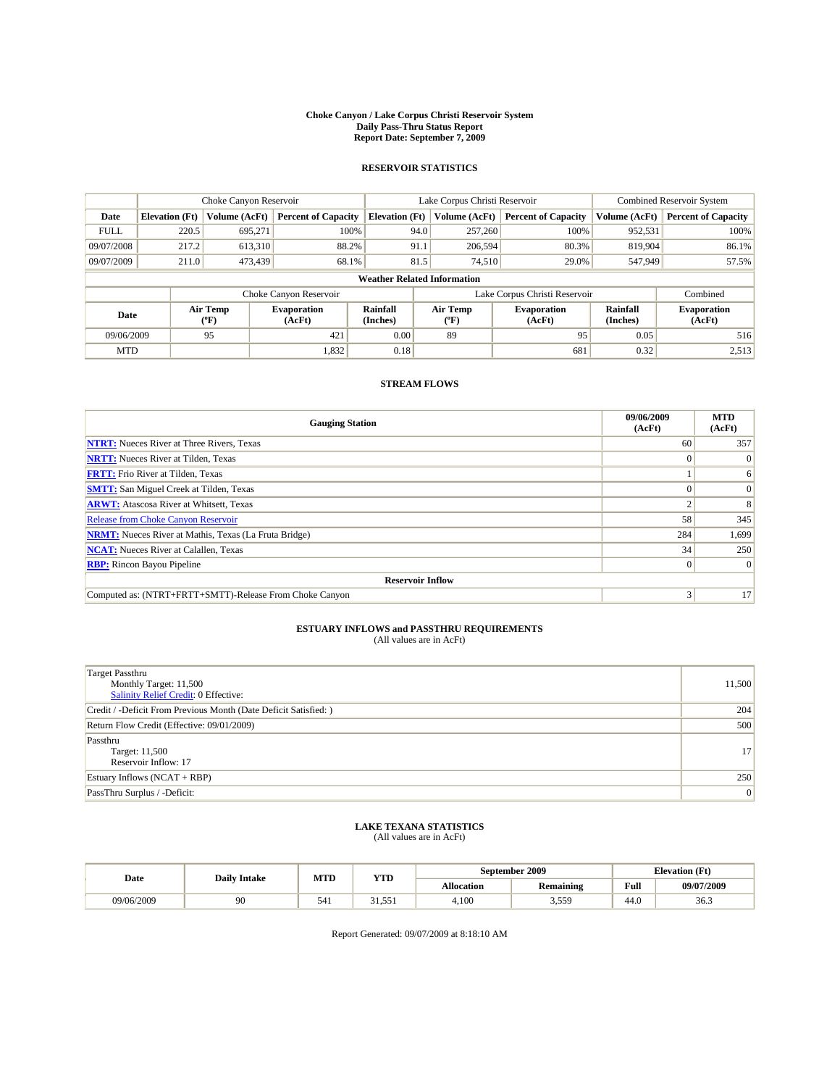#### **Choke Canyon / Lake Corpus Christi Reservoir System Daily Pass-Thru Status Report Report Date: September 7, 2009**

## **RESERVOIR STATISTICS**

|             | Choke Canyon Reservoir             |                  |                              |                       | Lake Corpus Christi Reservoir |                             |                               |                             | <b>Combined Reservoir System</b> |  |  |
|-------------|------------------------------------|------------------|------------------------------|-----------------------|-------------------------------|-----------------------------|-------------------------------|-----------------------------|----------------------------------|--|--|
| Date        | <b>Elevation</b> (Ft)              | Volume (AcFt)    | <b>Percent of Capacity</b>   | <b>Elevation</b> (Ft) |                               | Volume (AcFt)               | <b>Percent of Capacity</b>    | Volume (AcFt)               | <b>Percent of Capacity</b>       |  |  |
| <b>FULL</b> | 220.5                              | 695.271          | 100%                         |                       | 94.0                          | 257,260                     | 100%                          | 952,531                     | 100%                             |  |  |
| 09/07/2008  | 217.2                              | 613,310          | 88.2%                        |                       | 91.1                          | 206,594                     | 80.3%                         | 819,904                     | 86.1%                            |  |  |
| 09/07/2009  | 211.0                              | 473,439          | 68.1%                        |                       | 81.5                          | 74.510                      | 29.0%                         | 547,949                     | 57.5%                            |  |  |
|             | <b>Weather Related Information</b> |                  |                              |                       |                               |                             |                               |                             |                                  |  |  |
|             |                                    |                  | Choke Canyon Reservoir       |                       |                               |                             | Lake Corpus Christi Reservoir |                             | Combined                         |  |  |
| Date        |                                    | Air Temp<br>(°F) | <b>Evaporation</b><br>(AcFt) | Rainfall<br>(Inches)  |                               | Air Temp<br>${}^{\circ}$ F) | <b>Evaporation</b><br>(AcFt)  | <b>Rainfall</b><br>(Inches) | <b>Evaporation</b><br>(AcFt)     |  |  |
| 09/06/2009  |                                    | 95               | 421                          | 0.00                  |                               | 89                          | 95                            | 0.05                        | 516                              |  |  |
| <b>MTD</b>  |                                    |                  | 1,832                        | 0.18                  |                               |                             | 681                           | 0.32                        | 2,513                            |  |  |

### **STREAM FLOWS**

| <b>Gauging Station</b>                                       | 09/06/2009<br>(AcFt) | <b>MTD</b><br>(AcFt) |  |  |  |  |  |
|--------------------------------------------------------------|----------------------|----------------------|--|--|--|--|--|
| <b>NTRT:</b> Nueces River at Three Rivers, Texas             | 60                   | 357                  |  |  |  |  |  |
| <b>NRTT:</b> Nueces River at Tilden, Texas                   |                      | $\vert 0 \vert$      |  |  |  |  |  |
| <b>FRTT:</b> Frio River at Tilden, Texas                     |                      | 6                    |  |  |  |  |  |
| <b>SMTT:</b> San Miguel Creek at Tilden, Texas               |                      | $\Omega$             |  |  |  |  |  |
| <b>ARWT:</b> Atascosa River at Whitsett, Texas               |                      | 8                    |  |  |  |  |  |
| <b>Release from Choke Canyon Reservoir</b>                   | 58                   | 345                  |  |  |  |  |  |
| <b>NRMT:</b> Nueces River at Mathis, Texas (La Fruta Bridge) | 284                  | 1,699                |  |  |  |  |  |
| <b>NCAT:</b> Nueces River at Calallen, Texas                 | 34                   | 250                  |  |  |  |  |  |
| <b>RBP:</b> Rincon Bayou Pipeline                            | $\Omega$             | $\Omega$             |  |  |  |  |  |
| <b>Reservoir Inflow</b>                                      |                      |                      |  |  |  |  |  |
| Computed as: (NTRT+FRTT+SMTT)-Release From Choke Canyon      | 3                    | 17                   |  |  |  |  |  |

## **ESTUARY INFLOWS and PASSTHRU REQUIREMENTS**<br>(All values are in AcFt)

| <b>Target Passthru</b><br>Monthly Target: 11,500<br><b>Salinity Relief Credit: 0 Effective:</b> | 11,500          |
|-------------------------------------------------------------------------------------------------|-----------------|
| Credit / -Deficit From Previous Month (Date Deficit Satisfied: )                                | 204             |
| Return Flow Credit (Effective: 09/01/2009)                                                      | 500             |
| Passthru<br>Target: 11,500<br>Reservoir Inflow: 17                                              | 17 <sup>1</sup> |
| Estuary Inflows $(NCAT + RBP)$                                                                  | 250             |
| PassThru Surplus / -Deficit:                                                                    | 0               |

### **LAKE TEXANA STATISTICS** (All values are in AcFt)

| Date       | <b>Daily Intake</b> | <b>MTD</b> | YTD                       | September 2009    |                  | <b>Elevation</b> (Ft) |            |
|------------|---------------------|------------|---------------------------|-------------------|------------------|-----------------------|------------|
|            |                     |            |                           | <b>Allocation</b> | <b>Remaining</b> | Full                  | 09/07/2009 |
| 09/06/2009 | 90                  | 541        | $^{\circ}$<br>551<br>، ر. | 4.100             | 3,559            | 44.0                  | 36.3       |

Report Generated: 09/07/2009 at 8:18:10 AM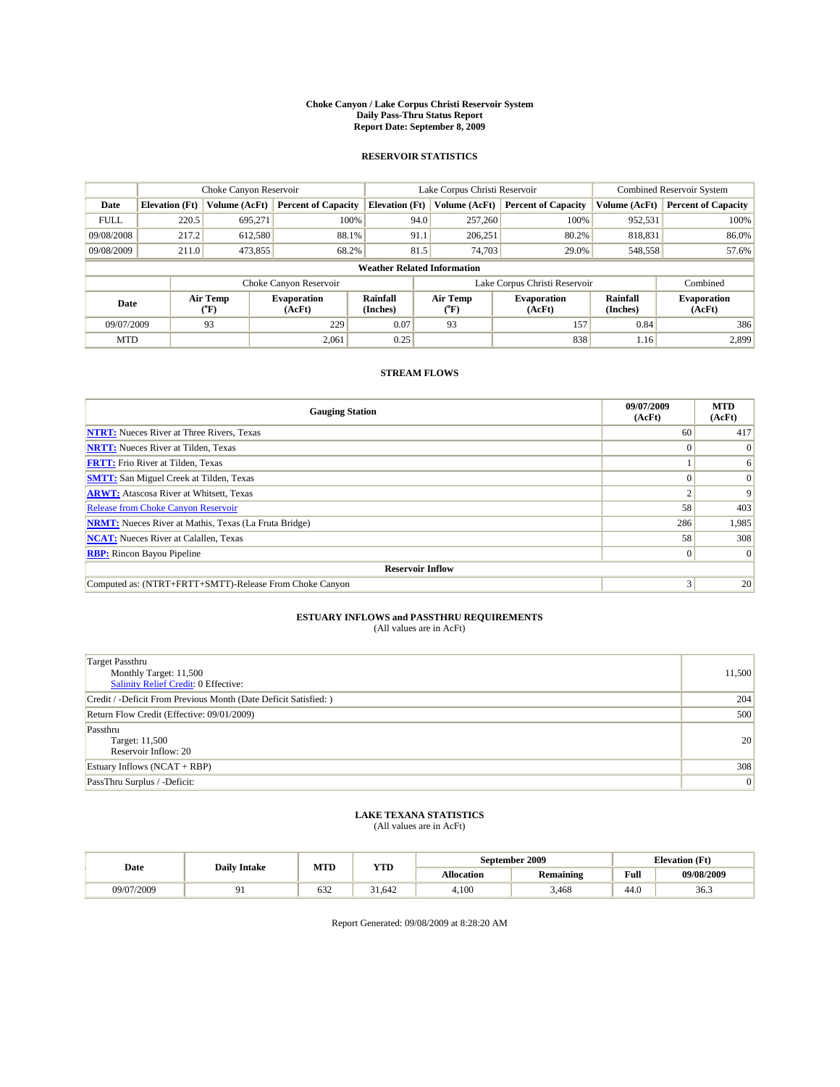#### **Choke Canyon / Lake Corpus Christi Reservoir System Daily Pass-Thru Status Report Report Date: September 8, 2009**

### **RESERVOIR STATISTICS**

|             | Choke Canyon Reservoir             |                      |                              |                             | Lake Corpus Christi Reservoir |                               | <b>Combined Reservoir System</b> |                              |  |  |
|-------------|------------------------------------|----------------------|------------------------------|-----------------------------|-------------------------------|-------------------------------|----------------------------------|------------------------------|--|--|
| Date        | <b>Elevation</b> (Ft)              | <b>Volume (AcFt)</b> | <b>Percent of Capacity</b>   | <b>Elevation</b> (Ft)       | Volume (AcFt)                 | <b>Percent of Capacity</b>    | Volume (AcFt)                    | <b>Percent of Capacity</b>   |  |  |
| <b>FULL</b> | 220.5                              | 695,271              | 100%                         | 94.0                        | 257,260                       | 100%                          | 952,531                          | 100%                         |  |  |
| 09/08/2008  | 217.2                              | 612,580              | 88.1%                        | 91.1                        | 206,251                       | 80.2%                         | 818,831                          | 86.0%                        |  |  |
| 09/08/2009  | 211.0                              | 473,855              | 68.2%                        | 81.5                        | 74,703                        | 29.0%                         | 548,558                          | 57.6%                        |  |  |
|             | <b>Weather Related Information</b> |                      |                              |                             |                               |                               |                                  |                              |  |  |
|             |                                    |                      | Choke Canyon Reservoir       |                             |                               | Lake Corpus Christi Reservoir |                                  | Combined                     |  |  |
| Date        |                                    | Air Temp<br>(°F)     | <b>Evaporation</b><br>(AcFt) | <b>Rainfall</b><br>(Inches) | Air Temp<br>(°F)              | <b>Evaporation</b><br>(AcFt)  | Rainfall<br>(Inches)             | <b>Evaporation</b><br>(AcFt) |  |  |
| 09/07/2009  |                                    | 93                   | 229                          | 0.07                        | 93                            | 157                           | 0.84                             | 386                          |  |  |
| <b>MTD</b>  |                                    |                      | 2,061                        | 0.25                        |                               | 838                           | 1.16                             | 2,899                        |  |  |

## **STREAM FLOWS**

| <b>Gauging Station</b>                                       | 09/07/2009<br>(AcFt) | <b>MTD</b><br>(AcFt) |  |  |  |  |  |
|--------------------------------------------------------------|----------------------|----------------------|--|--|--|--|--|
| <b>NTRT:</b> Nueces River at Three Rivers, Texas             | 60                   | 417                  |  |  |  |  |  |
| <b>NRTT:</b> Nueces River at Tilden, Texas                   |                      | $\Omega$             |  |  |  |  |  |
| <b>FRTT:</b> Frio River at Tilden, Texas                     |                      | 6                    |  |  |  |  |  |
| <b>SMTT:</b> San Miguel Creek at Tilden, Texas               |                      | $\Omega$             |  |  |  |  |  |
| <b>ARWT:</b> Atascosa River at Whitsett, Texas               |                      | 9                    |  |  |  |  |  |
| Release from Choke Canyon Reservoir                          | 58                   | 403                  |  |  |  |  |  |
| <b>NRMT:</b> Nueces River at Mathis, Texas (La Fruta Bridge) | 286                  | 1,985                |  |  |  |  |  |
| <b>NCAT:</b> Nueces River at Calallen, Texas                 | 58                   | 308                  |  |  |  |  |  |
| <b>RBP:</b> Rincon Bayou Pipeline                            | $\Omega$             | $\Omega$             |  |  |  |  |  |
| <b>Reservoir Inflow</b>                                      |                      |                      |  |  |  |  |  |
| Computed as: (NTRT+FRTT+SMTT)-Release From Choke Canyon      | 3                    | 20                   |  |  |  |  |  |

# **ESTUARY INFLOWS and PASSTHRU REQUIREMENTS**

| (All values are in AcFt) |  |  |
|--------------------------|--|--|
|--------------------------|--|--|

| Target Passthru<br>Monthly Target: 11,500<br>Salinity Relief Credit: 0 Effective: | 11,500 |
|-----------------------------------------------------------------------------------|--------|
| Credit / -Deficit From Previous Month (Date Deficit Satisfied: )                  | 204    |
| Return Flow Credit (Effective: 09/01/2009)                                        | 500    |
| Passthru<br>Target: 11,500<br>Reservoir Inflow: 20                                | 20     |
| Estuary Inflows (NCAT + RBP)                                                      | 308    |
| PassThru Surplus / -Deficit:                                                      | 0      |

## **LAKE TEXANA STATISTICS** (All values are in AcFt)

| <b>Daily Intake</b> |  | MTD | YTD    | September 2009 |                  | <b>Elevation</b> (Ft)                       |            |
|---------------------|--|-----|--------|----------------|------------------|---------------------------------------------|------------|
| Date                |  |     |        | Allocation     | <b>Remaining</b> | Full<br>the contract of the contract of the | 09/08/2009 |
| 09/07/2009          |  | 632 | 31.642 | 4.100          | 3.468            | 44.0                                        | 36.3       |

Report Generated: 09/08/2009 at 8:28:20 AM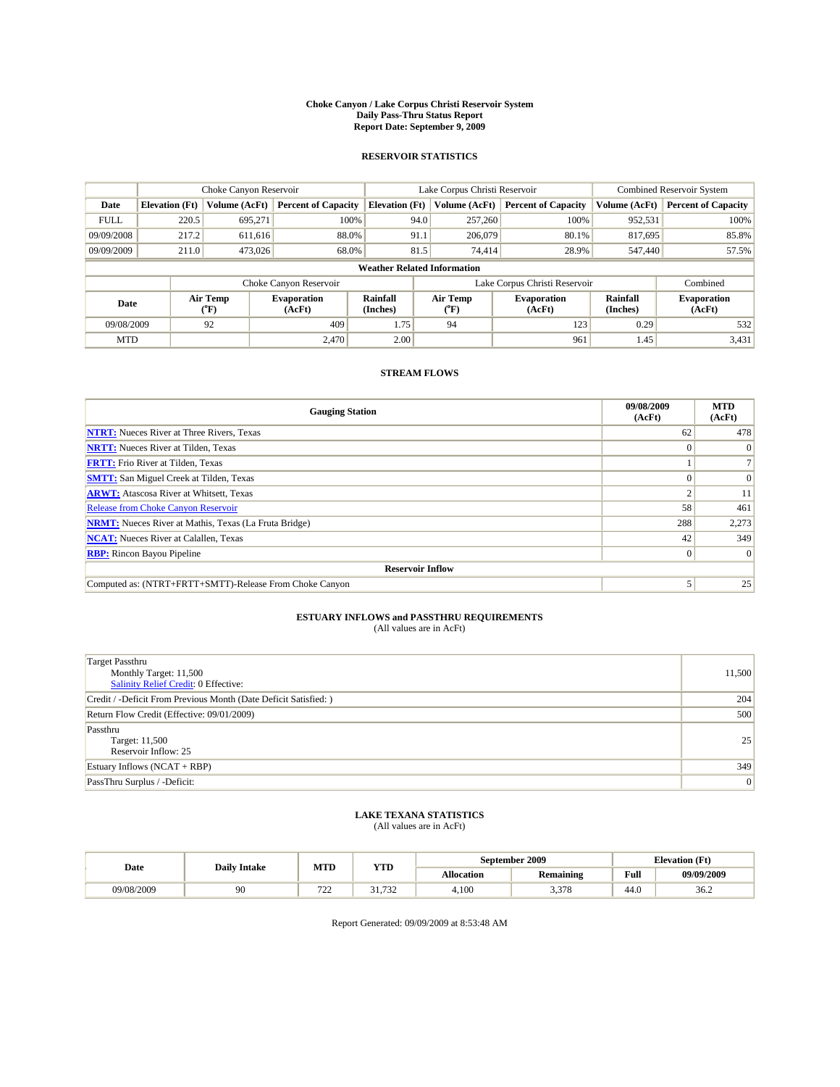#### **Choke Canyon / Lake Corpus Christi Reservoir System Daily Pass-Thru Status Report Report Date: September 9, 2009**

### **RESERVOIR STATISTICS**

|             |                                                   | Choke Canyon Reservoir |                              |                                    | Lake Corpus Christi Reservoir | <b>Combined Reservoir System</b> |                      |                              |
|-------------|---------------------------------------------------|------------------------|------------------------------|------------------------------------|-------------------------------|----------------------------------|----------------------|------------------------------|
| Date        | <b>Elevation</b> (Ft)                             | <b>Volume (AcFt)</b>   | <b>Percent of Capacity</b>   | <b>Elevation</b> (Ft)              | Volume (AcFt)                 | <b>Percent of Capacity</b>       | Volume (AcFt)        | <b>Percent of Capacity</b>   |
| <b>FULL</b> | 220.5                                             | 695,271                | 100%                         | 94.0                               | 257,260                       | 100%                             | 952,531              | 100%                         |
| 09/09/2008  | 217.2                                             | 611,616                | 88.0%                        | 91.1                               | 206,079                       | 80.1%                            | 817,695              | 85.8%                        |
| 09/09/2009  | 211.0                                             | 473,026                | 68.0%                        | 81.5                               | 74,414                        | 28.9%                            | 547,440              | 57.5%                        |
|             |                                                   |                        |                              | <b>Weather Related Information</b> |                               |                                  |                      |                              |
|             |                                                   |                        | Choke Canyon Reservoir       |                                    |                               | Lake Corpus Christi Reservoir    |                      | Combined                     |
|             | Air Temp<br>Date<br>$({}^{\mathrm{o}}\mathrm{F})$ |                        | <b>Evaporation</b><br>(AcFt) | <b>Rainfall</b><br>(Inches)        | Air Temp<br>(°F)              | <b>Evaporation</b><br>(AcFt)     | Rainfall<br>(Inches) | <b>Evaporation</b><br>(AcFt) |
| 09/08/2009  |                                                   | 92                     | 409                          | 1.75                               | 94                            | 123                              | 0.29                 | 532                          |
| <b>MTD</b>  |                                                   |                        | 2.470                        | 2.00                               |                               | 961                              | 1.45                 | 3,431                        |

### **STREAM FLOWS**

| <b>Gauging Station</b>                                       | 09/08/2009<br>(AcFt) | <b>MTD</b><br>(AcFt) |  |  |  |  |  |
|--------------------------------------------------------------|----------------------|----------------------|--|--|--|--|--|
| <b>NTRT:</b> Nueces River at Three Rivers, Texas             | 62                   | 478                  |  |  |  |  |  |
| <b>NRTT:</b> Nueces River at Tilden, Texas                   |                      | $\Omega$             |  |  |  |  |  |
| <b>FRTT:</b> Frio River at Tilden, Texas                     |                      |                      |  |  |  |  |  |
| <b>SMTT:</b> San Miguel Creek at Tilden, Texas               |                      | $\Omega$             |  |  |  |  |  |
| <b>ARWT:</b> Atascosa River at Whitsett, Texas               |                      | 11                   |  |  |  |  |  |
| <b>Release from Choke Canyon Reservoir</b>                   | 58                   | 461                  |  |  |  |  |  |
| <b>NRMT:</b> Nueces River at Mathis, Texas (La Fruta Bridge) | 288                  | 2,273                |  |  |  |  |  |
| <b>NCAT:</b> Nueces River at Calallen, Texas                 | 42                   | 349                  |  |  |  |  |  |
| <b>RBP:</b> Rincon Bayou Pipeline                            | $\Omega$             | $\Omega$             |  |  |  |  |  |
| <b>Reservoir Inflow</b>                                      |                      |                      |  |  |  |  |  |
| Computed as: (NTRT+FRTT+SMTT)-Release From Choke Canyon      |                      | 25                   |  |  |  |  |  |

# **ESTUARY INFLOWS and PASSTHRU REQUIREMENTS**

|  | (All values are in AcFt) |
|--|--------------------------|
|--|--------------------------|

| Target Passthru<br>Monthly Target: 11,500<br>Salinity Relief Credit: 0 Effective: | 11,500 |
|-----------------------------------------------------------------------------------|--------|
| Credit / -Deficit From Previous Month (Date Deficit Satisfied: )                  | 204    |
| Return Flow Credit (Effective: 09/01/2009)                                        | 500    |
| Passthru<br>Target: 11,500<br>Reservoir Inflow: 25                                | 25     |
| Estuary Inflows (NCAT + RBP)                                                      | 349    |
| PassThru Surplus / -Deficit:                                                      | 0      |

# **LAKE TEXANA STATISTICS** (All values are in AcFt)

| Date       | <b>Daily Intake</b> | MTD                             | YTD                                            |            | September 2009   | <b>Elevation</b> (Ft) |            |
|------------|---------------------|---------------------------------|------------------------------------------------|------------|------------------|-----------------------|------------|
|            |                     |                                 |                                                | Allocation | <b>Remaining</b> | Full                  | 09/09/2009 |
| 09/08/2009 | 90                  | $\overline{\phantom{a}}$<br>ىمە | $^{\circ}$<br>$\Box \Delta \Delta$<br>ے ر<br>. | 4.100      | 270<br>ں ہیں۔    | 44.0                  | 36.2       |

Report Generated: 09/09/2009 at 8:53:48 AM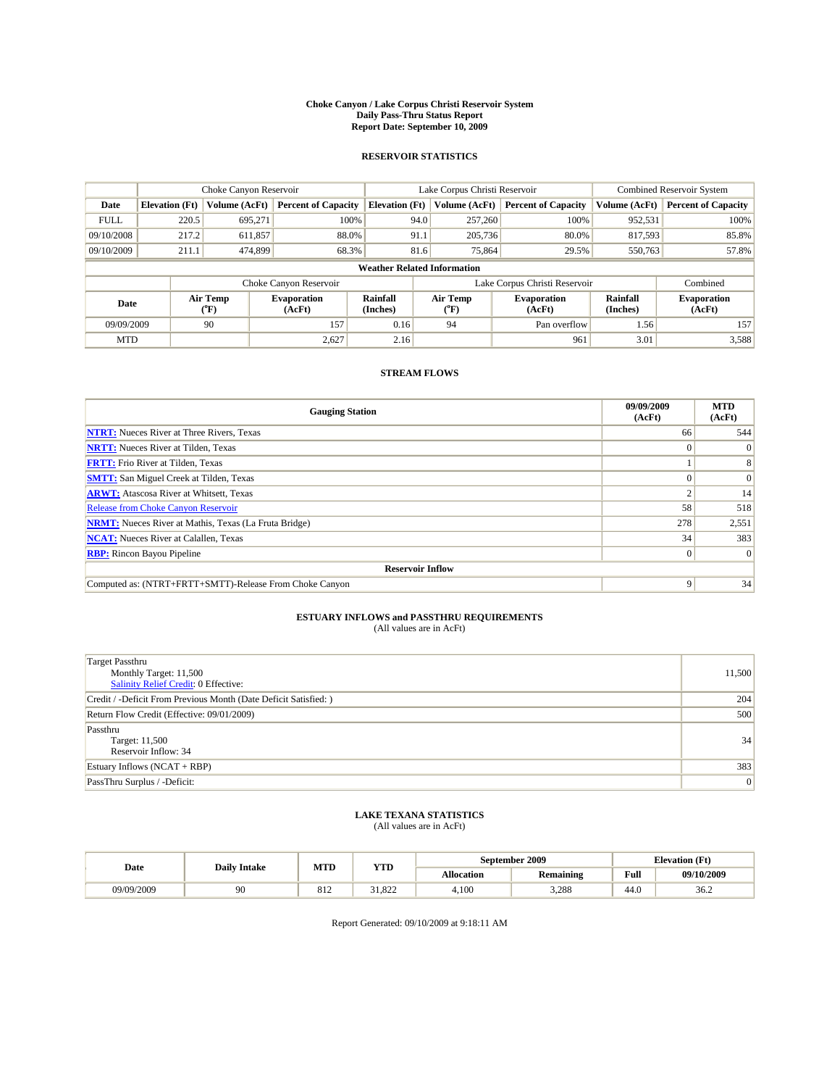#### **Choke Canyon / Lake Corpus Christi Reservoir System Daily Pass-Thru Status Report Report Date: September 10, 2009**

### **RESERVOIR STATISTICS**

|             |                                    | Choke Canyon Reservoir |                            |                                    | Lake Corpus Christi Reservoir | <b>Combined Reservoir System</b> |                      |                              |
|-------------|------------------------------------|------------------------|----------------------------|------------------------------------|-------------------------------|----------------------------------|----------------------|------------------------------|
| Date        | <b>Elevation</b> (Ft)              | <b>Volume (AcFt)</b>   | <b>Percent of Capacity</b> | <b>Elevation</b> (Ft)              | Volume (AcFt)                 | <b>Percent of Capacity</b>       | Volume (AcFt)        | <b>Percent of Capacity</b>   |
| <b>FULL</b> | 220.5                              | 695,271                | 100%                       | 94.0                               | 257,260                       | 100%                             | 952,531              | 100%                         |
| 09/10/2008  | 217.2                              | 611,857                | 88.0%                      | 91.1                               | 205,736                       | 80.0%                            | 817,593              | 85.8%                        |
| 09/10/2009  | 211.1                              | 474,899                | 68.3%                      | 81.6                               | 75,864                        | 29.5%                            | 550,763              | 57.8%                        |
|             |                                    |                        |                            | <b>Weather Related Information</b> |                               |                                  |                      |                              |
|             |                                    |                        | Choke Canyon Reservoir     |                                    |                               | Lake Corpus Christi Reservoir    |                      | Combined                     |
|             | Air Temp<br>Date<br>(AcFt)<br>(°F) |                        | <b>Evaporation</b>         | Rainfall<br>(Inches)               | Air Temp<br>("F)              | <b>Evaporation</b><br>(AcFt)     | Rainfall<br>(Inches) | <b>Evaporation</b><br>(AcFt) |
| 09/09/2009  |                                    | 90                     | 157                        | 0.16                               | 94                            | Pan overflow                     | 1.56                 | 157                          |
| <b>MTD</b>  |                                    |                        | 2.627                      | 2.16                               |                               | 961                              | 3.01                 | 3,588                        |

### **STREAM FLOWS**

| <b>Gauging Station</b>                                       | 09/09/2009<br>(AcFt) | <b>MTD</b><br>(AcFt) |  |  |  |  |  |
|--------------------------------------------------------------|----------------------|----------------------|--|--|--|--|--|
| <b>NTRT:</b> Nueces River at Three Rivers, Texas             | 66                   | 544                  |  |  |  |  |  |
| <b>NRTT:</b> Nueces River at Tilden, Texas                   |                      | $\Omega$             |  |  |  |  |  |
| <b>FRTT:</b> Frio River at Tilden, Texas                     |                      | 8                    |  |  |  |  |  |
| <b>SMTT:</b> San Miguel Creek at Tilden, Texas               |                      | $\vert 0 \vert$      |  |  |  |  |  |
| <b>ARWT:</b> Atascosa River at Whitsett, Texas               |                      | 14                   |  |  |  |  |  |
| Release from Choke Canyon Reservoir                          | 58                   | 518                  |  |  |  |  |  |
| <b>NRMT:</b> Nueces River at Mathis, Texas (La Fruta Bridge) | 278                  | 2,551                |  |  |  |  |  |
| <b>NCAT:</b> Nueces River at Calallen, Texas                 | 34                   | 383                  |  |  |  |  |  |
| <b>RBP:</b> Rincon Bayou Pipeline                            | $\Omega$             | $\Omega$             |  |  |  |  |  |
| <b>Reservoir Inflow</b>                                      |                      |                      |  |  |  |  |  |
| Computed as: (NTRT+FRTT+SMTT)-Release From Choke Canyon      | Q                    | 34                   |  |  |  |  |  |

# **ESTUARY INFLOWS and PASSTHRU REQUIREMENTS**<br>(All values are in AcFt)

| Target Passthru<br>Monthly Target: 11,500<br>Salinity Relief Credit: 0 Effective: | 11,500 |
|-----------------------------------------------------------------------------------|--------|
| Credit / -Deficit From Previous Month (Date Deficit Satisfied: )                  | 204    |
| Return Flow Credit (Effective: 09/01/2009)                                        | 500    |
| Passthru<br>Target: 11,500<br>Reservoir Inflow: 34                                | 34     |
| Estuary Inflows $(NCAT + RBP)$                                                    | 383    |
| PassThru Surplus / -Deficit:                                                      | 0      |

## **LAKE TEXANA STATISTICS** (All values are in AcFt)

| Date       | <b>Daily Intake</b> | MTD | YTD                     |                   | September 2009   | <b>Elevation</b> (Ft) |            |
|------------|---------------------|-----|-------------------------|-------------------|------------------|-----------------------|------------|
|            |                     |     |                         | <b>Allocation</b> | <b>Remaining</b> | Full                  | 09/10/2009 |
| 09/09/2009 | 90                  | 012 | 022<br>$\sim$<br>31.OZZ | 4.100             | 3,288            | 44.0                  | 36.2       |

Report Generated: 09/10/2009 at 9:18:11 AM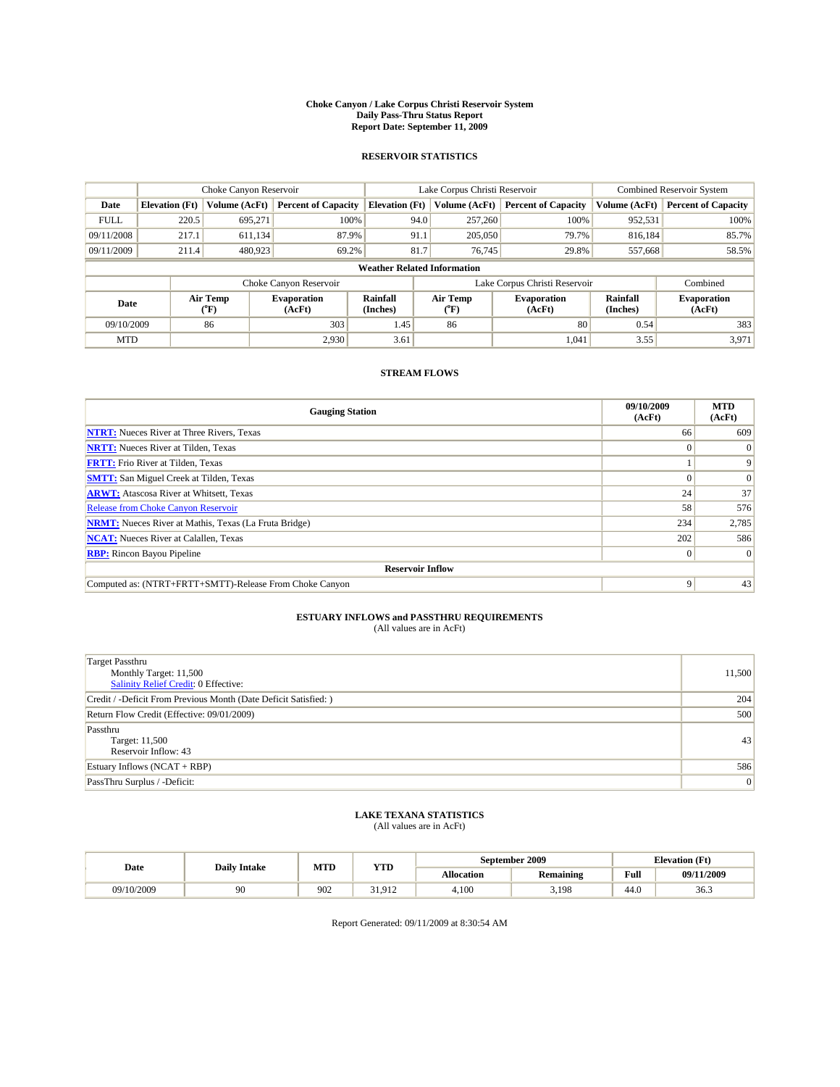#### **Choke Canyon / Lake Corpus Christi Reservoir System Daily Pass-Thru Status Report Report Date: September 11, 2009**

### **RESERVOIR STATISTICS**

|             |                                                          | Choke Canyon Reservoir |                            |                                    | Lake Corpus Christi Reservoir | <b>Combined Reservoir System</b> |                      |                              |
|-------------|----------------------------------------------------------|------------------------|----------------------------|------------------------------------|-------------------------------|----------------------------------|----------------------|------------------------------|
| Date        | <b>Elevation</b> (Ft)                                    | <b>Volume (AcFt)</b>   | <b>Percent of Capacity</b> | <b>Elevation</b> (Ft)              | Volume (AcFt)                 | <b>Percent of Capacity</b>       | Volume (AcFt)        | <b>Percent of Capacity</b>   |
| <b>FULL</b> | 220.5                                                    | 695,271                | 100%                       | 94.0                               | 257,260                       | 100%                             | 952,531              | 100%                         |
| 09/11/2008  | 217.1                                                    | 611,134                | 87.9%                      | 91.1                               | 205,050                       | 79.7%                            | 816,184              | 85.7%                        |
| 09/11/2009  | 211.4                                                    | 480,923                | 69.2%                      | 81.7                               | 76,745                        | 29.8%                            | 557,668              | 58.5%                        |
|             |                                                          |                        |                            | <b>Weather Related Information</b> |                               |                                  |                      |                              |
|             |                                                          |                        | Choke Canyon Reservoir     |                                    |                               | Lake Corpus Christi Reservoir    |                      | Combined                     |
|             | Air Temp<br><b>Evaporation</b><br>Date<br>(AcFt)<br>(°F) |                        |                            | <b>Rainfall</b><br>(Inches)        | Air Temp<br>(°F)              | <b>Evaporation</b><br>(AcFt)     | Rainfall<br>(Inches) | <b>Evaporation</b><br>(AcFt) |
| 09/10/2009  |                                                          | 86                     | 303                        | 1.45                               | 86                            | 80                               | 0.54                 | 383                          |
| <b>MTD</b>  |                                                          |                        | 2.930                      | 3.61                               |                               | 1,041                            | 3.55                 | 3,971                        |

### **STREAM FLOWS**

| <b>Gauging Station</b>                                       | 09/10/2009<br>(AcFt) | <b>MTD</b><br>(AcFt) |  |  |  |  |  |
|--------------------------------------------------------------|----------------------|----------------------|--|--|--|--|--|
| <b>NTRT:</b> Nueces River at Three Rivers, Texas             | 66                   | 609                  |  |  |  |  |  |
| <b>NRTT:</b> Nueces River at Tilden, Texas                   |                      | $\Omega$             |  |  |  |  |  |
| <b>FRTT:</b> Frio River at Tilden, Texas                     |                      | 9                    |  |  |  |  |  |
| <b>SMTT:</b> San Miguel Creek at Tilden, Texas               |                      | $\Omega$             |  |  |  |  |  |
| <b>ARWT:</b> Atascosa River at Whitsett, Texas               | 24                   | 37                   |  |  |  |  |  |
| <b>Release from Choke Canyon Reservoir</b>                   | 58                   | 576                  |  |  |  |  |  |
| <b>NRMT:</b> Nueces River at Mathis, Texas (La Fruta Bridge) | 234                  | 2,785                |  |  |  |  |  |
| <b>NCAT:</b> Nueces River at Calallen, Texas                 | 202                  | 586                  |  |  |  |  |  |
| <b>RBP:</b> Rincon Bayou Pipeline                            | $\Omega$             | $\Omega$             |  |  |  |  |  |
| <b>Reservoir Inflow</b>                                      |                      |                      |  |  |  |  |  |
| Computed as: (NTRT+FRTT+SMTT)-Release From Choke Canyon      | 9                    | 43                   |  |  |  |  |  |

# **ESTUARY INFLOWS and PASSTHRU REQUIREMENTS**<br>(All values are in AcFt)

| Target Passthru<br>Monthly Target: 11,500<br>Salinity Relief Credit: 0 Effective: | 11,500 |
|-----------------------------------------------------------------------------------|--------|
| Credit / -Deficit From Previous Month (Date Deficit Satisfied: )                  | 204    |
| Return Flow Credit (Effective: 09/01/2009)                                        | 500    |
| Passthru<br>Target: 11,500<br>Reservoir Inflow: 43                                | 43     |
| Estuary Inflows $(NCAT + RBP)$                                                    | 586    |
| PassThru Surplus / -Deficit:                                                      | 0      |

# **LAKE TEXANA STATISTICS** (All values are in AcFt)

| Date<br><b>Daily Intake</b> |    | MTD | <b>YTD</b>                       |                   | September 2009   | <b>Elevation</b> (Ft) |            |
|-----------------------------|----|-----|----------------------------------|-------------------|------------------|-----------------------|------------|
|                             |    |     |                                  | <b>Allocation</b> | <b>Remaining</b> | Full                  | 09/11/2009 |
| 09/10/2009                  | 90 | 902 | $\sim$ 1<br>$+01^\circ$<br>----- | 4.100             | 3,198            | 44.0                  | 36.3       |

Report Generated: 09/11/2009 at 8:30:54 AM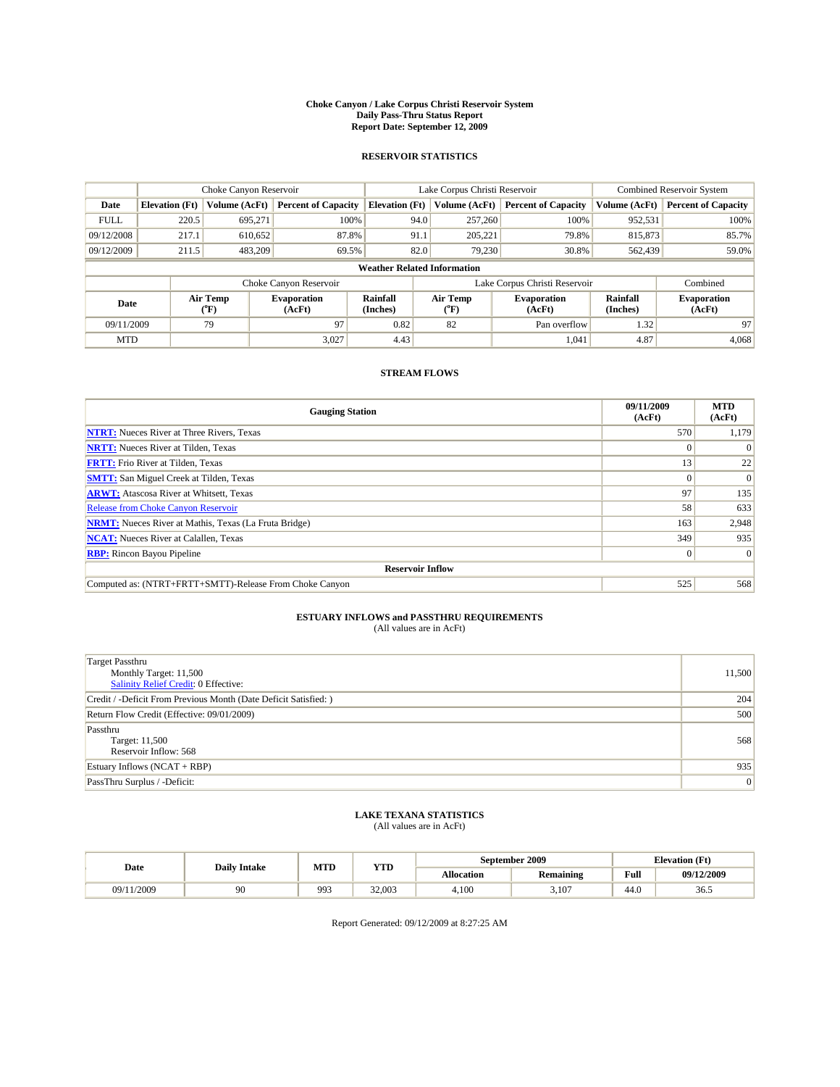#### **Choke Canyon / Lake Corpus Christi Reservoir System Daily Pass-Thru Status Report Report Date: September 12, 2009**

### **RESERVOIR STATISTICS**

|                                     | Choke Canyon Reservoir             |                      | Lake Corpus Christi Reservoir |                       |                               |                              | Combined Reservoir System    |                      |                              |  |
|-------------------------------------|------------------------------------|----------------------|-------------------------------|-----------------------|-------------------------------|------------------------------|------------------------------|----------------------|------------------------------|--|
| Date                                | <b>Elevation</b> (Ft)              | <b>Volume (AcFt)</b> | <b>Percent of Capacity</b>    | <b>Elevation</b> (Ft) |                               | Volume (AcFt)                | <b>Percent of Capacity</b>   | Volume (AcFt)        | <b>Percent of Capacity</b>   |  |
| <b>FULL</b>                         | 220.5                              | 695,271              | 100%                          |                       | 94.0                          | 257,260                      | 100%                         | 952,531              | 100%                         |  |
| 09/12/2008                          | 217.1                              | 610,652              | 87.8%                         |                       | 91.1                          | 205.221                      | 79.8%                        | 815,873              | 85.7%                        |  |
| 09/12/2009                          | 211.5                              | 483.209              | 69.5%                         |                       | 82.0                          | 79.230                       | 30.8%                        | 562,439              | 59.0%                        |  |
|                                     | <b>Weather Related Information</b> |                      |                               |                       |                               |                              |                              |                      |                              |  |
|                                     |                                    |                      | Choke Canyon Reservoir        |                       | Lake Corpus Christi Reservoir |                              |                              |                      | Combined                     |  |
| Air Temp<br>Date<br>${}^{\circ}$ F) |                                    |                      | <b>Evaporation</b><br>(AcFt)  | Rainfall<br>(Inches)  |                               | Air Temp<br>$\rm ^{(^o}\!F)$ | <b>Evaporation</b><br>(AcFt) | Rainfall<br>(Inches) | <b>Evaporation</b><br>(AcFt) |  |
| 09/11/2009                          |                                    | 79                   | 97                            | 0.82                  |                               | 82                           | Pan overflow                 | 1.32                 | 97                           |  |
| <b>MTD</b>                          |                                    |                      | 3,027                         | 4.43                  |                               |                              | 1,041                        | 4.87                 | 4,068                        |  |

## **STREAM FLOWS**

| <b>Gauging Station</b>                                       | 09/11/2009<br>(AcFt) | <b>MTD</b><br>(AcFt) |  |  |  |  |
|--------------------------------------------------------------|----------------------|----------------------|--|--|--|--|
| <b>NTRT:</b> Nueces River at Three Rivers, Texas             | 570                  | 1,179                |  |  |  |  |
| <b>NRTT:</b> Nueces River at Tilden, Texas                   |                      |                      |  |  |  |  |
| <b>FRTT:</b> Frio River at Tilden, Texas                     | 13                   | 22                   |  |  |  |  |
| <b>SMTT:</b> San Miguel Creek at Tilden, Texas               | $\Omega$             | $\Omega$             |  |  |  |  |
| <b>ARWT:</b> Atascosa River at Whitsett, Texas               | 97                   | 135                  |  |  |  |  |
| <b>Release from Choke Canyon Reservoir</b>                   | 58                   | 633                  |  |  |  |  |
| <b>NRMT:</b> Nueces River at Mathis, Texas (La Fruta Bridge) | 163                  | 2,948                |  |  |  |  |
| <b>NCAT:</b> Nueces River at Calallen, Texas                 | 349                  | 935                  |  |  |  |  |
| <b>RBP:</b> Rincon Bayou Pipeline                            | $\vert 0 \vert$      | $\Omega$             |  |  |  |  |
| <b>Reservoir Inflow</b>                                      |                      |                      |  |  |  |  |
| Computed as: (NTRT+FRTT+SMTT)-Release From Choke Canyon      | 525                  | 568                  |  |  |  |  |

# **ESTUARY INFLOWS and PASSTHRU REQUIREMENTS**<br>(All values are in AcFt)

| <b>Target Passthru</b><br>Monthly Target: 11,500<br>Salinity Relief Credit: 0 Effective: | 11,500 |
|------------------------------------------------------------------------------------------|--------|
| Credit / -Deficit From Previous Month (Date Deficit Satisfied: )                         | 204    |
| Return Flow Credit (Effective: 09/01/2009)                                               | 500    |
| Passthru<br>Target: 11,500<br>Reservoir Inflow: 568                                      | 568    |
| Estuary Inflows $(NCAT + RBP)$                                                           | 935    |
| PassThru Surplus / -Deficit:                                                             | 0      |

## **LAKE TEXANA STATISTICS** (All values are in AcFt)

| Date<br><b>Daily Intake</b> |    | MTD | YTD    |                   | September 2009   | <b>Elevation</b> (Ft) |            |
|-----------------------------|----|-----|--------|-------------------|------------------|-----------------------|------------|
|                             |    |     |        | <b>Allocation</b> | <b>Remaining</b> | Full                  | 09/12/2009 |
| /2009<br>09/1               | 90 | 993 | 32,003 | 4.100             | 3,107            | 44.0                  | 36.5       |

Report Generated: 09/12/2009 at 8:27:25 AM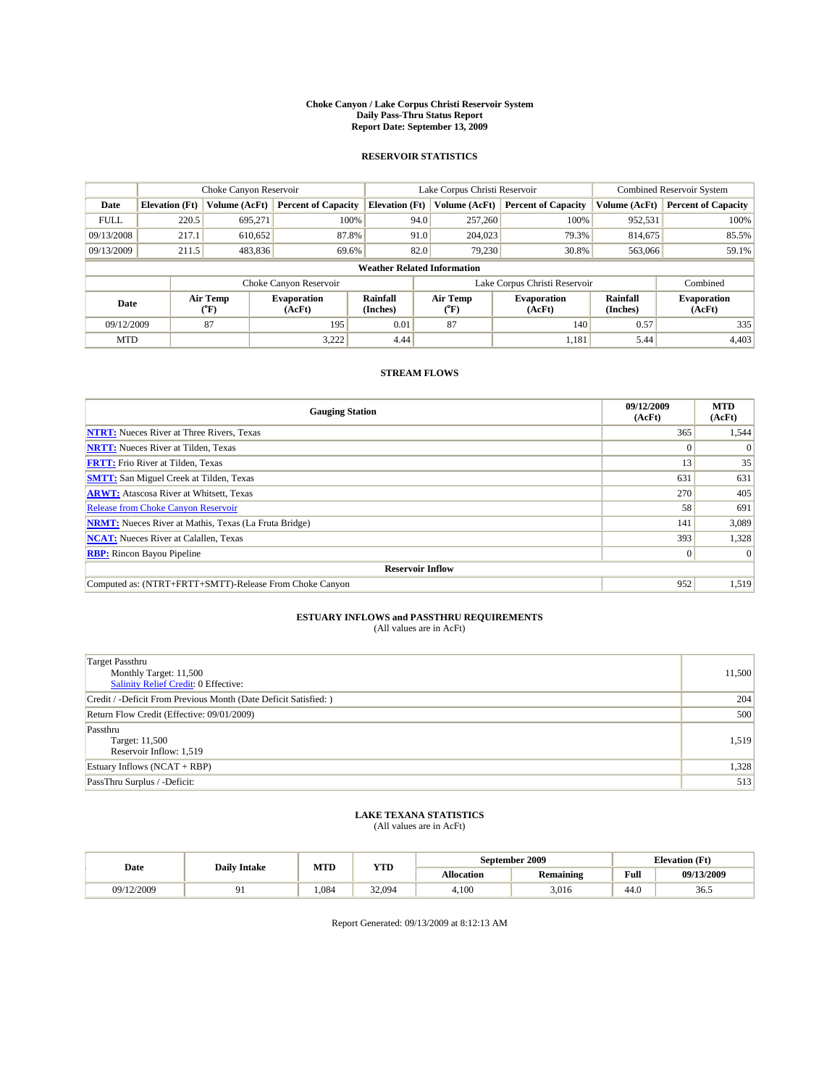#### **Choke Canyon / Lake Corpus Christi Reservoir System Daily Pass-Thru Status Report Report Date: September 13, 2009**

### **RESERVOIR STATISTICS**

|             | Choke Canyon Reservoir             |                      |                              |                             | Lake Corpus Christi Reservoir | <b>Combined Reservoir System</b> |                      |                              |  |  |
|-------------|------------------------------------|----------------------|------------------------------|-----------------------------|-------------------------------|----------------------------------|----------------------|------------------------------|--|--|
| Date        | <b>Elevation</b> (Ft)              | <b>Volume (AcFt)</b> | <b>Percent of Capacity</b>   | <b>Elevation</b> (Ft)       | Volume (AcFt)                 | <b>Percent of Capacity</b>       | Volume (AcFt)        | <b>Percent of Capacity</b>   |  |  |
| <b>FULL</b> | 220.5                              | 695,271              | 100%                         | 94.0                        | 257,260                       | 100%                             | 952,531              | 100%                         |  |  |
| 09/13/2008  | 217.1                              | 610,652              | 87.8%                        | 91.0                        | 204,023                       | 79.3%                            | 814,675              | 85.5%                        |  |  |
| 09/13/2009  | 211.5                              | 483,836              | 69.6%                        | 82.0                        | 79.230                        | 30.8%                            | 563,066              | 59.1%                        |  |  |
|             | <b>Weather Related Information</b> |                      |                              |                             |                               |                                  |                      |                              |  |  |
|             |                                    |                      | Choke Canyon Reservoir       |                             |                               | Lake Corpus Christi Reservoir    |                      | Combined                     |  |  |
|             | Air Temp<br>Date<br>(°F)           |                      | <b>Evaporation</b><br>(AcFt) | <b>Rainfall</b><br>(Inches) | Air Temp<br>(°F)              | <b>Evaporation</b><br>(AcFt)     | Rainfall<br>(Inches) | <b>Evaporation</b><br>(AcFt) |  |  |
| 09/12/2009  |                                    | 87                   | 195                          | 0.01                        | 87                            | 140                              | 0.57                 | 335                          |  |  |
| <b>MTD</b>  |                                    |                      | 3,222                        | 4.44                        |                               | 1,181                            | 5.44                 | 4,403                        |  |  |

### **STREAM FLOWS**

| <b>Gauging Station</b>                                       | 09/12/2009<br>(AcFt) | <b>MTD</b><br>(AcFt) |  |  |  |  |  |
|--------------------------------------------------------------|----------------------|----------------------|--|--|--|--|--|
| <b>NTRT:</b> Nueces River at Three Rivers, Texas             | 365                  | 1,544                |  |  |  |  |  |
| <b>NRTT:</b> Nueces River at Tilden, Texas                   | $\Omega$             |                      |  |  |  |  |  |
| <b>FRTT:</b> Frio River at Tilden, Texas                     | 13                   | 35                   |  |  |  |  |  |
| <b>SMTT:</b> San Miguel Creek at Tilden, Texas               | 631                  | 631                  |  |  |  |  |  |
| <b>ARWT:</b> Atascosa River at Whitsett, Texas               | 270                  | 405                  |  |  |  |  |  |
| <b>Release from Choke Canyon Reservoir</b>                   | 58                   | 691                  |  |  |  |  |  |
| <b>NRMT:</b> Nueces River at Mathis, Texas (La Fruta Bridge) | 141                  | 3,089                |  |  |  |  |  |
| <b>NCAT:</b> Nueces River at Calallen, Texas                 | 393                  | 1,328                |  |  |  |  |  |
| <b>RBP:</b> Rincon Bayou Pipeline                            | $\vert 0 \vert$      | $\Omega$             |  |  |  |  |  |
| <b>Reservoir Inflow</b>                                      |                      |                      |  |  |  |  |  |
| Computed as: (NTRT+FRTT+SMTT)-Release From Choke Canyon      | 952                  | 1,519                |  |  |  |  |  |

# **ESTUARY INFLOWS and PASSTHRU REQUIREMENTS**<br>(All values are in AcFt)

| <b>Target Passthru</b><br>Monthly Target: 11,500<br><b>Salinity Relief Credit: 0 Effective:</b> | 11,500 |
|-------------------------------------------------------------------------------------------------|--------|
| Credit / -Deficit From Previous Month (Date Deficit Satisfied: )                                | 204    |
| Return Flow Credit (Effective: 09/01/2009)                                                      | 500    |
| Passthru<br>Target: 11,500<br>Reservoir Inflow: 1,519                                           | 1,519  |
| Estuary Inflows $(NCAT + RBP)$                                                                  | 1,328  |
| PassThru Surplus / -Deficit:                                                                    | 513    |

# **LAKE TEXANA STATISTICS** (All values are in AcFt)

| Date       | <b>Daily Intake</b> | MTD  | YTD    | September 2009<br><b>Elevation</b> (Ft) |                  |                                             |            |
|------------|---------------------|------|--------|-----------------------------------------|------------------|---------------------------------------------|------------|
|            |                     |      |        | <b>Allocation</b>                       | <b>Remaining</b> | Full<br>the contract of the contract of the | 09/13/2009 |
| 09/12/2009 |                     | .084 | 32,094 | 4.100                                   | 3,016            | 44.0                                        | 36.5       |

Report Generated: 09/13/2009 at 8:12:13 AM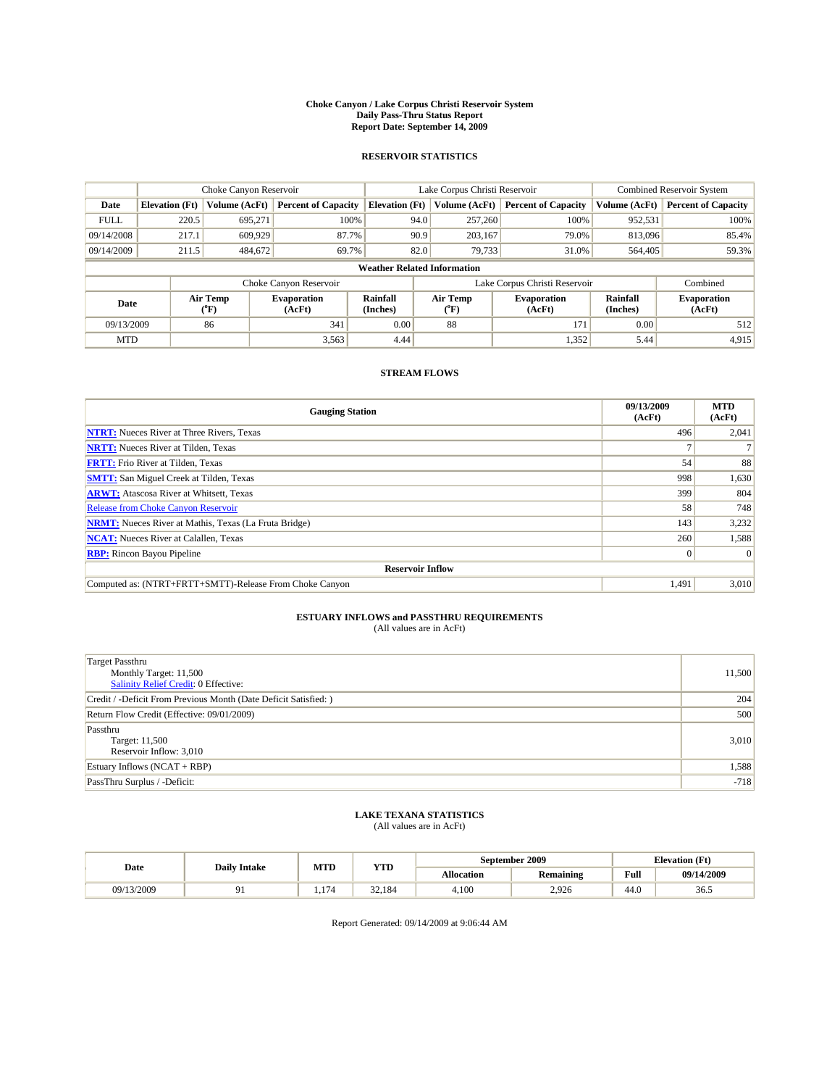#### **Choke Canyon / Lake Corpus Christi Reservoir System Daily Pass-Thru Status Report Report Date: September 14, 2009**

### **RESERVOIR STATISTICS**

|             |                                    | Choke Canyon Reservoir |                              |                       | Lake Corpus Christi Reservoir | Combined Reservoir System    |                      |                              |  |  |
|-------------|------------------------------------|------------------------|------------------------------|-----------------------|-------------------------------|------------------------------|----------------------|------------------------------|--|--|
| Date        | <b>Elevation</b> (Ft)              | <b>Volume (AcFt)</b>   | <b>Percent of Capacity</b>   | <b>Elevation (Ft)</b> | Volume (AcFt)                 | <b>Percent of Capacity</b>   | Volume (AcFt)        | <b>Percent of Capacity</b>   |  |  |
| <b>FULL</b> | 220.5                              | 695,271                | 100%                         | 94.0                  | 257,260                       | 100%                         | 952,531              | 100%                         |  |  |
| 09/14/2008  | 217.1                              | 609,929                | 87.7%                        | 90.9                  | 203,167                       | 79.0%                        | 813,096              | 85.4%                        |  |  |
| 09/14/2009  | 211.5                              | 484,672                | 69.7%                        | 82.0                  | 79.733                        | 31.0%                        | 564,405              | 59.3%                        |  |  |
|             | <b>Weather Related Information</b> |                        |                              |                       |                               |                              |                      |                              |  |  |
|             |                                    |                        | Choke Canyon Reservoir       |                       | Lake Corpus Christi Reservoir |                              | Combined             |                              |  |  |
|             | Air Temp<br>Date<br>(°F)           |                        | <b>Evaporation</b><br>(AcFt) | Rainfall<br>(Inches)  | Air Temp<br>("F)              | <b>Evaporation</b><br>(AcFt) | Rainfall<br>(Inches) | <b>Evaporation</b><br>(AcFt) |  |  |
| 09/13/2009  |                                    | 86                     | 341                          | 0.00                  | 88                            | 171                          | 0.00                 | 512                          |  |  |
| <b>MTD</b>  |                                    |                        | 3,563                        | 4.44                  |                               | 1,352                        | 5.44                 | 4,915                        |  |  |

### **STREAM FLOWS**

| <b>Gauging Station</b>                                       | 09/13/2009<br>(AcFt) | <b>MTD</b><br>(AcFt) |
|--------------------------------------------------------------|----------------------|----------------------|
| <b>NTRT:</b> Nueces River at Three Rivers, Texas             | 496                  | 2,041                |
| <b>NRTT:</b> Nueces River at Tilden, Texas                   |                      |                      |
| <b>FRTT:</b> Frio River at Tilden, Texas                     | 54                   | 88                   |
| <b>SMTT:</b> San Miguel Creek at Tilden, Texas               | 998                  | 1,630                |
| <b>ARWT:</b> Atascosa River at Whitsett, Texas               | 399                  | 804                  |
| <b>Release from Choke Canyon Reservoir</b>                   | 58                   | 748                  |
| <b>NRMT:</b> Nueces River at Mathis, Texas (La Fruta Bridge) | 143                  | 3,232                |
| <b>NCAT:</b> Nueces River at Calallen, Texas                 | 260                  | 1,588                |
| <b>RBP:</b> Rincon Bayou Pipeline                            | $\vert 0 \vert$      | $\Omega$             |
| <b>Reservoir Inflow</b>                                      |                      |                      |
| Computed as: (NTRT+FRTT+SMTT)-Release From Choke Canyon      | 1,491                | 3,010                |

# **ESTUARY INFLOWS and PASSTHRU REQUIREMENTS**<br>(All values are in AcFt)

| Target Passthru<br>Monthly Target: 11,500<br><b>Salinity Relief Credit: 0 Effective:</b> | 11,500 |
|------------------------------------------------------------------------------------------|--------|
| Credit / -Deficit From Previous Month (Date Deficit Satisfied: )                         | 204    |
| Return Flow Credit (Effective: 09/01/2009)                                               | 500    |
| Passthru<br>Target: 11,500<br>Reservoir Inflow: 3,010                                    | 3,010  |
| Estuary Inflows (NCAT + RBP)                                                             | 1,588  |
| PassThru Surplus / -Deficit:                                                             | $-718$ |

# **LAKE TEXANA STATISTICS** (All values are in AcFt)

| Date       | <b>Daily Intake</b> | MTD | YTD    | September 2009    |                  |                                             | <b>Elevation</b> (Ft) |
|------------|---------------------|-----|--------|-------------------|------------------|---------------------------------------------|-----------------------|
|            |                     |     |        | <b>Allocation</b> | <b>Remaining</b> | Full<br>the contract of the contract of the | 09/14/2009            |
| 09/13/2009 |                     | 174 | 32.184 | 4.100             | 2,926            | 44.0                                        | 36.5                  |

Report Generated: 09/14/2009 at 9:06:44 AM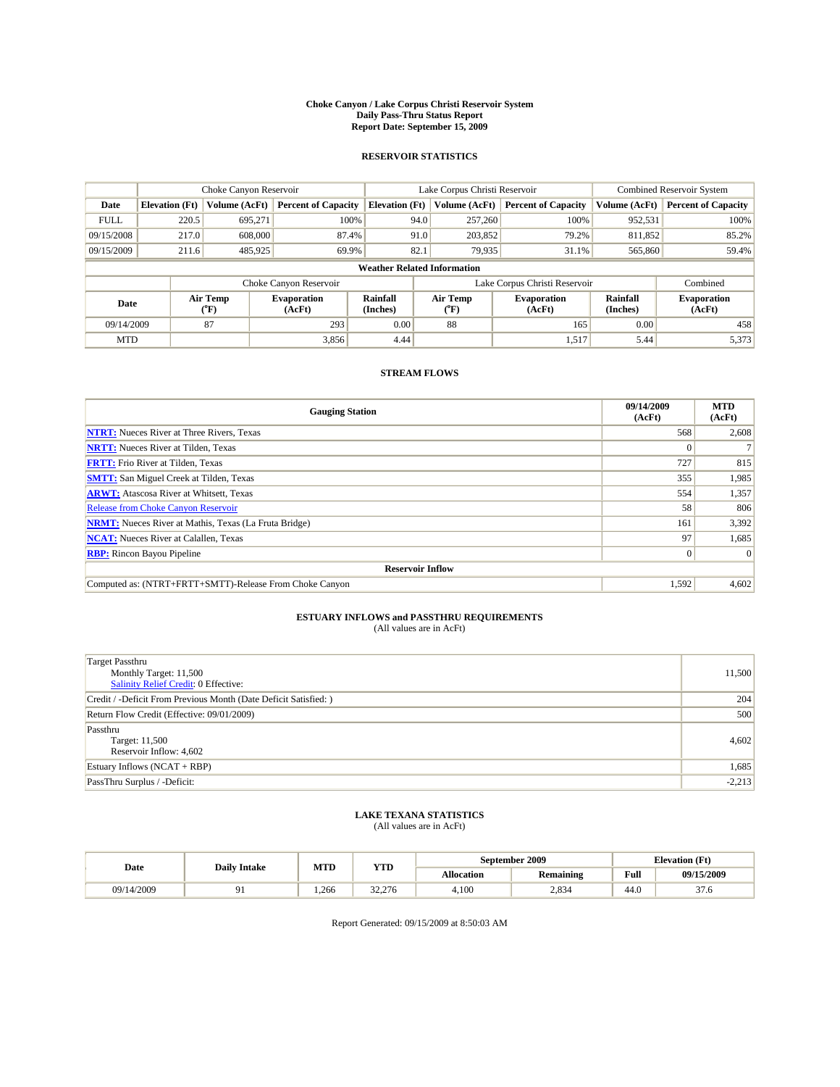#### **Choke Canyon / Lake Corpus Christi Reservoir System Daily Pass-Thru Status Report Report Date: September 15, 2009**

### **RESERVOIR STATISTICS**

|                                    | Choke Canyon Reservoir                                                                                          |               | Lake Corpus Christi Reservoir |                       |                               |               | <b>Combined Reservoir System</b> |               |                            |
|------------------------------------|-----------------------------------------------------------------------------------------------------------------|---------------|-------------------------------|-----------------------|-------------------------------|---------------|----------------------------------|---------------|----------------------------|
| Date                               | <b>Elevation</b> (Ft)                                                                                           | Volume (AcFt) | <b>Percent of Capacity</b>    | <b>Elevation</b> (Ft) |                               | Volume (AcFt) | <b>Percent of Capacity</b>       | Volume (AcFt) | <b>Percent of Capacity</b> |
| <b>FULL</b>                        | 220.5                                                                                                           | 695.271       | 100%                          |                       | 94.0                          | 257,260       | 100%                             | 952,531       | 100%                       |
| 09/15/2008                         | 217.0                                                                                                           | 608,000       | 87.4%                         |                       | 91.0                          | 203,852       | 79.2%                            | 811,852       | 85.2%                      |
| 09/15/2009                         | 211.6                                                                                                           | 485,925       | 69.9%                         |                       | 82.1                          | 79,935        | 31.1%                            | 565,860       | 59.4%                      |
| <b>Weather Related Information</b> |                                                                                                                 |               |                               |                       |                               |               |                                  |               |                            |
|                                    |                                                                                                                 |               | Choke Canyon Reservoir        |                       | Lake Corpus Christi Reservoir |               |                                  |               | Combined                   |
|                                    | Air Temp<br>Rainfall<br>Air Temp<br><b>Evaporation</b><br>Date<br>(Inches)<br>${}^{\circ}$ F)<br>(AcFt)<br>("F) |               | <b>Evaporation</b><br>(AcFt)  | Rainfall<br>(Inches)  | <b>Evaporation</b><br>(AcFt)  |               |                                  |               |                            |
| 09/14/2009                         |                                                                                                                 | 87            | 293                           | 0.00                  |                               | 88            | 165                              | 0.00          | 458                        |
| <b>MTD</b>                         |                                                                                                                 |               | 3,856                         | 4.44                  |                               |               | 1,517                            | 5.44          | 5,373                      |

### **STREAM FLOWS**

| <b>Gauging Station</b>                                       | 09/14/2009<br>(AcFt) | <b>MTD</b><br>(AcFt) |  |  |  |  |
|--------------------------------------------------------------|----------------------|----------------------|--|--|--|--|
| <b>NTRT:</b> Nueces River at Three Rivers, Texas             | 568                  | 2,608                |  |  |  |  |
| <b>NRTT:</b> Nueces River at Tilden, Texas                   | $\Omega$             |                      |  |  |  |  |
| <b>FRTT:</b> Frio River at Tilden, Texas                     | 727                  | 815                  |  |  |  |  |
| <b>SMTT:</b> San Miguel Creek at Tilden, Texas               | 355                  | 1,985                |  |  |  |  |
| <b>ARWT:</b> Atascosa River at Whitsett, Texas               | 554                  | 1,357                |  |  |  |  |
| Release from Choke Canyon Reservoir                          | 58                   | 806                  |  |  |  |  |
| <b>NRMT:</b> Nueces River at Mathis, Texas (La Fruta Bridge) | 161                  | 3,392                |  |  |  |  |
| <b>NCAT:</b> Nueces River at Calallen, Texas                 | 97                   | 1,685                |  |  |  |  |
| <b>RBP:</b> Rincon Bayou Pipeline                            | $\overline{0}$       | $\Omega$             |  |  |  |  |
| <b>Reservoir Inflow</b>                                      |                      |                      |  |  |  |  |
| Computed as: (NTRT+FRTT+SMTT)-Release From Choke Canyon      | 1,592                | 4,602                |  |  |  |  |

# **ESTUARY INFLOWS and PASSTHRU REQUIREMENTS**<br>(All values are in AcFt)

| <b>Target Passthru</b><br>Monthly Target: 11,500<br>Salinity Relief Credit: 0 Effective: | 11,500   |
|------------------------------------------------------------------------------------------|----------|
| Credit / -Deficit From Previous Month (Date Deficit Satisfied: )                         | 204      |
| Return Flow Credit (Effective: 09/01/2009)                                               | 500      |
| Passthru<br>Target: 11,500<br>Reservoir Inflow: 4,602                                    | 4,602    |
| Estuary Inflows (NCAT + RBP)                                                             | 1,685    |
| PassThru Surplus / -Deficit:                                                             | $-2,213$ |

## **LAKE TEXANA STATISTICS** (All values are in AcFt)

| Date       | <b>Daily Intake</b> | MTD  | YTD          | September 2009    |                  |                                             | <b>Elevation</b> (Ft) |
|------------|---------------------|------|--------------|-------------------|------------------|---------------------------------------------|-----------------------|
|            |                     |      |              | <b>Allocation</b> | <b>Remaining</b> | Full<br>the contract of the contract of the | 09/15/2009            |
| 09/14/2009 |                     | .266 | 22<br>32.276 | 4.100             | 2,834            | 44.0                                        | $\sim$<br>31.O        |

Report Generated: 09/15/2009 at 8:50:03 AM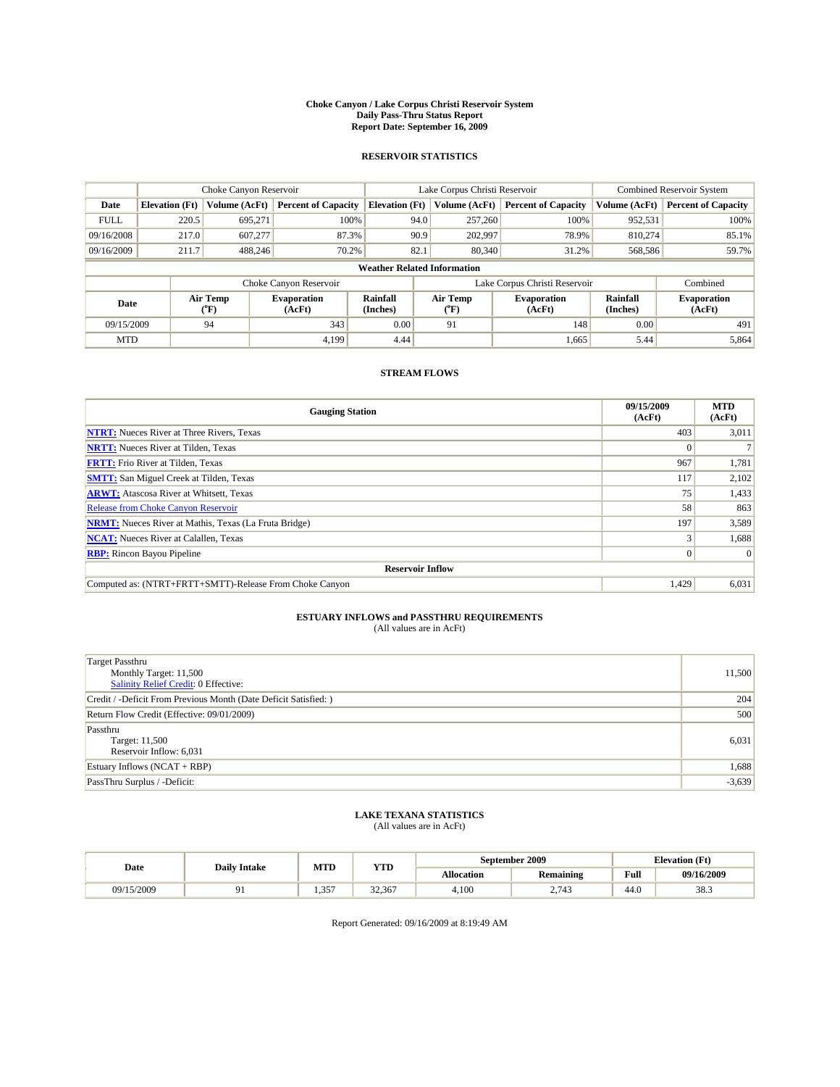#### **Choke Canyon / Lake Corpus Christi Reservoir System Daily Pass-Thru Status Report Report Date: September 16, 2009**

### **RESERVOIR STATISTICS**

|             |                                    | Choke Canyon Reservoir |                            |                       | Lake Corpus Christi Reservoir                    | Combined Reservoir System     |                      |                              |  |  |
|-------------|------------------------------------|------------------------|----------------------------|-----------------------|--------------------------------------------------|-------------------------------|----------------------|------------------------------|--|--|
| Date        | <b>Elevation</b> (Ft)              | Volume (AcFt)          | <b>Percent of Capacity</b> | <b>Elevation (Ft)</b> | Volume (AcFt)                                    | <b>Percent of Capacity</b>    | Volume (AcFt)        | <b>Percent of Capacity</b>   |  |  |
| <b>FULL</b> | 220.5                              | 695,271                | 100%                       |                       | 257,260<br>94.0                                  | 100%                          | 952,531              | 100%                         |  |  |
| 09/16/2008  | 217.0                              | 607,277                | 87.3%                      |                       | 90.9<br>202,997                                  | 78.9%                         | 810.274              | 85.1%                        |  |  |
| 09/16/2009  | 211.7                              | 488.246                | 70.2%                      | 82.1                  | 80,340                                           | 31.2%                         | 568,586              | 59.7%                        |  |  |
|             | <b>Weather Related Information</b> |                        |                            |                       |                                                  |                               |                      |                              |  |  |
|             |                                    |                        | Choke Canyon Reservoir     |                       |                                                  | Lake Corpus Christi Reservoir |                      | Combined                     |  |  |
|             | Air Temp<br>Date<br>(AcFt)<br>(°F) |                        | <b>Evaporation</b>         | Rainfall<br>(Inches)  | Air Temp<br><b>Evaporation</b><br>(AcFt)<br>("F) |                               | Rainfall<br>(Inches) | <b>Evaporation</b><br>(AcFt) |  |  |
| 09/15/2009  |                                    | 94                     | 343                        | 0.00                  | 91                                               | 148                           | 0.00                 | 491                          |  |  |
| <b>MTD</b>  |                                    |                        | 4.199                      | 4.44                  |                                                  | 1,665                         | 5.44                 | 5,864                        |  |  |

### **STREAM FLOWS**

| <b>Gauging Station</b>                                       | 09/15/2009<br>(AcFt) | <b>MTD</b><br>(AcFt) |  |  |  |  |  |
|--------------------------------------------------------------|----------------------|----------------------|--|--|--|--|--|
| <b>NTRT:</b> Nueces River at Three Rivers, Texas             | 403                  | 3,011                |  |  |  |  |  |
| <b>NRTT:</b> Nueces River at Tilden, Texas                   | $\Omega$             |                      |  |  |  |  |  |
| <b>FRTT:</b> Frio River at Tilden, Texas                     | 967                  | 1,781                |  |  |  |  |  |
| <b>SMTT:</b> San Miguel Creek at Tilden, Texas               | 117                  | 2,102                |  |  |  |  |  |
| <b>ARWT:</b> Atascosa River at Whitsett, Texas               | 75                   | 1,433                |  |  |  |  |  |
| <b>Release from Choke Canyon Reservoir</b>                   | 58                   | 863                  |  |  |  |  |  |
| <b>NRMT:</b> Nueces River at Mathis, Texas (La Fruta Bridge) | 197                  | 3,589                |  |  |  |  |  |
| <b>NCAT:</b> Nueces River at Calallen, Texas                 |                      | 1,688                |  |  |  |  |  |
| <b>RBP:</b> Rincon Bayou Pipeline                            | $\overline{0}$       | $\Omega$             |  |  |  |  |  |
| <b>Reservoir Inflow</b>                                      |                      |                      |  |  |  |  |  |
| Computed as: (NTRT+FRTT+SMTT)-Release From Choke Canyon      | 1,429                | 6,031                |  |  |  |  |  |

# **ESTUARY INFLOWS and PASSTHRU REQUIREMENTS**<br>(All values are in AcFt)

| <b>Target Passthru</b><br>Monthly Target: 11,500<br>Salinity Relief Credit: 0 Effective: | 11,500   |
|------------------------------------------------------------------------------------------|----------|
| Credit / -Deficit From Previous Month (Date Deficit Satisfied: )                         | 204      |
| Return Flow Credit (Effective: 09/01/2009)                                               | 500      |
| Passthru<br>Target: 11,500<br>Reservoir Inflow: 6,031                                    | 6,031    |
| Estuary Inflows (NCAT + RBP)                                                             | 1,688    |
| PassThru Surplus / -Deficit:                                                             | $-3,639$ |

## **LAKE TEXANA STATISTICS** (All values are in AcFt)

| Date       | <b>Daily Intake</b> | MTD                 | YTD    | September 2009 |                  |                                             | <b>Elevation</b> (Ft) |
|------------|---------------------|---------------------|--------|----------------|------------------|---------------------------------------------|-----------------------|
|            |                     |                     |        | Allocation     | <b>Remaining</b> | Full<br>the contract of the contract of the | 09/16/2009            |
| 09/15/2009 |                     | 357<br>. . <i>.</i> | 32,367 | 4.100          | 2.743            | 44.0                                        | 38.3                  |

Report Generated: 09/16/2009 at 8:19:49 AM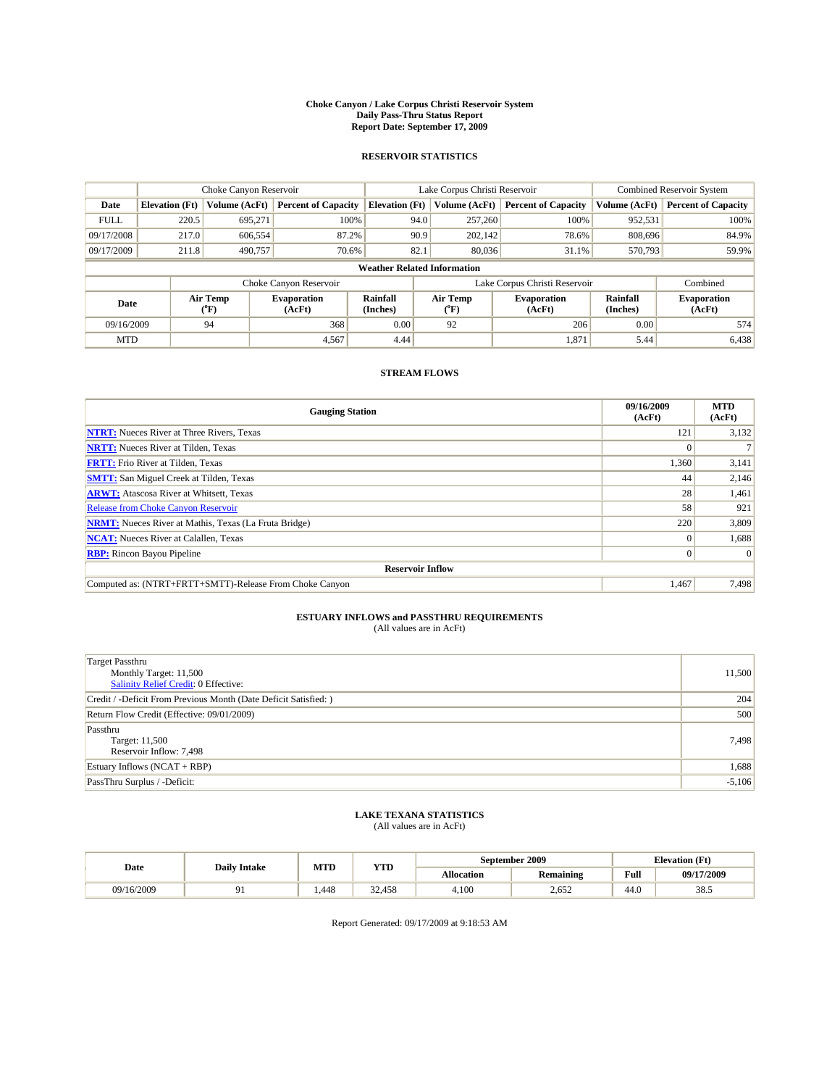#### **Choke Canyon / Lake Corpus Christi Reservoir System Daily Pass-Thru Status Report Report Date: September 17, 2009**

### **RESERVOIR STATISTICS**

|             |                                                          | Choke Canyon Reservoir |                            |                             | Lake Corpus Christi Reservoir | <b>Combined Reservoir System</b> |               |                              |  |  |
|-------------|----------------------------------------------------------|------------------------|----------------------------|-----------------------------|-------------------------------|----------------------------------|---------------|------------------------------|--|--|
| Date        | <b>Elevation</b> (Ft)                                    | Volume (AcFt)          | <b>Percent of Capacity</b> | <b>Elevation</b> (Ft)       | Volume (AcFt)                 | <b>Percent of Capacity</b>       | Volume (AcFt) | <b>Percent of Capacity</b>   |  |  |
| <b>FULL</b> | 220.5                                                    | 695,271                | 100%                       | 94.0                        | 257,260                       | 100%                             | 952,531       | 100%                         |  |  |
| 09/17/2008  | 217.0                                                    | 606,554                | 87.2%                      | 90.9                        | 202,142                       | 78.6%                            | 808,696       | 84.9%                        |  |  |
| 09/17/2009  | 211.8                                                    | 490.757                | 70.6%                      | 82.1                        | 80,036                        | 31.1%                            | 570,793       | 59.9%                        |  |  |
|             | <b>Weather Related Information</b>                       |                        |                            |                             |                               |                                  |               |                              |  |  |
|             |                                                          |                        | Choke Canyon Reservoir     |                             | Lake Corpus Christi Reservoir |                                  |               | Combined                     |  |  |
|             | Air Temp<br><b>Evaporation</b><br>Date<br>(AcFt)<br>(°F) |                        |                            | <b>Rainfall</b><br>(Inches) | Air Temp<br>(°F)              | <b>Evaporation</b><br>(AcFt)     |               | <b>Evaporation</b><br>(AcFt) |  |  |
| 09/16/2009  |                                                          | 94                     | 368                        | 0.00                        | 92                            | 206                              | 0.00          | 574                          |  |  |
| <b>MTD</b>  |                                                          |                        | 4,567                      | 4.44                        |                               | 1,871                            | 5.44          | 6,438                        |  |  |

## **STREAM FLOWS**

| <b>Gauging Station</b>                                       | 09/16/2009<br>(AcFt) | <b>MTD</b><br>(AcFt) |
|--------------------------------------------------------------|----------------------|----------------------|
| <b>NTRT:</b> Nueces River at Three Rivers, Texas             | 121                  | 3,132                |
| <b>NRTT:</b> Nueces River at Tilden, Texas                   | $\Omega$             |                      |
| <b>FRTT:</b> Frio River at Tilden, Texas                     | 1,360                | 3,141                |
| <b>SMTT:</b> San Miguel Creek at Tilden, Texas               | 44                   | 2,146                |
| <b>ARWT:</b> Atascosa River at Whitsett, Texas               | 28                   | 1,461                |
| Release from Choke Canyon Reservoir                          | 58                   | 921                  |
| <b>NRMT:</b> Nueces River at Mathis, Texas (La Fruta Bridge) | 220                  | 3,809                |
| <b>NCAT:</b> Nueces River at Calallen, Texas                 | $\Omega$             | 1,688                |
| <b>RBP:</b> Rincon Bayou Pipeline                            | $\overline{0}$       | $\Omega$             |
| <b>Reservoir Inflow</b>                                      |                      |                      |
| Computed as: (NTRT+FRTT+SMTT)-Release From Choke Canyon      | 1.467                | 7,498                |

# **ESTUARY INFLOWS and PASSTHRU REQUIREMENTS**<br>(All values are in AcFt)

| Target Passthru<br>Monthly Target: 11,500<br>Salinity Relief Credit: 0 Effective: | 11,500   |
|-----------------------------------------------------------------------------------|----------|
| Credit / -Deficit From Previous Month (Date Deficit Satisfied: )                  | 204      |
| Return Flow Credit (Effective: 09/01/2009)                                        | 500      |
| Passthru<br>Target: 11,500<br>Reservoir Inflow: 7,498                             | 7,498    |
| Estuary Inflows $(NCAT + RBP)$                                                    | 1,688    |
| PassThru Surplus / -Deficit:                                                      | $-5,106$ |

# **LAKE TEXANA STATISTICS** (All values are in AcFt)

| Date       | <b>Daily Intake</b> | MTD  | YTD    |                   | September 2009   |      | <b>Elevation</b> (Ft) |
|------------|---------------------|------|--------|-------------------|------------------|------|-----------------------|
|            |                     |      |        | <b>Allocation</b> | <b>Remaining</b> | Full | 09/17/2009            |
| 09/16/2009 |                     | .448 | 32.458 | 4.100             | 2.652            | 44.0 | 38.5                  |

Report Generated: 09/17/2009 at 9:18:53 AM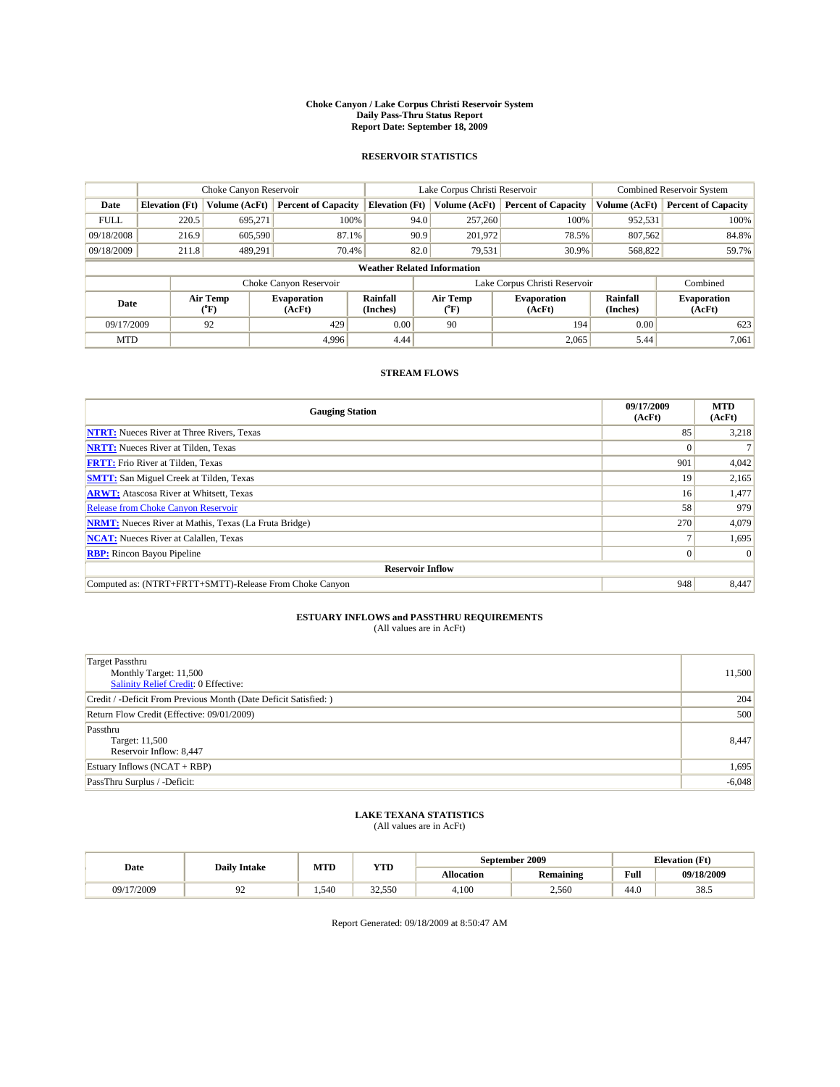#### **Choke Canyon / Lake Corpus Christi Reservoir System Daily Pass-Thru Status Report Report Date: September 18, 2009**

### **RESERVOIR STATISTICS**

|             | Choke Canyon Reservoir   |               | Lake Corpus Christi Reservoir |                                    |                               |         | <b>Combined Reservoir System</b> |                      |                              |
|-------------|--------------------------|---------------|-------------------------------|------------------------------------|-------------------------------|---------|----------------------------------|----------------------|------------------------------|
| Date        | <b>Elevation</b> (Ft)    | Volume (AcFt) | <b>Percent of Capacity</b>    | <b>Elevation</b> (Ft)              | Volume (AcFt)                 |         | <b>Percent of Capacity</b>       | Volume (AcFt)        | <b>Percent of Capacity</b>   |
| <b>FULL</b> | 220.5                    | 695,271       | 100%                          |                                    | 94.0                          | 257,260 | 100%                             | 952,531              | 100%                         |
| 09/18/2008  | 216.9                    | 605,590       | 87.1%                         | 90.9<br>201,972<br>78.5%           |                               | 807,562 | 84.8%                            |                      |                              |
| 09/18/2009  | 211.8                    | 489,291       | 70.4%                         |                                    | 82.0                          | 79,531  | 30.9%                            | 568,822              | 59.7%                        |
|             |                          |               |                               | <b>Weather Related Information</b> |                               |         |                                  |                      |                              |
|             |                          |               | Choke Canyon Reservoir        |                                    | Lake Corpus Christi Reservoir |         |                                  |                      | Combined                     |
|             | Air Temp<br>Date<br>(°F) |               | <b>Evaporation</b><br>(AcFt)  | <b>Rainfall</b><br>(Inches)        | Air Temp<br>(°F)              |         | <b>Evaporation</b><br>(AcFt)     | Rainfall<br>(Inches) | <b>Evaporation</b><br>(AcFt) |
| 09/17/2009  |                          | 92            | 429                           | 0.00                               | 90                            |         | 194                              | 0.00                 | 623                          |
| <b>MTD</b>  |                          |               | 4.996                         | 4.44                               |                               |         | 2,065                            | 5.44                 | 7,061                        |

### **STREAM FLOWS**

| <b>Gauging Station</b>                                       | 09/17/2009<br>(AcFt) | <b>MTD</b><br>(AcFt) |
|--------------------------------------------------------------|----------------------|----------------------|
| <b>NTRT:</b> Nueces River at Three Rivers, Texas             | 85                   | 3,218                |
| <b>NRTT:</b> Nueces River at Tilden, Texas                   |                      |                      |
| <b>FRTT:</b> Frio River at Tilden, Texas                     | 901                  | 4,042                |
| <b>SMTT:</b> San Miguel Creek at Tilden, Texas               | 19                   | 2,165                |
| <b>ARWT:</b> Atascosa River at Whitsett, Texas               | 16 <sup>1</sup>      | 1,477                |
| <b>Release from Choke Canyon Reservoir</b>                   | 58                   | 979                  |
| <b>NRMT:</b> Nueces River at Mathis, Texas (La Fruta Bridge) | 270                  | 4,079                |
| <b>NCAT:</b> Nueces River at Calallen, Texas                 |                      | 1,695                |
| <b>RBP:</b> Rincon Bayou Pipeline                            | $\overline{0}$       | $\Omega$             |
| <b>Reservoir Inflow</b>                                      |                      |                      |
| Computed as: (NTRT+FRTT+SMTT)-Release From Choke Canyon      | 948                  | 8,447                |

# **ESTUARY INFLOWS and PASSTHRU REQUIREMENTS**<br>(All values are in AcFt)

| <b>Target Passthru</b><br>Monthly Target: 11,500<br>Salinity Relief Credit: 0 Effective: | 11,500   |
|------------------------------------------------------------------------------------------|----------|
| Credit / -Deficit From Previous Month (Date Deficit Satisfied: )                         | 204      |
| Return Flow Credit (Effective: 09/01/2009)                                               | 500      |
| Passthru<br>Target: 11,500<br>Reservoir Inflow: 8,447                                    | 8,447    |
| Estuary Inflows (NCAT + RBP)                                                             | 1,695    |
| PassThru Surplus / -Deficit:                                                             | $-6,048$ |

# **LAKE TEXANA STATISTICS** (All values are in AcFt)

| Date       | <b>Daily Intake</b> | MTD  | YTD                      |                   | September 2009   | <b>Elevation</b> (Ft)                       |                |
|------------|---------------------|------|--------------------------|-------------------|------------------|---------------------------------------------|----------------|
|            |                     |      |                          | <b>Allocation</b> | <b>Remaining</b> | Full<br>the contract of the contract of the | 09/18/2009     |
| 09/17/2009 |                     | .540 | 32.550<br><i>JZ.JJ</i> U | 4.100             | 2,560            | 44.0                                        | $20 -$<br>38.J |

Report Generated: 09/18/2009 at 8:50:47 AM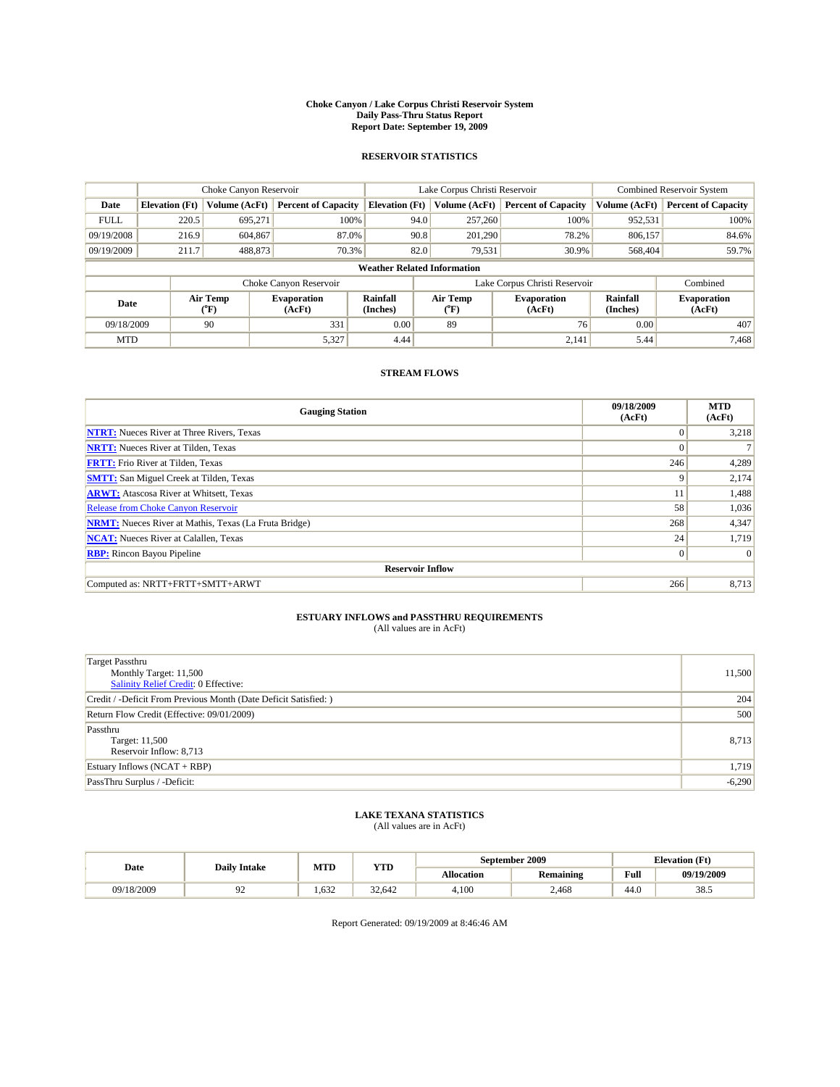#### **Choke Canyon / Lake Corpus Christi Reservoir System Daily Pass-Thru Status Report Report Date: September 19, 2009**

### **RESERVOIR STATISTICS**

|             |                          |               | Lake Corpus Christi Reservoir |                                    |                               |                  | <b>Combined Reservoir System</b> |                      |                              |
|-------------|--------------------------|---------------|-------------------------------|------------------------------------|-------------------------------|------------------|----------------------------------|----------------------|------------------------------|
| Date        | <b>Elevation</b> (Ft)    | Volume (AcFt) | <b>Percent of Capacity</b>    | <b>Elevation</b> (Ft)              |                               | Volume (AcFt)    | <b>Percent of Capacity</b>       | Volume (AcFt)        | <b>Percent of Capacity</b>   |
| <b>FULL</b> | 220.5                    | 695,271       | 100%                          |                                    | 94.0                          | 257,260          | 100%                             | 952,531              | 100%                         |
| 09/19/2008  | 216.9                    | 604,867       |                               | 87.0%<br>90.8                      |                               | 201.290          | 78.2%                            | 806,157              | 84.6%                        |
| 09/19/2009  | 211.7                    | 488,873       | 70.3%                         |                                    | 82.0                          | 79,531           | 30.9%                            | 568,404              | 59.7%                        |
|             |                          |               |                               | <b>Weather Related Information</b> |                               |                  |                                  |                      |                              |
|             |                          |               | Choke Canyon Reservoir        |                                    | Lake Corpus Christi Reservoir |                  |                                  |                      | Combined                     |
|             | Air Temp<br>Date<br>(°F) |               | <b>Evaporation</b><br>(AcFt)  | <b>Rainfall</b><br>(Inches)        |                               | Air Temp<br>(°F) | <b>Evaporation</b><br>(AcFt)     | Rainfall<br>(Inches) | <b>Evaporation</b><br>(AcFt) |
| 09/18/2009  |                          | 90            | 331                           | 0.00                               |                               | 89               | 76                               | 0.00                 | 407                          |
| <b>MTD</b>  |                          |               | 5,327                         | 4.44                               |                               |                  | 2,141                            | 5.44                 | 7.468                        |

### **STREAM FLOWS**

| <b>Gauging Station</b>                                       | 09/18/2009<br>(AcFt) | <b>MTD</b><br>(AcFt) |
|--------------------------------------------------------------|----------------------|----------------------|
| <b>NTRT:</b> Nueces River at Three Rivers, Texas             | $\Omega$             | 3,218                |
| <b>NRTT:</b> Nueces River at Tilden, Texas                   | $\Omega$             |                      |
| <b>FRTT:</b> Frio River at Tilden, Texas                     | 246                  | 4,289                |
| <b>SMTT:</b> San Miguel Creek at Tilden, Texas               | 9                    | 2,174                |
| <b>ARWT:</b> Atascosa River at Whitsett, Texas               | 11                   | 1,488                |
| <b>Release from Choke Canyon Reservoir</b>                   | 58                   | 1,036                |
| <b>NRMT:</b> Nueces River at Mathis, Texas (La Fruta Bridge) | 268                  | 4,347                |
| <b>NCAT:</b> Nueces River at Calallen, Texas                 | 24                   | 1,719                |
| <b>RBP:</b> Rincon Bayou Pipeline                            | $\overline{0}$       | $\Omega$             |
| <b>Reservoir Inflow</b>                                      |                      |                      |
| Computed as: NRTT+FRTT+SMTT+ARWT                             | 266                  | 8,713                |

# **ESTUARY INFLOWS and PASSTHRU REQUIREMENTS**<br>(All values are in AcFt)

| <b>Target Passthru</b><br>Monthly Target: 11,500<br>Salinity Relief Credit: 0 Effective: | 11,500   |
|------------------------------------------------------------------------------------------|----------|
| Credit / -Deficit From Previous Month (Date Deficit Satisfied: )                         | 204      |
| Return Flow Credit (Effective: 09/01/2009)                                               | 500      |
| Passthru<br>Target: 11,500<br>Reservoir Inflow: 8,713                                    | 8,713    |
| Estuary Inflows $(NCAT + RBP)$                                                           | 1,719    |
| PassThru Surplus / -Deficit:                                                             | $-6,290$ |

## **LAKE TEXANA STATISTICS** (All values are in AcFt)

| Date       | <b>Daily Intake</b> | MTD  | YTD    |            | September 2009   | <b>Elevation</b> (Ft)                       |                    |
|------------|---------------------|------|--------|------------|------------------|---------------------------------------------|--------------------|
|            |                     |      |        | Allocation | <b>Remaining</b> | Full<br>the contract of the contract of the | 09/19/2009         |
| 09/18/2009 |                     | .632 | 32.642 | 4.100      | 2.468            | 44.0                                        | 20<br>. <i>. .</i> |

Report Generated: 09/19/2009 at 8:46:46 AM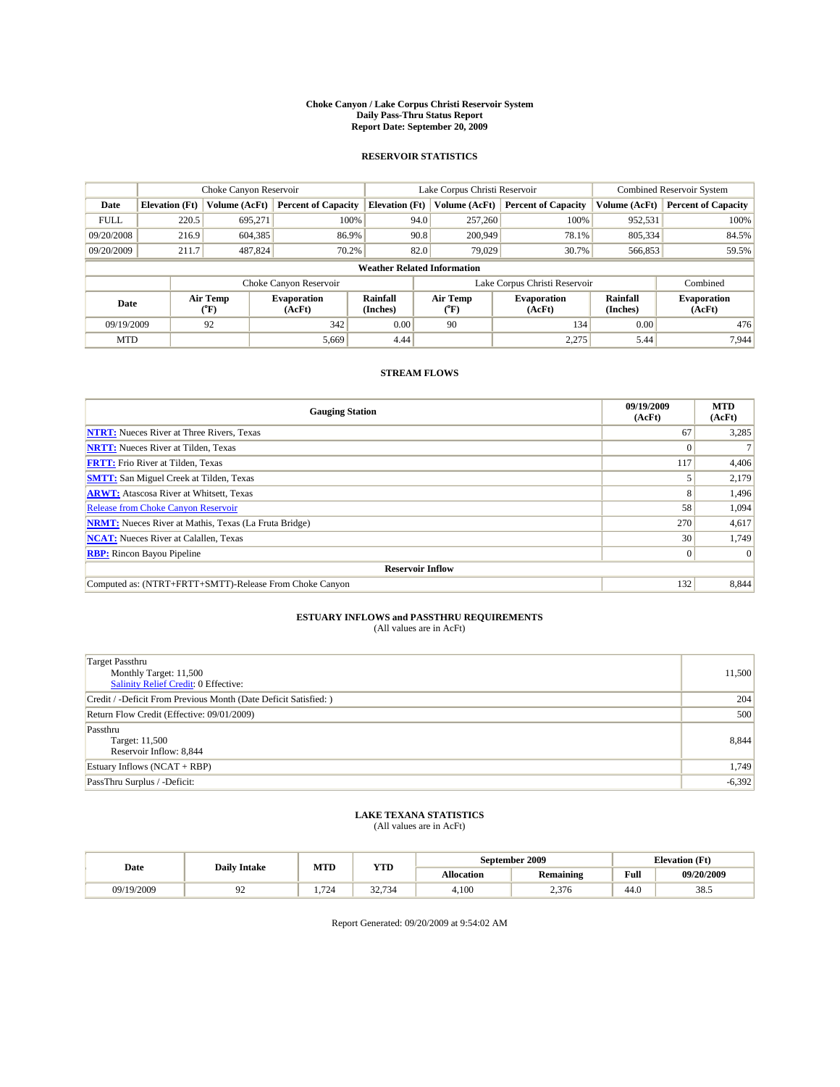#### **Choke Canyon / Lake Corpus Christi Reservoir System Daily Pass-Thru Status Report Report Date: September 20, 2009**

### **RESERVOIR STATISTICS**

|             | Choke Canyon Reservoir   |               | Lake Corpus Christi Reservoir                        |                                    |                               |                  | Combined Reservoir System    |                      |                              |
|-------------|--------------------------|---------------|------------------------------------------------------|------------------------------------|-------------------------------|------------------|------------------------------|----------------------|------------------------------|
| Date        | <b>Elevation</b> (Ft)    | Volume (AcFt) | <b>Percent of Capacity</b>                           | <b>Elevation (Ft)</b>              |                               | Volume (AcFt)    | <b>Percent of Capacity</b>   | Volume (AcFt)        | <b>Percent of Capacity</b>   |
| <b>FULL</b> | 220.5                    | 695,271       | 100%                                                 |                                    | 94.0                          | 257,260          | 100%                         | 952,531              | 100%                         |
| 09/20/2008  | 216.9                    | 604,385       | 86.9%                                                |                                    | 90.8                          | 200,949          | 78.1%                        | 805,334              | 84.5%                        |
| 09/20/2009  | 211.7                    | 487,824       | 70.2%                                                |                                    | 82.0                          | 79.029           | 30.7%                        | 566,853              | 59.5%                        |
|             |                          |               |                                                      | <b>Weather Related Information</b> |                               |                  |                              |                      |                              |
|             |                          |               | Choke Canyon Reservoir                               |                                    | Lake Corpus Christi Reservoir |                  |                              |                      | Combined                     |
|             | Air Temp<br>Date<br>(°F) |               | Rainfall<br><b>Evaporation</b><br>(Inches)<br>(AcFt) |                                    |                               | Air Temp<br>("F) | <b>Evaporation</b><br>(AcFt) | Rainfall<br>(Inches) | <b>Evaporation</b><br>(AcFt) |
| 09/19/2009  |                          | 92            | 342                                                  | 0.00                               |                               | 90               | 134                          | 0.00                 | 476                          |
| <b>MTD</b>  |                          |               | 5,669                                                | 4.44                               |                               |                  | 2,275                        | 5.44                 | 7.944                        |

## **STREAM FLOWS**

| <b>Gauging Station</b>                                       | 09/19/2009<br>(AcFt) | <b>MTD</b><br>(AcFt) |  |  |  |  |  |
|--------------------------------------------------------------|----------------------|----------------------|--|--|--|--|--|
| <b>NTRT:</b> Nueces River at Three Rivers, Texas             | 67                   | 3,285                |  |  |  |  |  |
| <b>NRTT:</b> Nueces River at Tilden, Texas                   | $\Omega$             |                      |  |  |  |  |  |
| <b>FRTT:</b> Frio River at Tilden, Texas                     | 117                  | 4,406                |  |  |  |  |  |
| <b>SMTT:</b> San Miguel Creek at Tilden, Texas               |                      | 2,179                |  |  |  |  |  |
| <b>ARWT:</b> Atascosa River at Whitsett, Texas               | 8                    | 1,496                |  |  |  |  |  |
| <b>Release from Choke Canyon Reservoir</b>                   | 58                   | 1,094                |  |  |  |  |  |
| <b>NRMT:</b> Nueces River at Mathis, Texas (La Fruta Bridge) | 270                  | 4,617                |  |  |  |  |  |
| <b>NCAT:</b> Nueces River at Calallen, Texas                 | 30                   | 1,749                |  |  |  |  |  |
| <b>RBP:</b> Rincon Bayou Pipeline                            | $\overline{0}$       | $\Omega$             |  |  |  |  |  |
| <b>Reservoir Inflow</b>                                      |                      |                      |  |  |  |  |  |
| Computed as: (NTRT+FRTT+SMTT)-Release From Choke Canyon      | 132                  | 8,844                |  |  |  |  |  |

# **ESTUARY INFLOWS and PASSTHRU REQUIREMENTS**<br>(All values are in AcFt)

| <b>Target Passthru</b><br>Monthly Target: 11,500<br><b>Salinity Relief Credit: 0 Effective:</b> | 11,500   |
|-------------------------------------------------------------------------------------------------|----------|
| Credit / -Deficit From Previous Month (Date Deficit Satisfied: )                                | 204      |
| Return Flow Credit (Effective: 09/01/2009)                                                      | 500      |
| Passthru<br>Target: 11,500<br>Reservoir Inflow: 8,844                                           | 8,844    |
| Estuary Inflows $(NCAT + RBP)$                                                                  | 1,749    |
| PassThru Surplus / -Deficit:                                                                    | $-6,392$ |

# **LAKE TEXANA STATISTICS** (All values are in AcFt)

|            | <b>Daily Intake</b> | MTD  | YTD               |                   | September 2009   |                                             | <b>Elevation</b> (Ft) |
|------------|---------------------|------|-------------------|-------------------|------------------|---------------------------------------------|-----------------------|
| Date       |                     |      |                   | <b>Allocation</b> | <b>Remaining</b> | Full<br>the contract of the contract of the | 09/20/2009            |
| 09/19/2009 |                     | .724 | 32<br>.734<br>34. | 4.100             | 376 ر<br>2,010   | 44.0                                        | $20 -$<br>38.J        |

Report Generated: 09/20/2009 at 9:54:02 AM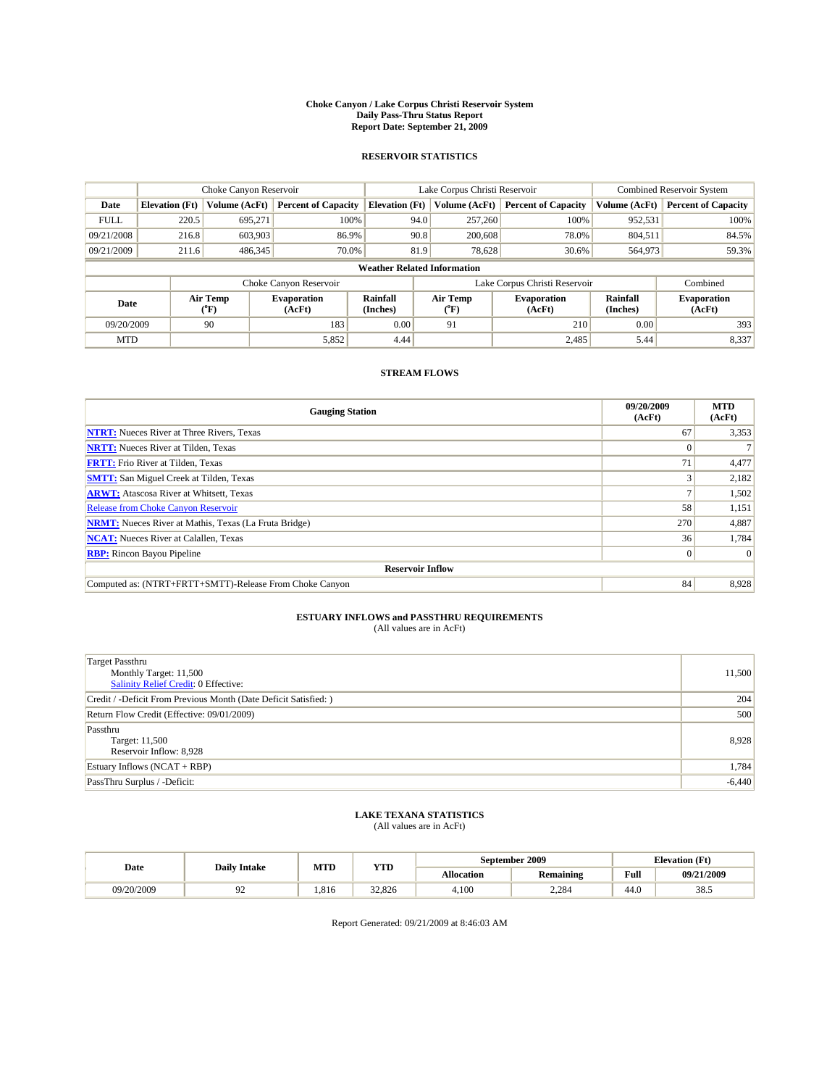#### **Choke Canyon / Lake Corpus Christi Reservoir System Daily Pass-Thru Status Report Report Date: September 21, 2009**

### **RESERVOIR STATISTICS**

|             |                                    | Choke Canyon Reservoir |                            |                       | Lake Corpus Christi Reservoir                    | <b>Combined Reservoir System</b> |                      |                              |  |  |
|-------------|------------------------------------|------------------------|----------------------------|-----------------------|--------------------------------------------------|----------------------------------|----------------------|------------------------------|--|--|
| Date        | <b>Elevation</b> (Ft)              | Volume (AcFt)          | <b>Percent of Capacity</b> | <b>Elevation</b> (Ft) | Volume (AcFt)                                    | <b>Percent of Capacity</b>       | Volume (AcFt)        | <b>Percent of Capacity</b>   |  |  |
| <b>FULL</b> | 220.5                              | 695,271                | 100%                       | 94.0                  | 257,260                                          | 100%                             | 952,531              | 100%                         |  |  |
| 09/21/2008  | 216.8                              | 603,903                | 86.9%                      | 90.8                  | 200,608                                          | 78.0%                            | 804,511              | 84.5%                        |  |  |
| 09/21/2009  | 211.6                              | 486,345                | 70.0%                      | 81.9                  | 78,628                                           | 30.6%                            | 564,973              | 59.3%                        |  |  |
|             | <b>Weather Related Information</b> |                        |                            |                       |                                                  |                                  |                      |                              |  |  |
|             |                                    |                        | Choke Canyon Reservoir     |                       | Lake Corpus Christi Reservoir                    |                                  |                      | Combined                     |  |  |
|             | Air Temp<br>Date<br>(AcFt)<br>(°F) |                        | <b>Evaporation</b>         | Rainfall<br>(Inches)  | Air Temp<br><b>Evaporation</b><br>(AcFt)<br>("F) |                                  | Rainfall<br>(Inches) | <b>Evaporation</b><br>(AcFt) |  |  |
| 09/20/2009  |                                    | 90                     | 183                        | 0.00                  | 91                                               | 210                              | 0.00                 | 393                          |  |  |
| <b>MTD</b>  |                                    |                        | 5,852                      | 4.44                  |                                                  | 2,485                            | 5.44                 | 8,337                        |  |  |

## **STREAM FLOWS**

| <b>Gauging Station</b>                                       | 09/20/2009<br>(AcFt) | <b>MTD</b><br>(AcFt) |  |  |  |  |  |
|--------------------------------------------------------------|----------------------|----------------------|--|--|--|--|--|
| <b>NTRT:</b> Nueces River at Three Rivers, Texas             | 67                   | 3,353                |  |  |  |  |  |
| <b>NRTT:</b> Nueces River at Tilden, Texas                   |                      |                      |  |  |  |  |  |
| <b>FRTT:</b> Frio River at Tilden, Texas                     | 71                   | 4,477                |  |  |  |  |  |
| <b>SMTT:</b> San Miguel Creek at Tilden, Texas               |                      | 2,182                |  |  |  |  |  |
| <b>ARWT:</b> Atascosa River at Whitsett, Texas               |                      | 1,502                |  |  |  |  |  |
| <b>Release from Choke Canyon Reservoir</b>                   | 58                   | 1,151                |  |  |  |  |  |
| <b>NRMT:</b> Nueces River at Mathis, Texas (La Fruta Bridge) | 270                  | 4,887                |  |  |  |  |  |
| <b>NCAT:</b> Nueces River at Calallen, Texas                 | 36                   | 1,784                |  |  |  |  |  |
| <b>RBP:</b> Rincon Bayou Pipeline                            | $\overline{0}$       | $\Omega$             |  |  |  |  |  |
| <b>Reservoir Inflow</b>                                      |                      |                      |  |  |  |  |  |
| Computed as: (NTRT+FRTT+SMTT)-Release From Choke Canyon      | 84                   | 8,928                |  |  |  |  |  |

# **ESTUARY INFLOWS and PASSTHRU REQUIREMENTS**<br>(All values are in AcFt)

| <b>Target Passthru</b><br>Monthly Target: 11,500<br>Salinity Relief Credit: 0 Effective:<br>Credit / -Deficit From Previous Month (Date Deficit Satisfied: ) | 11,500<br>204 |
|--------------------------------------------------------------------------------------------------------------------------------------------------------------|---------------|
|                                                                                                                                                              |               |
|                                                                                                                                                              |               |
|                                                                                                                                                              |               |
|                                                                                                                                                              |               |
| Return Flow Credit (Effective: 09/01/2009)                                                                                                                   | 500           |
| Passthru                                                                                                                                                     |               |
| Target: 11,500                                                                                                                                               | 8,928         |
| Reservoir Inflow: 8,928                                                                                                                                      |               |
| Estuary Inflows (NCAT + RBP)                                                                                                                                 | 1,784         |
| PassThru Surplus / -Deficit:                                                                                                                                 | $-6,440$      |

## **LAKE TEXANA STATISTICS** (All values are in AcFt)

|            | <b>Daily Intake</b> | MTD  | YTD    |                   | September 2009   |                                             | <b>Elevation</b> (Ft) |
|------------|---------------------|------|--------|-------------------|------------------|---------------------------------------------|-----------------------|
| Date       |                     |      |        | <b>Allocation</b> | <b>Remaining</b> | Full<br>the contract of the contract of the | 09/21/2009            |
| 09/20/2009 |                     | .816 | 32,826 | 4.100             | 2.284            | 44.0                                        | 38.5                  |

Report Generated: 09/21/2009 at 8:46:03 AM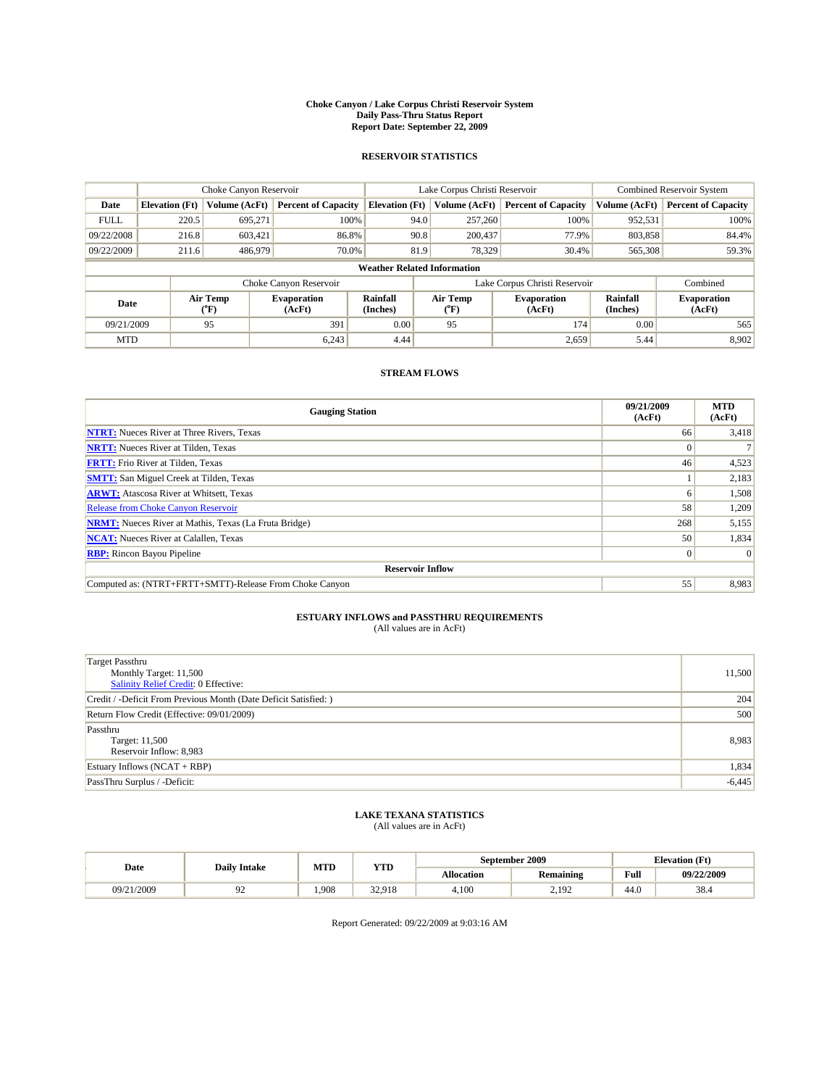#### **Choke Canyon / Lake Corpus Christi Reservoir System Daily Pass-Thru Status Report Report Date: September 22, 2009**

### **RESERVOIR STATISTICS**

|                                    |                          | Choke Canyon Reservoir |                              |                       | Lake Corpus Christi Reservoir | Combined Reservoir System    |                      |                              |  |
|------------------------------------|--------------------------|------------------------|------------------------------|-----------------------|-------------------------------|------------------------------|----------------------|------------------------------|--|
| Date                               | <b>Elevation</b> (Ft)    | Volume (AcFt)          | <b>Percent of Capacity</b>   | <b>Elevation</b> (Ft) | Volume (AcFt)                 | <b>Percent of Capacity</b>   | Volume (AcFt)        | <b>Percent of Capacity</b>   |  |
| <b>FULL</b>                        | 220.5                    | 695,271                | 100%                         |                       | 257,260<br>94.0               | 100%                         | 952,531              | 100%                         |  |
| 09/22/2008                         | 216.8                    | 603,421                | 86.8%                        |                       | 90.8<br>200,437               | 77.9%                        | 803,858              | 84.4%                        |  |
| 09/22/2009                         | 211.6                    | 486,979                | 70.0%                        |                       | 81.9<br>78.329                | 30.4%                        | 565,308              | 59.3%                        |  |
| <b>Weather Related Information</b> |                          |                        |                              |                       |                               |                              |                      |                              |  |
|                                    |                          |                        | Choke Canyon Reservoir       |                       | Lake Corpus Christi Reservoir |                              |                      | Combined                     |  |
|                                    | Air Temp<br>Date<br>(°F) |                        | <b>Evaporation</b><br>(AcFt) | Rainfall<br>(Inches)  | Air Temp<br>("F)              | <b>Evaporation</b><br>(AcFt) | Rainfall<br>(Inches) | <b>Evaporation</b><br>(AcFt) |  |
| 09/21/2009                         |                          | 95                     | 391                          | 0.00                  | 95                            | 174                          | 0.00                 | 565                          |  |
| <b>MTD</b>                         |                          |                        | 6,243                        | 4.44                  |                               | 2,659                        | 5.44                 | 8,902                        |  |

### **STREAM FLOWS**

| <b>Gauging Station</b>                                       | 09/21/2009<br>(AcFt) | <b>MTD</b><br>(AcFt) |  |  |  |  |  |
|--------------------------------------------------------------|----------------------|----------------------|--|--|--|--|--|
| <b>NTRT:</b> Nueces River at Three Rivers, Texas             | 66                   | 3,418                |  |  |  |  |  |
| <b>NRTT:</b> Nueces River at Tilden, Texas                   | $\Omega$             |                      |  |  |  |  |  |
| <b>FRTT:</b> Frio River at Tilden, Texas                     | 46                   | 4,523                |  |  |  |  |  |
| <b>SMTT:</b> San Miguel Creek at Tilden, Texas               |                      | 2,183                |  |  |  |  |  |
| <b>ARWT:</b> Atascosa River at Whitsett, Texas               | <sub>0</sub>         | 1,508                |  |  |  |  |  |
| <b>Release from Choke Canyon Reservoir</b>                   | 58                   | 1,209                |  |  |  |  |  |
| <b>NRMT:</b> Nueces River at Mathis, Texas (La Fruta Bridge) | 268                  | 5,155                |  |  |  |  |  |
| <b>NCAT:</b> Nueces River at Calallen, Texas                 | 50                   | 1,834                |  |  |  |  |  |
| <b>RBP:</b> Rincon Bayou Pipeline                            | $\overline{0}$       | $\Omega$             |  |  |  |  |  |
| <b>Reservoir Inflow</b>                                      |                      |                      |  |  |  |  |  |
| Computed as: (NTRT+FRTT+SMTT)-Release From Choke Canyon      | 55                   | 8,983                |  |  |  |  |  |

# **ESTUARY INFLOWS and PASSTHRU REQUIREMENTS**<br>(All values are in AcFt)

| Target Passthru                                                  |          |
|------------------------------------------------------------------|----------|
| Monthly Target: 11,500                                           | 11,500   |
| Salinity Relief Credit: 0 Effective:                             |          |
| Credit / -Deficit From Previous Month (Date Deficit Satisfied: ) | 204      |
| Return Flow Credit (Effective: 09/01/2009)                       | 500      |
| Passthru                                                         |          |
| Target: 11,500                                                   | 8,983    |
| Reservoir Inflow: 8,983                                          |          |
| Estuary Inflows (NCAT + RBP)                                     | 1,834    |
| PassThru Surplus / -Deficit:                                     | $-6,445$ |

## **LAKE TEXANA STATISTICS** (All values are in AcFt)

|            | <b>Daily Intake</b> | MTD  | YTD    |                   | September 2009   | <b>Elevation</b> (Ft)                       |            |
|------------|---------------------|------|--------|-------------------|------------------|---------------------------------------------|------------|
| Date       |                     |      |        | <b>Allocation</b> | <b>Remaining</b> | Full<br>the contract of the contract of the | 09/22/2009 |
| 09/21/2009 |                     | .908 | 32.918 | 4.100             | 2.192            | 44.0                                        | 38.4       |

Report Generated: 09/22/2009 at 9:03:16 AM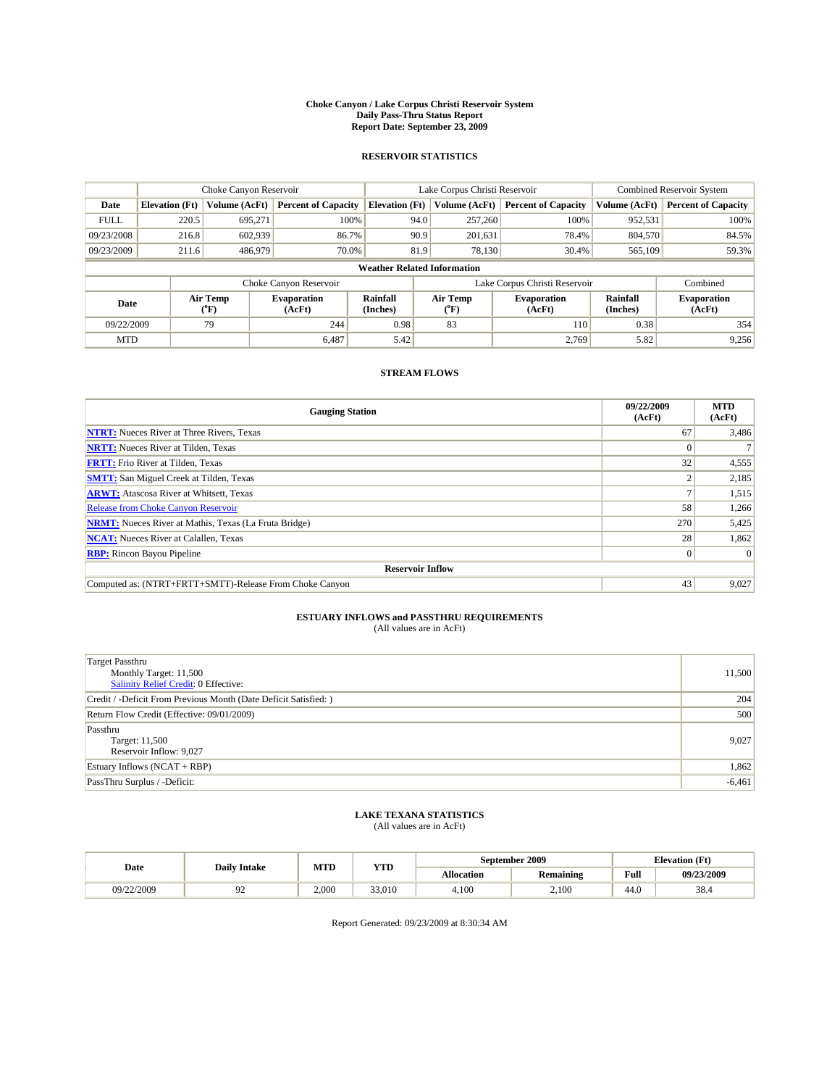#### **Choke Canyon / Lake Corpus Christi Reservoir System Daily Pass-Thru Status Report Report Date: September 23, 2009**

### **RESERVOIR STATISTICS**

|                                    | Choke Canyon Reservoir           |               | Lake Corpus Christi Reservoir |                       |                               |                  | <b>Combined Reservoir System</b> |                      |                              |
|------------------------------------|----------------------------------|---------------|-------------------------------|-----------------------|-------------------------------|------------------|----------------------------------|----------------------|------------------------------|
| Date                               | <b>Elevation</b> (Ft)            | Volume (AcFt) | <b>Percent of Capacity</b>    | <b>Elevation</b> (Ft) |                               | Volume (AcFt)    | <b>Percent of Capacity</b>       | Volume (AcFt)        | <b>Percent of Capacity</b>   |
| <b>FULL</b>                        | 220.5                            | 695.271       | 100%                          |                       | 94.0                          | 257,260          | 100%                             | 952,531              | 100%                         |
| 09/23/2008                         | 216.8                            | 602,939       | 86.7%                         |                       | 90.9                          | 201,631          | 78.4%                            | 804,570              | 84.5%                        |
| 09/23/2009                         | 211.6                            | 486,979       | 70.0%                         |                       | 81.9                          | 78,130           | 30.4%                            | 565,109              | 59.3%                        |
| <b>Weather Related Information</b> |                                  |               |                               |                       |                               |                  |                                  |                      |                              |
|                                    |                                  |               | Choke Canyon Reservoir        |                       | Lake Corpus Christi Reservoir |                  |                                  |                      | Combined                     |
|                                    | Air Temp<br>Date<br>$\rm ^{o}F)$ |               | <b>Evaporation</b><br>(AcFt)  | Rainfall<br>(Inches)  |                               | Air Temp<br>("F) | <b>Evaporation</b><br>(AcFt)     | Rainfall<br>(Inches) | <b>Evaporation</b><br>(AcFt) |
| 09/22/2009                         |                                  | 79            | 244                           | 0.98                  |                               | 83               | <b>110</b>                       | 0.38                 | 354                          |
| <b>MTD</b>                         |                                  |               | 6,487                         | 5.42                  |                               |                  | 2,769                            | 5.82                 | 9,256                        |

### **STREAM FLOWS**

| <b>Gauging Station</b>                                       | 09/22/2009<br>(AcFt) | <b>MTD</b><br>(AcFt) |  |  |  |  |  |
|--------------------------------------------------------------|----------------------|----------------------|--|--|--|--|--|
| <b>NTRT:</b> Nueces River at Three Rivers, Texas             | 67                   | 3,486                |  |  |  |  |  |
| <b>NRTT:</b> Nueces River at Tilden, Texas                   |                      |                      |  |  |  |  |  |
| <b>FRTT:</b> Frio River at Tilden, Texas                     | 32                   | 4,555                |  |  |  |  |  |
| <b>SMTT:</b> San Miguel Creek at Tilden, Texas               |                      | 2,185                |  |  |  |  |  |
| <b>ARWT:</b> Atascosa River at Whitsett, Texas               |                      | 1,515                |  |  |  |  |  |
| <b>Release from Choke Canyon Reservoir</b>                   | 58                   | 1,266                |  |  |  |  |  |
| <b>NRMT:</b> Nueces River at Mathis, Texas (La Fruta Bridge) | 270                  | 5,425                |  |  |  |  |  |
| <b>NCAT:</b> Nueces River at Calallen, Texas                 | 28                   | 1,862                |  |  |  |  |  |
| <b>RBP:</b> Rincon Bayou Pipeline                            | $\overline{0}$       | $\Omega$             |  |  |  |  |  |
| <b>Reservoir Inflow</b>                                      |                      |                      |  |  |  |  |  |
| Computed as: (NTRT+FRTT+SMTT)-Release From Choke Canyon      | 43                   | 9,027                |  |  |  |  |  |

# **ESTUARY INFLOWS and PASSTHRU REQUIREMENTS**<br>(All values are in AcFt)

| <b>Target Passthru</b>                                           |          |
|------------------------------------------------------------------|----------|
| Monthly Target: 11,500                                           | 11,500   |
| Salinity Relief Credit: 0 Effective:                             |          |
| Credit / -Deficit From Previous Month (Date Deficit Satisfied: ) | 204      |
| Return Flow Credit (Effective: 09/01/2009)                       | 500      |
| Passthru                                                         |          |
| Target: 11,500                                                   | 9,027    |
| Reservoir Inflow: 9,027                                          |          |
| Estuary Inflows $(NCAT + RBP)$                                   | 1,862    |
| PassThru Surplus / -Deficit:                                     | $-6,461$ |
|                                                                  |          |

## **LAKE TEXANA STATISTICS** (All values are in AcFt)

| Date       | <b>Daily Intake</b> | MTD   | YTD    |                   | September 2009   | <b>Elevation</b> (Ft) |            |
|------------|---------------------|-------|--------|-------------------|------------------|-----------------------|------------|
|            |                     |       |        | <b>Allocation</b> | <b>Remaining</b> | Full                  | 09/23/2009 |
| 09/22/2009 |                     | 2.000 | 33,010 | 4.100             | 2.100            | 44.0                  | 38.4       |

Report Generated: 09/23/2009 at 8:30:34 AM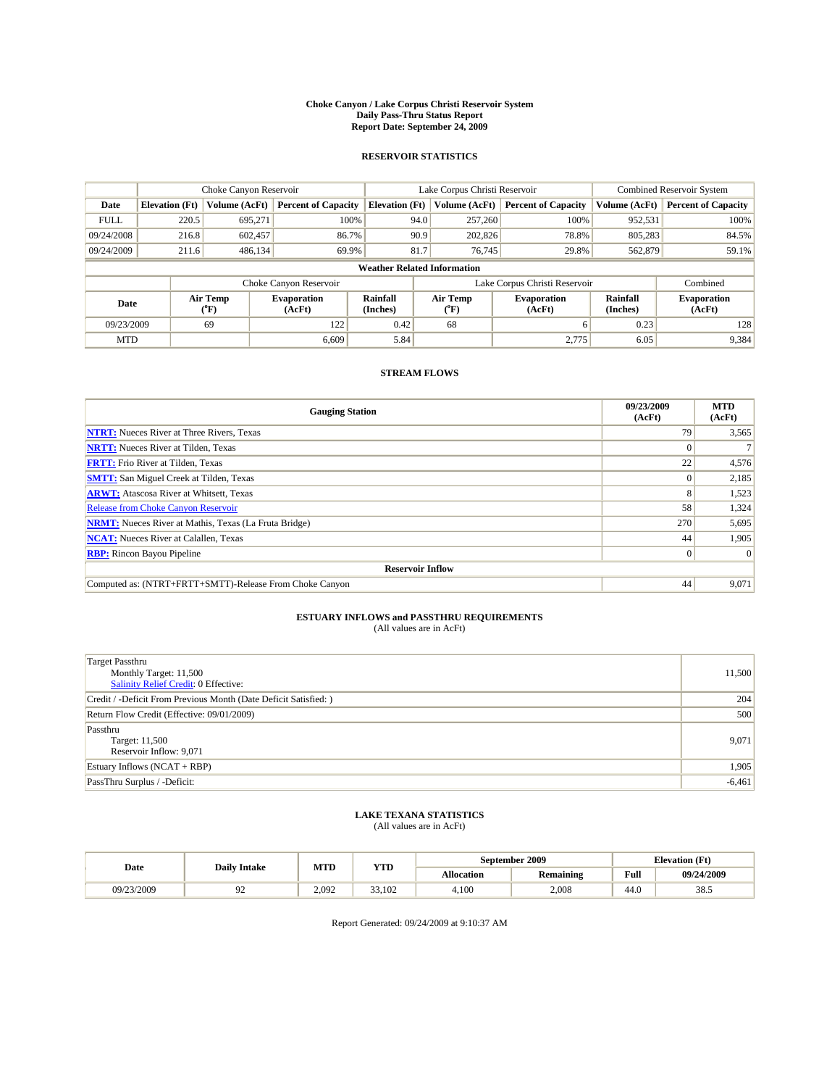#### **Choke Canyon / Lake Corpus Christi Reservoir System Daily Pass-Thru Status Report Report Date: September 24, 2009**

### **RESERVOIR STATISTICS**

|             | Choke Canyon Reservoir             |               | Lake Corpus Christi Reservoir |                       |                                                  |               | Combined Reservoir System  |                      |                              |  |
|-------------|------------------------------------|---------------|-------------------------------|-----------------------|--------------------------------------------------|---------------|----------------------------|----------------------|------------------------------|--|
| Date        | <b>Elevation</b> (Ft)              | Volume (AcFt) | <b>Percent of Capacity</b>    | <b>Elevation (Ft)</b> |                                                  | Volume (AcFt) | <b>Percent of Capacity</b> | Volume (AcFt)        | <b>Percent of Capacity</b>   |  |
| <b>FULL</b> | 220.5                              | 695,271       | 100%                          |                       | 94.0                                             | 257,260       | 100%                       | 952,531              | 100%                         |  |
| 09/24/2008  | 216.8                              | 602,457       | 86.7%                         |                       | 90.9                                             | 202,826       | 78.8%                      | 805,283              | 84.5%                        |  |
| 09/24/2009  | 211.6                              | 486,134       | 69.9%                         |                       | 81.7                                             | 76,745        | 29.8%                      | 562,879              | 59.1%                        |  |
|             | <b>Weather Related Information</b> |               |                               |                       |                                                  |               |                            |                      |                              |  |
|             |                                    |               | Choke Canyon Reservoir        |                       | Lake Corpus Christi Reservoir                    |               |                            |                      | Combined                     |  |
|             | Air Temp<br>Date<br>(°F)           |               | <b>Evaporation</b><br>(AcFt)  | Rainfall<br>(Inches)  | Air Temp<br><b>Evaporation</b><br>(AcFt)<br>("F) |               |                            | Rainfall<br>(Inches) | <b>Evaporation</b><br>(AcFt) |  |
| 09/23/2009  |                                    | 69            | 122                           | 0.42                  | 68                                               |               | 6                          | 0.23                 | 128                          |  |
| <b>MTD</b>  |                                    |               | 6.609                         | 5.84                  |                                                  |               | 2,775                      | 6.05                 | 9,384                        |  |

## **STREAM FLOWS**

| <b>Gauging Station</b>                                       | 09/23/2009<br>(AcFt) | <b>MTD</b><br>(AcFt) |
|--------------------------------------------------------------|----------------------|----------------------|
| <b>NTRT:</b> Nueces River at Three Rivers, Texas             | 79                   | 3,565                |
| <b>NRTT:</b> Nueces River at Tilden, Texas                   | $\Omega$             |                      |
| <b>FRTT:</b> Frio River at Tilden, Texas                     | 22                   | 4,576                |
| <b>SMTT:</b> San Miguel Creek at Tilden, Texas               |                      | 2,185                |
| <b>ARWT:</b> Atascosa River at Whitsett, Texas               | 8                    | 1,523                |
| <b>Release from Choke Canyon Reservoir</b>                   | 58                   | 1,324                |
| <b>NRMT:</b> Nueces River at Mathis, Texas (La Fruta Bridge) | 270                  | 5,695                |
| <b>NCAT:</b> Nueces River at Calallen, Texas                 | 44                   | 1,905                |
| <b>RBP:</b> Rincon Bayou Pipeline                            | $\overline{0}$       | $\Omega$             |
| <b>Reservoir Inflow</b>                                      |                      |                      |
| Computed as: (NTRT+FRTT+SMTT)-Release From Choke Canyon      | 44                   | 9,071                |

# **ESTUARY INFLOWS and PASSTHRU REQUIREMENTS**<br>(All values are in AcFt)

| <b>Target Passthru</b>                                           |          |
|------------------------------------------------------------------|----------|
| Monthly Target: 11,500                                           | 11,500   |
| Salinity Relief Credit: 0 Effective:                             |          |
| Credit / -Deficit From Previous Month (Date Deficit Satisfied: ) | 204      |
| Return Flow Credit (Effective: 09/01/2009)                       | 500      |
| Passthru                                                         |          |
| Target: 11,500                                                   | 9,071    |
| Reservoir Inflow: 9,071                                          |          |
| Estuary Inflows $(NCAT + RBP)$                                   | 1,905    |
| PassThru Surplus / -Deficit:                                     | $-6,461$ |
|                                                                  |          |

## **LAKE TEXANA STATISTICS** (All values are in AcFt)

| Date       | <b>Daily Intake</b> | MTD   | YTD    |            | September 2009   | <b>Elevation</b> (Ft) |            |
|------------|---------------------|-------|--------|------------|------------------|-----------------------|------------|
|            |                     |       |        | Allocation | <b>Remaining</b> | Full                  | 09/24/2009 |
| 09/23/2009 |                     | 2.092 | 33.102 | 4.100      | 2.008            | 44.0                  | 38.5       |

Report Generated: 09/24/2009 at 9:10:37 AM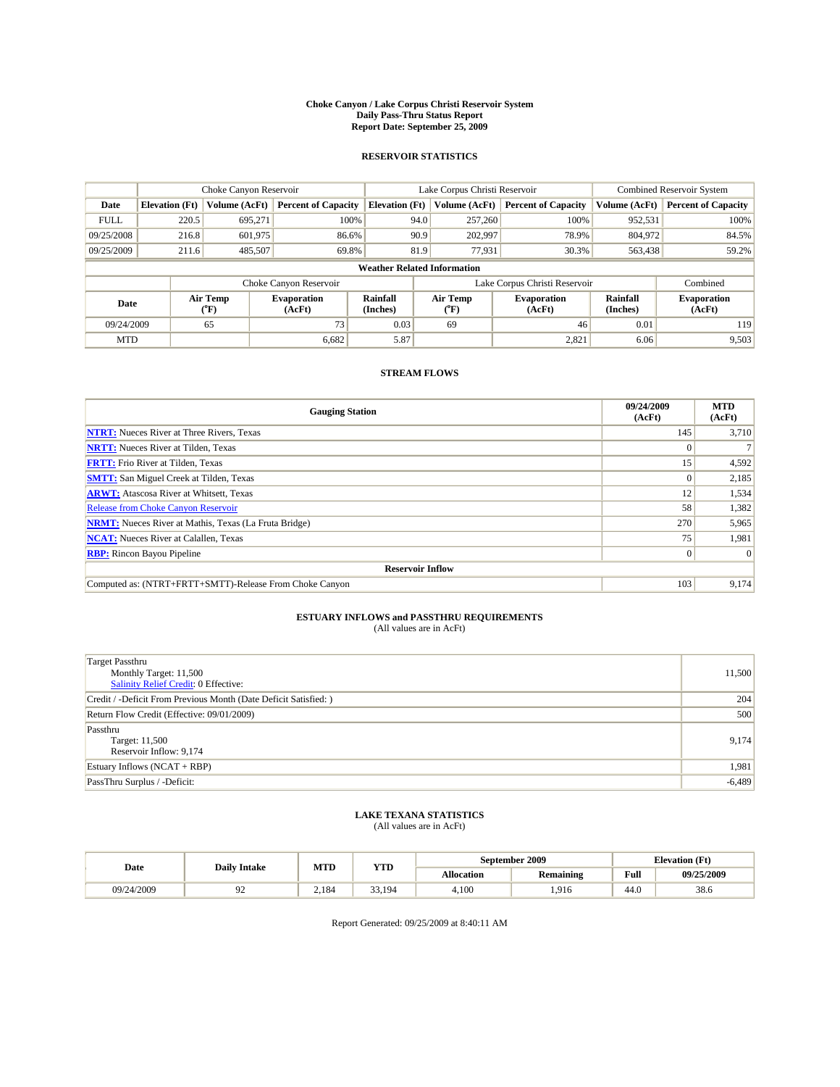#### **Choke Canyon / Lake Corpus Christi Reservoir System Daily Pass-Thru Status Report Report Date: September 25, 2009**

### **RESERVOIR STATISTICS**

|             |                                    | Choke Canyon Reservoir |                              |                       | Lake Corpus Christi Reservoir                    | Combined Reservoir System  |                      |                              |  |  |
|-------------|------------------------------------|------------------------|------------------------------|-----------------------|--------------------------------------------------|----------------------------|----------------------|------------------------------|--|--|
| Date        | <b>Elevation</b> (Ft)              | Volume (AcFt)          | <b>Percent of Capacity</b>   | <b>Elevation (Ft)</b> | Volume (AcFt)                                    | <b>Percent of Capacity</b> | Volume (AcFt)        | <b>Percent of Capacity</b>   |  |  |
| <b>FULL</b> | 220.5                              | 695,271                | 100%                         | 94.0                  | 257,260                                          | 100%                       | 952,531              | 100%                         |  |  |
| 09/25/2008  | 216.8                              | 601,975                | 86.6%                        | 90.9                  | 202,997                                          | 78.9%                      | 804,972              | 84.5%                        |  |  |
| 09/25/2009  | 211.6                              | 485,507                | 69.8%                        | 81.9                  | 77,931                                           | 30.3%                      | 563,438              | 59.2%                        |  |  |
|             | <b>Weather Related Information</b> |                        |                              |                       |                                                  |                            |                      |                              |  |  |
|             |                                    |                        | Choke Canyon Reservoir       |                       | Lake Corpus Christi Reservoir                    |                            |                      | Combined                     |  |  |
|             | Air Temp<br>Date<br>(°F)           |                        | <b>Evaporation</b><br>(AcFt) | Rainfall<br>(Inches)  | Air Temp<br><b>Evaporation</b><br>(AcFt)<br>("F) |                            | Rainfall<br>(Inches) | <b>Evaporation</b><br>(AcFt) |  |  |
| 09/24/2009  |                                    | 65                     | 73                           | 0.03                  | 69                                               | 46                         | 0.01                 | 119                          |  |  |
| <b>MTD</b>  |                                    |                        | 6.682                        | 5.87                  |                                                  | 2,821                      | 6.06                 | 9,503                        |  |  |

### **STREAM FLOWS**

| <b>Gauging Station</b>                                       | 09/24/2009<br>(AcFt) | <b>MTD</b><br>(AcFt) |  |  |  |  |  |
|--------------------------------------------------------------|----------------------|----------------------|--|--|--|--|--|
| <b>NTRT:</b> Nueces River at Three Rivers, Texas             | 145                  | 3,710                |  |  |  |  |  |
| <b>NRTT:</b> Nueces River at Tilden, Texas                   | $\Omega$             |                      |  |  |  |  |  |
| <b>FRTT:</b> Frio River at Tilden, Texas                     | 15 <sup>1</sup>      | 4,592                |  |  |  |  |  |
| <b>SMTT:</b> San Miguel Creek at Tilden, Texas               | $\Omega$             | 2,185                |  |  |  |  |  |
| <b>ARWT:</b> Atascosa River at Whitsett, Texas               | 12                   | 1,534                |  |  |  |  |  |
| <b>Release from Choke Canyon Reservoir</b>                   | 58                   | 1,382                |  |  |  |  |  |
| <b>NRMT:</b> Nueces River at Mathis, Texas (La Fruta Bridge) | 270                  | 5,965                |  |  |  |  |  |
| <b>NCAT:</b> Nueces River at Calallen, Texas                 | 75                   | 1,981                |  |  |  |  |  |
| <b>RBP:</b> Rincon Bayou Pipeline                            | $\overline{0}$       | $\Omega$             |  |  |  |  |  |
| <b>Reservoir Inflow</b>                                      |                      |                      |  |  |  |  |  |
| Computed as: (NTRT+FRTT+SMTT)-Release From Choke Canyon      | 103                  | 9,174                |  |  |  |  |  |

# **ESTUARY INFLOWS and PASSTHRU REQUIREMENTS**<br>(All values are in AcFt)

| <b>Target Passthru</b>                                           |          |
|------------------------------------------------------------------|----------|
| Monthly Target: 11,500                                           | 11,500   |
| <b>Salinity Relief Credit: 0 Effective:</b>                      |          |
| Credit / -Deficit From Previous Month (Date Deficit Satisfied: ) | 204      |
| Return Flow Credit (Effective: 09/01/2009)                       | 500      |
| Passthru                                                         |          |
| Target: 11,500                                                   | 9,174    |
| Reservoir Inflow: 9,174                                          |          |
| Estuary Inflows $(NCAT + RBP)$                                   | 1,981    |
| PassThru Surplus / -Deficit:                                     | $-6,489$ |

## **LAKE TEXANA STATISTICS** (All values are in AcFt)

| Date       |                     | MTD   | YTD          |                   | September 2009 | <b>Elevation</b> (Ft) |            |
|------------|---------------------|-------|--------------|-------------------|----------------|-----------------------|------------|
|            | <b>Daily Intake</b> |       |              | <b>Allocation</b> | Remaining      | Full                  | 09/25/2009 |
| 09/24/2009 |                     | 2.184 | 33<br>33,194 | 4.100             | .916           | 44.0                  | 38.6       |

Report Generated: 09/25/2009 at 8:40:11 AM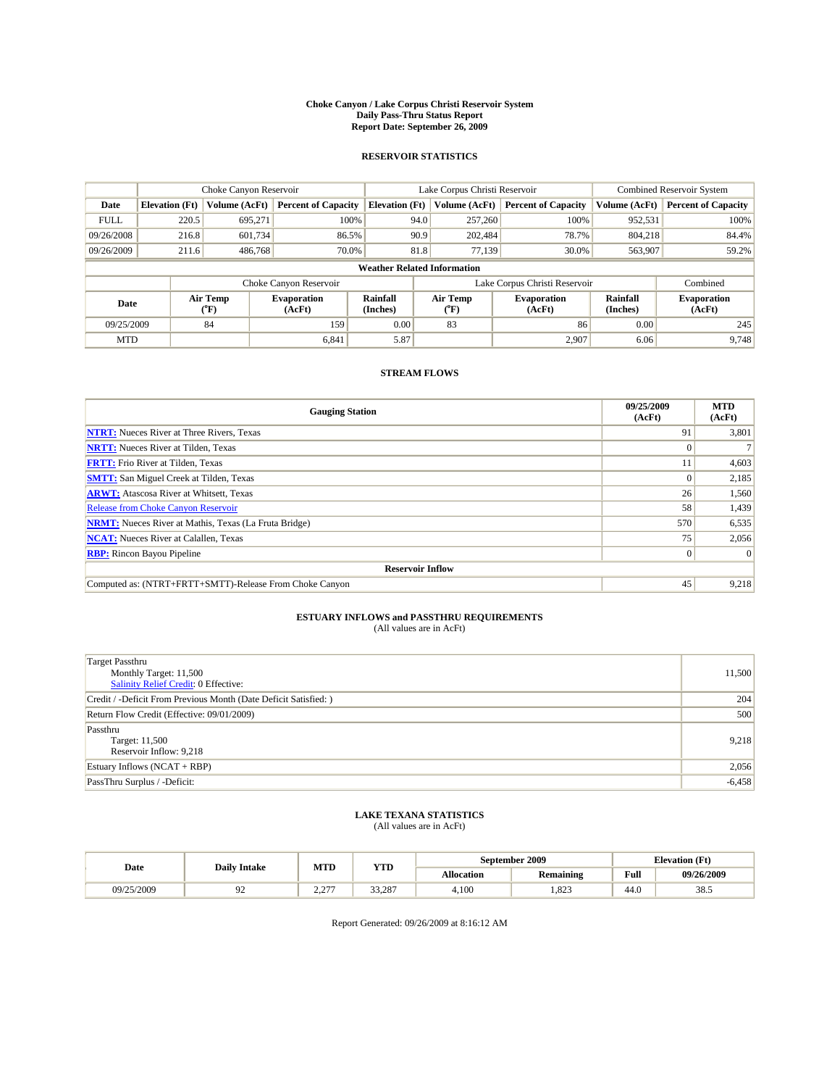#### **Choke Canyon / Lake Corpus Christi Reservoir System Daily Pass-Thru Status Report Report Date: September 26, 2009**

### **RESERVOIR STATISTICS**

|             | Choke Canyon Reservoir                                   |               | Lake Corpus Christi Reservoir |                       |                                                  |               | Combined Reservoir System  |                              |                            |  |
|-------------|----------------------------------------------------------|---------------|-------------------------------|-----------------------|--------------------------------------------------|---------------|----------------------------|------------------------------|----------------------------|--|
| Date        | <b>Elevation</b> (Ft)                                    | Volume (AcFt) | <b>Percent of Capacity</b>    | <b>Elevation (Ft)</b> |                                                  | Volume (AcFt) | <b>Percent of Capacity</b> | Volume (AcFt)                | <b>Percent of Capacity</b> |  |
| <b>FULL</b> | 220.5                                                    | 695,271       | 100%                          |                       | 94.0                                             | 257,260       | 100%                       | 952,531                      | 100%                       |  |
| 09/26/2008  | 216.8                                                    | 601.734       | 86.5%                         |                       | 90.9                                             | 202,484       | 78.7%                      | 804,218                      | 84.4%                      |  |
| 09/26/2009  | 211.6                                                    | 486,768       | 70.0%                         |                       | 81.8                                             | 77.139        | 30.0%                      | 563,907                      | 59.2%                      |  |
|             | <b>Weather Related Information</b>                       |               |                               |                       |                                                  |               |                            |                              |                            |  |
|             |                                                          |               | Choke Canyon Reservoir        |                       | Lake Corpus Christi Reservoir                    |               |                            |                              | Combined                   |  |
|             | Air Temp<br><b>Evaporation</b><br>Date<br>(AcFt)<br>(°F) |               | Rainfall<br>(Inches)          |                       | Air Temp<br><b>Evaporation</b><br>(AcFt)<br>("F) |               | Rainfall<br>(Inches)       | <b>Evaporation</b><br>(AcFt) |                            |  |
| 09/25/2009  |                                                          | 84            | 159                           | 0.00                  |                                                  | 83            | 86                         | 0.00                         | 245                        |  |
| <b>MTD</b>  |                                                          |               | 6,841                         | 5.87                  |                                                  |               | 2,907                      | 6.06                         | 9,748                      |  |

### **STREAM FLOWS**

| <b>Gauging Station</b>                                       | 09/25/2009<br>(AcFt) | <b>MTD</b><br>(AcFt) |  |  |  |  |  |
|--------------------------------------------------------------|----------------------|----------------------|--|--|--|--|--|
| <b>NTRT:</b> Nueces River at Three Rivers, Texas             | 91                   | 3,801                |  |  |  |  |  |
| <b>NRTT:</b> Nueces River at Tilden, Texas                   | $\Omega$             |                      |  |  |  |  |  |
| <b>FRTT:</b> Frio River at Tilden, Texas                     | 11                   | 4,603                |  |  |  |  |  |
| <b>SMTT:</b> San Miguel Creek at Tilden, Texas               | $\theta$             | 2,185                |  |  |  |  |  |
| <b>ARWT:</b> Atascosa River at Whitsett, Texas               | 26                   | 1,560                |  |  |  |  |  |
| <b>Release from Choke Canyon Reservoir</b>                   | 58                   | 1,439                |  |  |  |  |  |
| <b>NRMT:</b> Nueces River at Mathis, Texas (La Fruta Bridge) | 570                  | 6,535                |  |  |  |  |  |
| <b>NCAT:</b> Nueces River at Calallen, Texas                 | 75                   | 2,056                |  |  |  |  |  |
| <b>RBP:</b> Rincon Bayou Pipeline                            | $\overline{0}$       | $\Omega$             |  |  |  |  |  |
| <b>Reservoir Inflow</b>                                      |                      |                      |  |  |  |  |  |
| Computed as: (NTRT+FRTT+SMTT)-Release From Choke Canyon      | 45                   | 9,218                |  |  |  |  |  |

# **ESTUARY INFLOWS and PASSTHRU REQUIREMENTS**<br>(All values are in AcFt)

| <b>Target Passthru</b><br>Monthly Target: 11,500<br><b>Salinity Relief Credit: 0 Effective:</b> | 11,500   |
|-------------------------------------------------------------------------------------------------|----------|
| Credit / -Deficit From Previous Month (Date Deficit Satisfied: )                                | 204      |
| Return Flow Credit (Effective: 09/01/2009)                                                      | 500      |
| Passthru<br>Target: 11,500<br>Reservoir Inflow: 9,218                                           | 9,218    |
| Estuary Inflows $(NCAT + RBP)$                                                                  | 2,056    |
| PassThru Surplus / -Deficit:                                                                    | $-6,458$ |

## **LAKE TEXANA STATISTICS** (All values are in AcFt)

|            | <b>Daily Intake</b> | MTD                | YTD    |            | September 2009   | <b>Elevation</b> (Ft)                       |            |
|------------|---------------------|--------------------|--------|------------|------------------|---------------------------------------------|------------|
| Date       |                     |                    |        | Allocation | <b>Remaining</b> | Full<br>the contract of the contract of the | 09/26/2009 |
| 09/25/2009 | ╯                   | $\sim$<br><u>.</u> | 33.287 | 4.100      | .823             | 44.0                                        | 20<br>38.J |

Report Generated: 09/26/2009 at 8:16:12 AM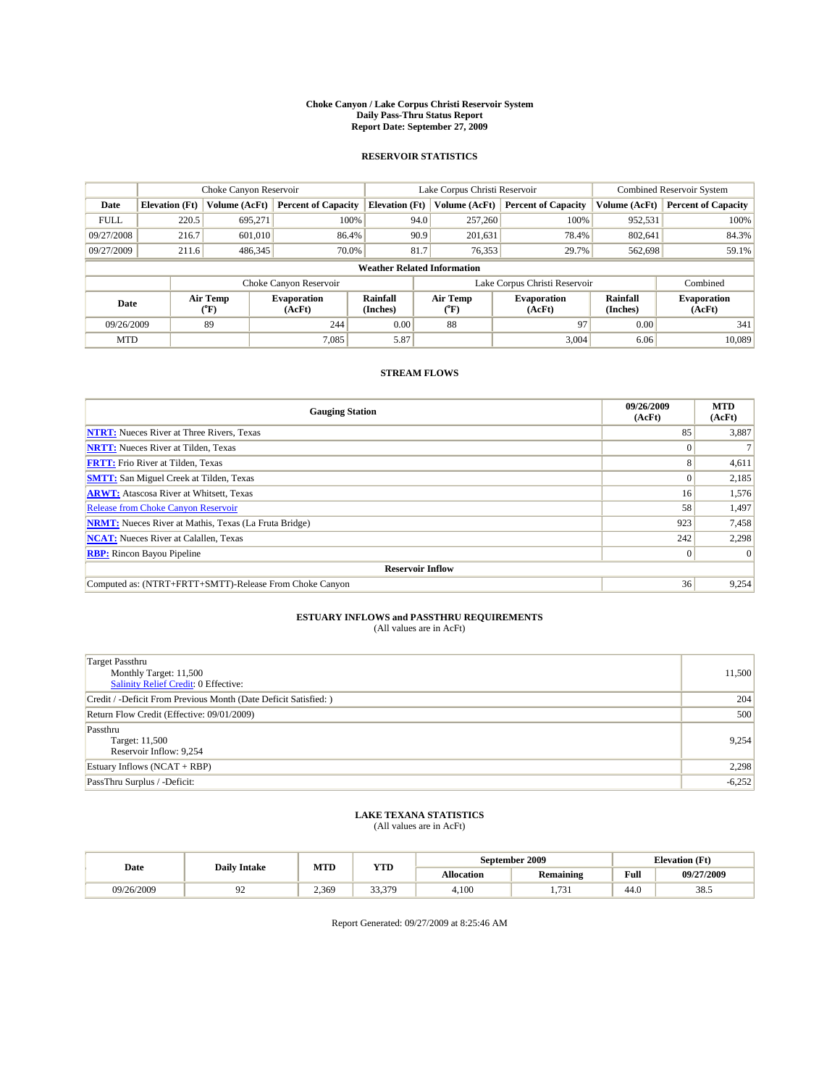#### **Choke Canyon / Lake Corpus Christi Reservoir System Daily Pass-Thru Status Report Report Date: September 27, 2009**

### **RESERVOIR STATISTICS**

|             |                       | Choke Canyon Reservoir |                              |                                    | Lake Corpus Christi Reservoir | <b>Combined Reservoir System</b> |                      |                              |
|-------------|-----------------------|------------------------|------------------------------|------------------------------------|-------------------------------|----------------------------------|----------------------|------------------------------|
| Date        | <b>Elevation</b> (Ft) | Volume (AcFt)          | <b>Percent of Capacity</b>   | <b>Elevation</b> (Ft)              | Volume (AcFt)                 | <b>Percent of Capacity</b>       | Volume (AcFt)        | <b>Percent of Capacity</b>   |
| <b>FULL</b> | 220.5                 | 695.271                | 100%                         | 94.0                               | 257,260                       | 100%                             | 952,531              | 100%                         |
| 09/27/2008  | 216.7                 | 601,010                | 86.4%                        | 90.9                               | 201,631                       | 78.4%                            | 802,641              | 84.3%                        |
| 09/27/2009  | 211.6                 | 486,345                | 70.0%                        | 81.7                               | 76,353                        | 29.7%                            | 562,698              | 59.1%                        |
|             |                       |                        |                              | <b>Weather Related Information</b> |                               |                                  |                      |                              |
|             |                       |                        | Choke Canyon Reservoir       |                                    | Lake Corpus Christi Reservoir |                                  |                      | Combined                     |
| Date        |                       | Air Temp<br>(°F)       | <b>Evaporation</b><br>(AcFt) | Rainfall<br>(Inches)               | Air Temp<br>("F)              | <b>Evaporation</b><br>(AcFt)     | Rainfall<br>(Inches) | <b>Evaporation</b><br>(AcFt) |
| 09/26/2009  |                       | 89                     | 244                          | 0.00                               | 88                            | 97                               | 0.00                 | 341                          |
| <b>MTD</b>  |                       |                        | 7.085                        | 5.87                               |                               | 3.004                            | 6.06                 | 10.089                       |

## **STREAM FLOWS**

| <b>Gauging Station</b>                                       | 09/26/2009<br>(AcFt) | <b>MTD</b><br>(AcFt) |  |  |  |  |
|--------------------------------------------------------------|----------------------|----------------------|--|--|--|--|
| <b>NTRT:</b> Nueces River at Three Rivers, Texas             | 85                   | 3,887                |  |  |  |  |
| <b>NRTT:</b> Nueces River at Tilden, Texas                   | $\Omega$             |                      |  |  |  |  |
| <b>FRTT:</b> Frio River at Tilden, Texas                     | 8                    | 4,611                |  |  |  |  |
| <b>SMTT:</b> San Miguel Creek at Tilden, Texas               | $\Omega$             | 2,185                |  |  |  |  |
| <b>ARWT:</b> Atascosa River at Whitsett, Texas               | 16 <sup>1</sup>      | 1,576                |  |  |  |  |
| <b>Release from Choke Canyon Reservoir</b>                   | 58                   | 1,497                |  |  |  |  |
| <b>NRMT:</b> Nueces River at Mathis, Texas (La Fruta Bridge) | 923                  | 7,458                |  |  |  |  |
| <b>NCAT:</b> Nueces River at Calallen, Texas                 | 242                  | 2,298                |  |  |  |  |
| <b>RBP:</b> Rincon Bayou Pipeline                            | $\vert 0 \vert$      | $\Omega$             |  |  |  |  |
| <b>Reservoir Inflow</b>                                      |                      |                      |  |  |  |  |
| Computed as: (NTRT+FRTT+SMTT)-Release From Choke Canyon      | 36                   | 9,254                |  |  |  |  |

# **ESTUARY INFLOWS and PASSTHRU REQUIREMENTS**<br>(All values are in AcFt)

| <b>Target Passthru</b><br>Monthly Target: 11,500<br>Salinity Relief Credit: 0 Effective: | 11,500   |
|------------------------------------------------------------------------------------------|----------|
| Credit / -Deficit From Previous Month (Date Deficit Satisfied: )                         | 204      |
| Return Flow Credit (Effective: 09/01/2009)                                               | 500      |
| Passthru<br>Target: 11,500<br>Reservoir Inflow: 9,254                                    | 9.254    |
| Estuary Inflows (NCAT + RBP)                                                             | 2,298    |
| PassThru Surplus / -Deficit:                                                             | $-6,252$ |

# **LAKE TEXANA STATISTICS** (All values are in AcFt)

|            | <b>Daily Intake</b> | MTD   | YTD    |            | September 2009   | <b>Elevation</b> (Ft) |            |
|------------|---------------------|-------|--------|------------|------------------|-----------------------|------------|
| Date       |                     |       |        | Allocation | <b>Remaining</b> | Full<br>$\sim$ $\sim$ | 09/27/2009 |
| 09/26/2009 |                     | 2.369 | 33 370 | 4.100      | 721<br>1.1.1     | 44.0                  | 20<br>38.J |

Report Generated: 09/27/2009 at 8:25:46 AM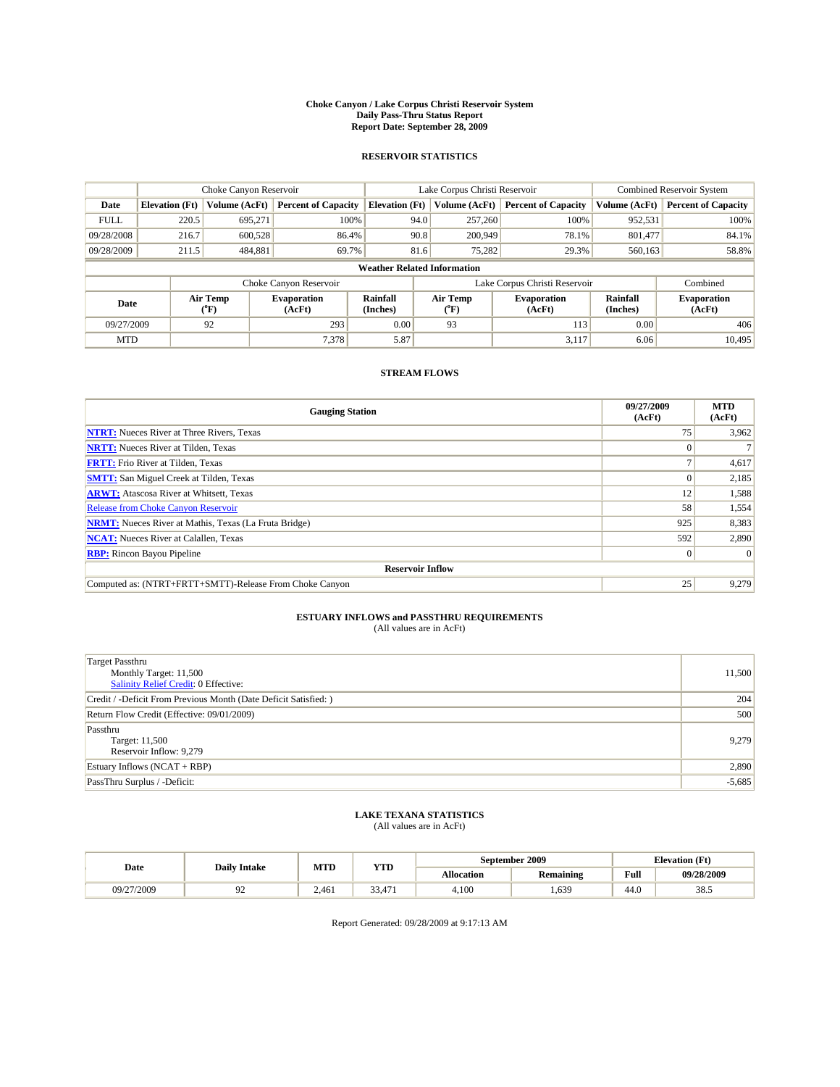#### **Choke Canyon / Lake Corpus Christi Reservoir System Daily Pass-Thru Status Report Report Date: September 28, 2009**

### **RESERVOIR STATISTICS**

|                          |                                    | Choke Canyon Reservoir |                              |                             | Lake Corpus Christi Reservoir | <b>Combined Reservoir System</b> |                      |                              |  |  |
|--------------------------|------------------------------------|------------------------|------------------------------|-----------------------------|-------------------------------|----------------------------------|----------------------|------------------------------|--|--|
| Date                     | <b>Elevation</b> (Ft)              | Volume (AcFt)          | <b>Percent of Capacity</b>   | <b>Elevation</b> (Ft)       | Volume (AcFt)                 | <b>Percent of Capacity</b>       | Volume (AcFt)        | <b>Percent of Capacity</b>   |  |  |
| <b>FULL</b>              | 220.5                              | 695,271                | 100%                         |                             | 257,260<br>94.0               | 100%                             | 952,531              | 100%                         |  |  |
| 09/28/2008               | 216.7                              | 600,528                | 86.4%                        |                             | 90.8<br>200,949               | 78.1%                            | 801,477              | 84.1%                        |  |  |
| 09/28/2009               | 211.5                              | 484,881                | 69.7%                        |                             | 81.6<br>75,282                | 29.3%                            | 560,163              | 58.8%                        |  |  |
|                          | <b>Weather Related Information</b> |                        |                              |                             |                               |                                  |                      |                              |  |  |
|                          |                                    |                        | Choke Canyon Reservoir       |                             | Lake Corpus Christi Reservoir |                                  |                      | Combined                     |  |  |
| Air Temp<br>Date<br>(°F) |                                    |                        | <b>Evaporation</b><br>(AcFt) | <b>Rainfall</b><br>(Inches) | Air Temp<br>(°F)              | <b>Evaporation</b><br>(AcFt)     | Rainfall<br>(Inches) | <b>Evaporation</b><br>(AcFt) |  |  |
| 09/27/2009               |                                    | 92                     | 293                          | 0.00                        | 93                            | 113                              | 0.00                 | 406                          |  |  |
| <b>MTD</b>               |                                    |                        | 7.378                        | 5.87                        |                               | 3,117                            | 6.06                 | 10.495                       |  |  |

### **STREAM FLOWS**

| <b>Gauging Station</b>                                       | 09/27/2009<br>(AcFt) | <b>MTD</b><br>(AcFt) |  |  |  |  |
|--------------------------------------------------------------|----------------------|----------------------|--|--|--|--|
| <b>NTRT:</b> Nueces River at Three Rivers, Texas             | 75                   | 3,962                |  |  |  |  |
| <b>NRTT:</b> Nueces River at Tilden, Texas                   |                      |                      |  |  |  |  |
| <b>FRTT:</b> Frio River at Tilden, Texas                     |                      | 4,617                |  |  |  |  |
| <b>SMTT:</b> San Miguel Creek at Tilden, Texas               |                      | 2,185                |  |  |  |  |
| <b>ARWT:</b> Atascosa River at Whitsett, Texas               | 12                   | 1,588                |  |  |  |  |
| <b>Release from Choke Canyon Reservoir</b>                   | 58                   | 1,554                |  |  |  |  |
| <b>NRMT:</b> Nueces River at Mathis, Texas (La Fruta Bridge) | 925                  | 8,383                |  |  |  |  |
| <b>NCAT:</b> Nueces River at Calallen, Texas                 | 592                  | 2,890                |  |  |  |  |
| <b>RBP:</b> Rincon Bayou Pipeline                            | $\vert 0 \vert$      | $\Omega$             |  |  |  |  |
| <b>Reservoir Inflow</b>                                      |                      |                      |  |  |  |  |
| Computed as: (NTRT+FRTT+SMTT)-Release From Choke Canyon      | 25                   | 9,279                |  |  |  |  |

# **ESTUARY INFLOWS and PASSTHRU REQUIREMENTS**<br>(All values are in AcFt)

| <b>Target Passthru</b><br>Monthly Target: 11,500<br>Salinity Relief Credit: 0 Effective: | 11,500   |
|------------------------------------------------------------------------------------------|----------|
| Credit / -Deficit From Previous Month (Date Deficit Satisfied: )                         | 204      |
| Return Flow Credit (Effective: 09/01/2009)                                               | 500      |
| Passthru<br>Target: 11,500<br>Reservoir Inflow: 9,279                                    | 9,279    |
| Estuary Inflows $(NCAT + RBP)$                                                           | 2,890    |
| PassThru Surplus / -Deficit:                                                             | $-5,685$ |

# **LAKE TEXANA STATISTICS** (All values are in AcFt)

|            | <b>Daily Intake</b> | MTD   | YTD                    |                   | September 2009   | <b>Elevation</b> (Ft)                       |                |
|------------|---------------------|-------|------------------------|-------------------|------------------|---------------------------------------------|----------------|
| Date       |                     |       |                        | <b>Allocation</b> | <b>Remaining</b> | Full<br>the contract of the contract of the | 09/28/2009     |
| 09/27/2009 | ╯                   | 2.461 | 33.<br>$A \rightarrow$ | 4.100             | .639             | 44.0                                        | $20 -$<br>38.J |

Report Generated: 09/28/2009 at 9:17:13 AM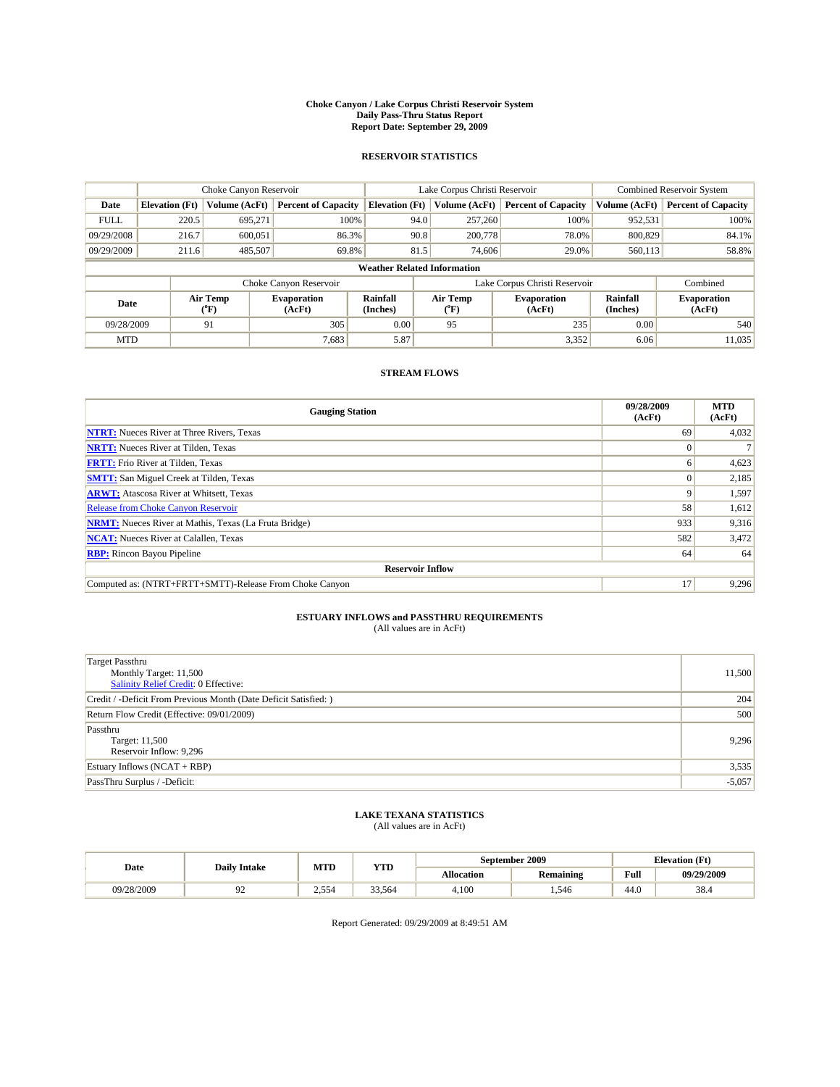#### **Choke Canyon / Lake Corpus Christi Reservoir System Daily Pass-Thru Status Report Report Date: September 29, 2009**

### **RESERVOIR STATISTICS**

|             | Choke Canyon Reservoir |                  | Lake Corpus Christi Reservoir |                                    |                               |                  | Combined Reservoir System    |                      |                              |
|-------------|------------------------|------------------|-------------------------------|------------------------------------|-------------------------------|------------------|------------------------------|----------------------|------------------------------|
| Date        | <b>Elevation</b> (Ft)  | Volume (AcFt)    | <b>Percent of Capacity</b>    | <b>Elevation</b> (Ft)              |                               | Volume (AcFt)    | <b>Percent of Capacity</b>   | Volume (AcFt)        | <b>Percent of Capacity</b>   |
| <b>FULL</b> | 220.5                  | 695,271          | 100%                          |                                    | 94.0                          | 257,260          | 100%                         | 952,531              | 100%                         |
| 09/29/2008  | 216.7                  | 600,051          | 86.3%                         |                                    | 90.8                          | 200,778          | 78.0%                        | 800,829              | 84.1%                        |
| 09/29/2009  | 211.6                  | 485,507          | 69.8%                         |                                    | 81.5                          | 74,606           | 29.0%                        | 560,113              | 58.8%                        |
|             |                        |                  |                               | <b>Weather Related Information</b> |                               |                  |                              |                      |                              |
|             |                        |                  | Choke Canyon Reservoir        |                                    | Lake Corpus Christi Reservoir |                  |                              |                      | Combined                     |
| Date        |                        | Air Temp<br>(°F) | <b>Evaporation</b><br>(AcFt)  | Rainfall<br>(Inches)               |                               | Air Temp<br>("F) | <b>Evaporation</b><br>(AcFt) | Rainfall<br>(Inches) | <b>Evaporation</b><br>(AcFt) |
| 09/28/2009  |                        | 91               | 305                           | 0.00                               |                               | 95               | 235                          | 0.00                 | 540                          |
| <b>MTD</b>  |                        |                  | 7,683                         | 5.87                               |                               |                  | 3,352                        | 6.06                 | 11,035                       |

### **STREAM FLOWS**

| <b>Gauging Station</b>                                       | 09/28/2009<br>(AcFt) | <b>MTD</b><br>(AcFt) |  |  |  |  |
|--------------------------------------------------------------|----------------------|----------------------|--|--|--|--|
| <b>NTRT:</b> Nueces River at Three Rivers, Texas             | 69                   | 4,032                |  |  |  |  |
| <b>NRTT:</b> Nueces River at Tilden, Texas                   | $\Omega$             |                      |  |  |  |  |
| <b>FRTT:</b> Frio River at Tilden, Texas                     | h                    | 4,623                |  |  |  |  |
| <b>SMTT:</b> San Miguel Creek at Tilden, Texas               |                      | 2,185                |  |  |  |  |
| <b>ARWT:</b> Atascosa River at Whitsett, Texas               | 9                    | 1,597                |  |  |  |  |
| <b>Release from Choke Canyon Reservoir</b>                   | 58                   | 1,612                |  |  |  |  |
| <b>NRMT:</b> Nueces River at Mathis, Texas (La Fruta Bridge) | 933                  | 9,316                |  |  |  |  |
| <b>NCAT:</b> Nueces River at Calallen, Texas                 | 582                  | 3,472                |  |  |  |  |
| <b>RBP:</b> Rincon Bayou Pipeline                            | 64                   | 64                   |  |  |  |  |
| <b>Reservoir Inflow</b>                                      |                      |                      |  |  |  |  |
| Computed as: (NTRT+FRTT+SMTT)-Release From Choke Canyon      | 17                   | 9,296                |  |  |  |  |

# **ESTUARY INFLOWS and PASSTHRU REQUIREMENTS**<br>(All values are in AcFt)

| <b>Target Passthru</b><br>Monthly Target: 11,500<br>Salinity Relief Credit: 0 Effective:<br>Credit / -Deficit From Previous Month (Date Deficit Satisfied: )<br>Return Flow Credit (Effective: 09/01/2009)<br>Passthru<br>Target: 11,500<br>Reservoir Inflow: 9,296<br>Estuary Inflows (NCAT + RBP) |                              |          |
|-----------------------------------------------------------------------------------------------------------------------------------------------------------------------------------------------------------------------------------------------------------------------------------------------------|------------------------------|----------|
|                                                                                                                                                                                                                                                                                                     |                              |          |
|                                                                                                                                                                                                                                                                                                     |                              | 11,500   |
|                                                                                                                                                                                                                                                                                                     |                              |          |
|                                                                                                                                                                                                                                                                                                     |                              | 204      |
|                                                                                                                                                                                                                                                                                                     |                              | 500      |
|                                                                                                                                                                                                                                                                                                     |                              |          |
|                                                                                                                                                                                                                                                                                                     |                              | 9,296    |
|                                                                                                                                                                                                                                                                                                     |                              |          |
|                                                                                                                                                                                                                                                                                                     |                              | 3,535    |
|                                                                                                                                                                                                                                                                                                     | PassThru Surplus / -Deficit: | $-5,057$ |

## **LAKE TEXANA STATISTICS** (All values are in AcFt)

| Date       | <b>Daily Intake</b> | MTD   | YTD    | September 2009    |                  | <b>Elevation</b> (Ft)                       |            |
|------------|---------------------|-------|--------|-------------------|------------------|---------------------------------------------|------------|
|            |                     |       |        | <b>Allocation</b> | <b>Remaining</b> | Full<br>the contract of the contract of the | 09/29/2009 |
| 09/28/2009 | ╯                   | 2.554 | 33.564 | 4.100             | .546             | 44.0                                        | 38.4       |

Report Generated: 09/29/2009 at 8:49:51 AM